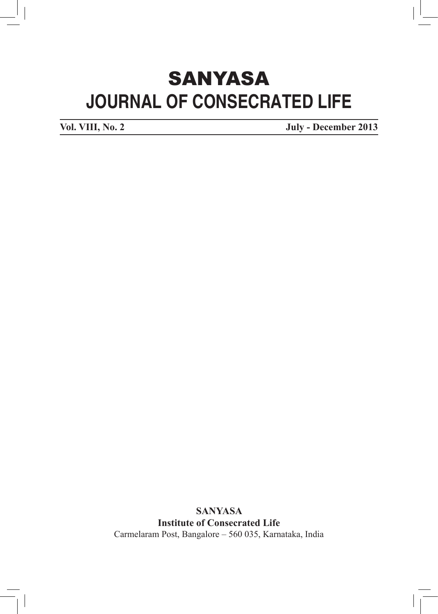# SANYASA **JOURNAL OF CONSECRATED LIFE**

**Vol. VIII, No. 2 July - December 2013**

**SANYASA Institute of Consecrated Life** Carmelaram Post, Bangalore – 560 035, Karnataka, India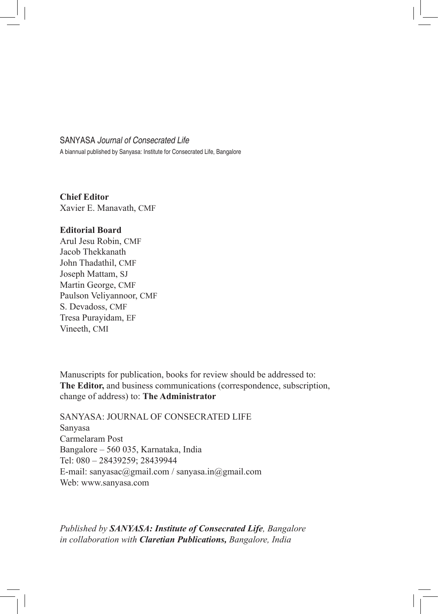SANYASA *Journal of Consecrated Life* A biannual published by Sanyasa: Institute for Consecrated Life, Bangalore

**Chief Editor** Xavier E. Manavath, CMF

### **Editorial Board**

Arul Jesu Robin, CMF Jacob Thekkanath John Thadathil, CMF Joseph Mattam, SJ Martin George, CMF Paulson Veliyannoor, CMF S. Devadoss, CMF Tresa Purayidam, EF Vineeth, CMI

Manuscripts for publication, books for review should be addressed to: **The Editor,** and business communications (correspondence, subscription, change of address) to: **The Administrator**

SANYASA: JOURNAL OF CONSECRATED LIFE Sanyasa Carmelaram Post Bangalore – 560 035, Karnataka, India Tel: 080 – 28439259; 28439944 E-mail: sanyasac@gmail.com / sanyasa.in@gmail.com Web: www.sanyasa.com

*Published by SANYASA: Institute of Consecrated Life, Bangalore in collaboration with Claretian Publications, Bangalore, India*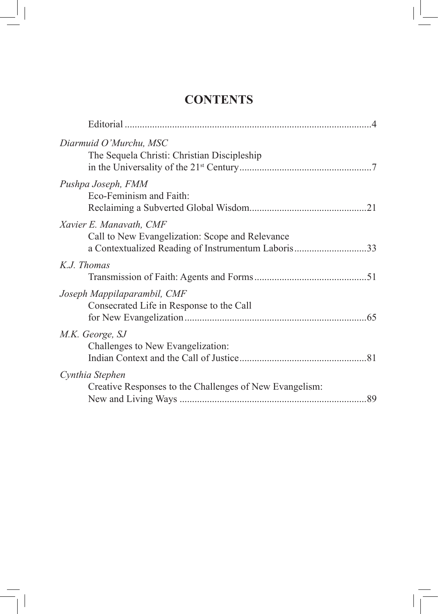# **CONTENTS**

| Diarmuid O'Murchu, MSC<br>The Sequela Christi: Christian Discipleship                                                            |     |
|----------------------------------------------------------------------------------------------------------------------------------|-----|
| Pushpa Joseph, FMM<br>Eco-Feminism and Faith:                                                                                    |     |
| Xavier E. Manavath, CMF<br>Call to New Evangelization: Scope and Relevance<br>a Contextualized Reading of Instrumentum Laboris33 |     |
| K.J. Thomas                                                                                                                      |     |
| Joseph Mappilaparambil, CMF<br>Consecrated Life in Response to the Call                                                          |     |
| M.K. George, SJ<br>Challenges to New Evangelization:                                                                             |     |
| Cynthia Stephen<br>Creative Responses to the Challenges of New Evangelism:                                                       | .89 |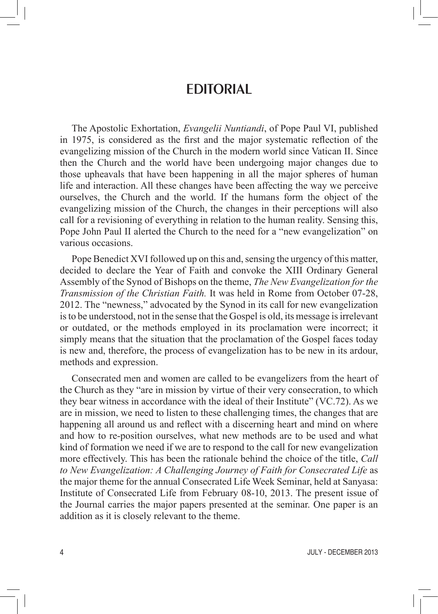# EDITORIAL

The Apostolic Exhortation, *Evangelii Nuntiandi*, of Pope Paul VI, published in 1975, is considered as the first and the major systematic reflection of the evangelizing mission of the Church in the modern world since Vatican II. Since then the Church and the world have been undergoing major changes due to those upheavals that have been happening in all the major spheres of human life and interaction. All these changes have been affecting the way we perceive ourselves, the Church and the world. If the humans form the object of the evangelizing mission of the Church, the changes in their perceptions will also call for a revisioning of everything in relation to the human reality. Sensing this, Pope John Paul II alerted the Church to the need for a "new evangelization" on various occasions.

Pope Benedict XVI followed up on this and, sensing the urgency of this matter, decided to declare the Year of Faith and convoke the XIII Ordinary General Assembly of the Synod of Bishops on the theme, *The New Evangelization for the Transmission of the Christian Faith.* It was held in Rome from October 07-28, 2012. The "newness," advocated by the Synod in its call for new evangelization is to be understood, not in the sense that the Gospel is old, its message is irrelevant or outdated, or the methods employed in its proclamation were incorrect; it simply means that the situation that the proclamation of the Gospel faces today is new and, therefore, the process of evangelization has to be new in its ardour, methods and expression.

Consecrated men and women are called to be evangelizers from the heart of the Church as they "are in mission by virtue of their very consecration, to which they bear witness in accordance with the ideal of their Institute" (VC.72). As we are in mission, we need to listen to these challenging times, the changes that are happening all around us and reflect with a discerning heart and mind on where and how to re-position ourselves, what new methods are to be used and what kind of formation we need if we are to respond to the call for new evangelization more effectively. This has been the rationale behind the choice of the title, *Call to New Evangelization: A Challenging Journey of Faith for Consecrated Life* as the major theme for the annual Consecrated Life Week Seminar, held at Sanyasa: Institute of Consecrated Life from February 08-10, 2013. The present issue of the Journal carries the major papers presented at the seminar. One paper is an addition as it is closely relevant to the theme.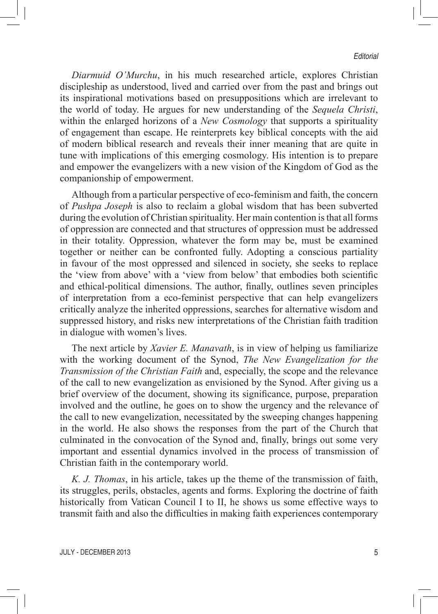#### *Editorial*

*Diarmuid O'Murchu*, in his much researched article, explores Christian discipleship as understood, lived and carried over from the past and brings out its inspirational motivations based on presuppositions which are irrelevant to the world of today. He argues for new understanding of the *Sequela Christi*, within the enlarged horizons of a *New Cosmology* that supports a spirituality of engagement than escape. He reinterprets key biblical concepts with the aid of modern biblical research and reveals their inner meaning that are quite in tune with implications of this emerging cosmology. His intention is to prepare and empower the evangelizers with a new vision of the Kingdom of God as the companionship of empowerment.

Although from a particular perspective of eco-feminism and faith, the concern of *Pushpa Joseph* is also to reclaim a global wisdom that has been subverted during the evolution of Christian spirituality. Her main contention is that all forms of oppression are connected and that structures of oppression must be addressed in their totality. Oppression, whatever the form may be, must be examined together or neither can be confronted fully. Adopting a conscious partiality in favour of the most oppressed and silenced in society, she seeks to replace the 'view from above' with a 'view from below' that embodies both scientific and ethical-political dimensions. The author, finally, outlines seven principles of interpretation from a eco-feminist perspective that can help evangelizers critically analyze the inherited oppressions, searches for alternative wisdom and suppressed history, and risks new interpretations of the Christian faith tradition in dialogue with women's lives.

The next article by *Xavier E. Manavath*, is in view of helping us familiarize with the working document of the Synod, *The New Evangelization for the Transmission of the Christian Faith* and, especially, the scope and the relevance of the call to new evangelization as envisioned by the Synod. After giving us a brief overview of the document, showing its significance, purpose, preparation involved and the outline, he goes on to show the urgency and the relevance of the call to new evangelization, necessitated by the sweeping changes happening in the world. He also shows the responses from the part of the Church that culminated in the convocation of the Synod and, finally, brings out some very important and essential dynamics involved in the process of transmission of Christian faith in the contemporary world.

*K. J. Thomas*, in his article, takes up the theme of the transmission of faith, its struggles, perils, obstacles, agents and forms. Exploring the doctrine of faith historically from Vatican Council I to II, he shows us some effective ways to transmit faith and also the difficulties in making faith experiences contemporary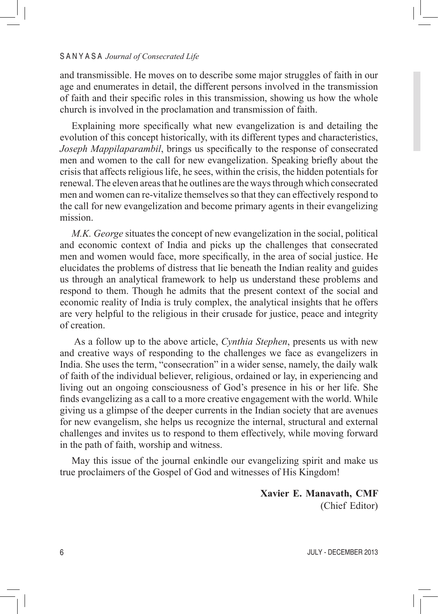and transmissible. He moves on to describe some major struggles of faith in our age and enumerates in detail, the different persons involved in the transmission of faith and their specific roles in this transmission, showing us how the whole church is involved in the proclamation and transmission of faith.

Explaining more specifically what new evangelization is and detailing the evolution of this concept historically, with its different types and characteristics, *Joseph Mappilaparambil*, brings us specifically to the response of consecrated men and women to the call for new evangelization. Speaking briefly about the crisis that affects religious life, he sees, within the crisis, the hidden potentials for renewal. The eleven areas that he outlines are the ways through which consecrated men and women can re-vitalize themselves so that they can effectively respond to the call for new evangelization and become primary agents in their evangelizing mission.

*M.K. George* situates the concept of new evangelization in the social, political and economic context of India and picks up the challenges that consecrated men and women would face, more specifically, in the area of social justice. He elucidates the problems of distress that lie beneath the Indian reality and guides us through an analytical framework to help us understand these problems and respond to them. Though he admits that the present context of the social and economic reality of India is truly complex, the analytical insights that he offers are very helpful to the religious in their crusade for justice, peace and integrity of creation.

 As a follow up to the above article, *Cynthia Stephen*, presents us with new and creative ways of responding to the challenges we face as evangelizers in India. She uses the term, "consecration" in a wider sense, namely, the daily walk of faith of the individual believer, religious, ordained or lay, in experiencing and living out an ongoing consciousness of God's presence in his or her life. She finds evangelizing as a call to a more creative engagement with the world. While giving us a glimpse of the deeper currents in the Indian society that are avenues for new evangelism, she helps us recognize the internal, structural and external challenges and invites us to respond to them effectively, while moving forward in the path of faith, worship and witness.

May this issue of the journal enkindle our evangelizing spirit and make us true proclaimers of the Gospel of God and witnesses of His Kingdom!

> **Xavier E. Manavath, CMF** (Chief Editor)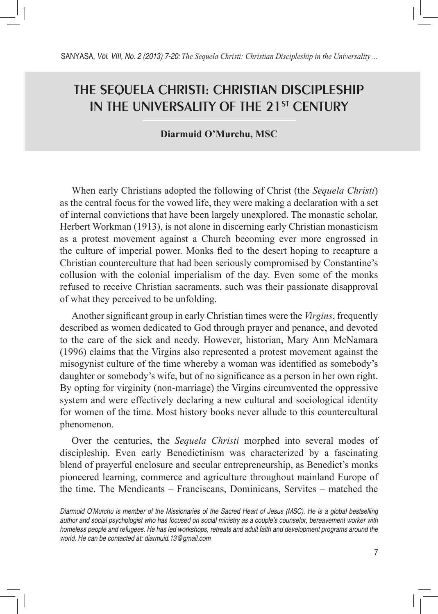# THE SEQUELA CHRISTI: CHRISTIAN DISCIPLESHIP IN THE UNIVERSALITY OF THE 21<sup>ST</sup> CENTURY

### **Diarmuid O'Murchu, MSC**

When early Christians adopted the following of Christ (the *Sequela Christi*) as the central focus for the vowed life, they were making a declaration with a set of internal convictions that have been largely unexplored. The monastic scholar, Herbert Workman (1913), is not alone in discerning early Christian monasticism as a protest movement against a Church becoming ever more engrossed in the culture of imperial power. Monks fled to the desert hoping to recapture a Christian counterculture that had been seriously compromised by Constantine's collusion with the colonial imperialism of the day. Even some of the monks refused to receive Christian sacraments, such was their passionate disapproval of what they perceived to be unfolding.

Another significant group in early Christian times were the *Virgins*, frequently described as women dedicated to God through prayer and penance, and devoted to the care of the sick and needy. However, historian, Mary Ann McNamara (1996) claims that the Virgins also represented a protest movement against the misogynist culture of the time whereby a woman was identified as somebody's daughter or somebody's wife, but of no significance as a person in her own right. By opting for virginity (non-marriage) the Virgins circumvented the oppressive system and were effectively declaring a new cultural and sociological identity for women of the time. Most history books never allude to this countercultural phenomenon.

Over the centuries, the *Sequela Christi* morphed into several modes of discipleship. Even early Benedictinism was characterized by a fascinating blend of prayerful enclosure and secular entrepreneurship, as Benedict's monks pioneered learning, commerce and agriculture throughout mainland Europe of the time. The Mendicants – Franciscans, Dominicans, Servites – matched the

*Diarmuid O'Murchu is member of the Missionaries of the Sacred Heart of Jesus (MSC). He is a global bestselling author and social psychologist who has focused on social ministry as a couple's counselor, bereavement worker with homeless people and refugees. He has led workshops, retreats and adult faith and development programs around the world. He can be contacted at: diarmuid.13@gmail.com*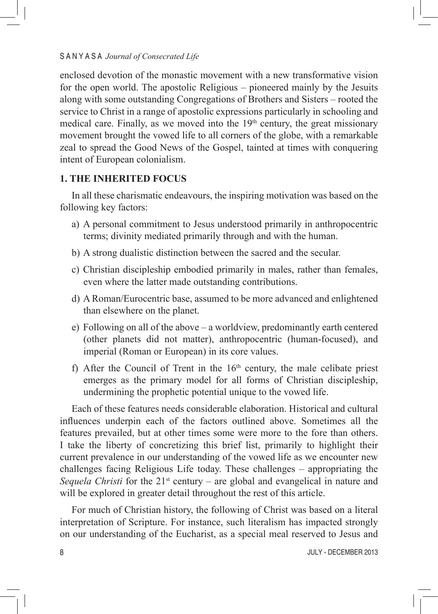enclosed devotion of the monastic movement with a new transformative vision for the open world. The apostolic Religious – pioneered mainly by the Jesuits along with some outstanding Congregations of Brothers and Sisters – rooted the service to Christ in a range of apostolic expressions particularly in schooling and medical care. Finally, as we moved into the  $19<sup>th</sup>$  century, the great missionary movement brought the vowed life to all corners of the globe, with a remarkable zeal to spread the Good News of the Gospel, tainted at times with conquering intent of European colonialism.

# **1. THE INHERITED FOCUS**

In all these charismatic endeavours, the inspiring motivation was based on the following key factors:

- a) A personal commitment to Jesus understood primarily in anthropocentric terms; divinity mediated primarily through and with the human.
- b) A strong dualistic distinction between the sacred and the secular.
- c) Christian discipleship embodied primarily in males, rather than females, even where the latter made outstanding contributions.
- d) A Roman/Eurocentric base, assumed to be more advanced and enlightened than elsewhere on the planet.
- e) Following on all of the above a worldview, predominantly earth centered (other planets did not matter), anthropocentric (human-focused), and imperial (Roman or European) in its core values.
- f) After the Council of Trent in the  $16<sup>th</sup>$  century, the male celibate priest emerges as the primary model for all forms of Christian discipleship, undermining the prophetic potential unique to the vowed life.

Each of these features needs considerable elaboration. Historical and cultural influences underpin each of the factors outlined above. Sometimes all the features prevailed, but at other times some were more to the fore than others. I take the liberty of concretizing this brief list, primarily to highlight their current prevalence in our understanding of the vowed life as we encounter new challenges facing Religious Life today. These challenges – appropriating the *Sequela Christi* for the  $21<sup>st</sup>$  century – are global and evangelical in nature and will be explored in greater detail throughout the rest of this article.

For much of Christian history, the following of Christ was based on a literal interpretation of Scripture. For instance, such literalism has impacted strongly on our understanding of the Eucharist, as a special meal reserved to Jesus and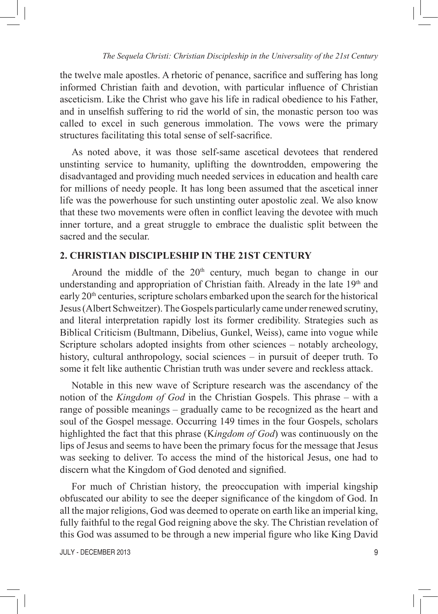the twelve male apostles. A rhetoric of penance, sacrifice and suffering has long informed Christian faith and devotion, with particular influence of Christian asceticism. Like the Christ who gave his life in radical obedience to his Father, and in unselfish suffering to rid the world of sin, the monastic person too was called to excel in such generous immolation. The vows were the primary structures facilitating this total sense of self-sacrifice.

As noted above, it was those self-same ascetical devotees that rendered unstinting service to humanity, uplifting the downtrodden, empowering the disadvantaged and providing much needed services in education and health care for millions of needy people. It has long been assumed that the ascetical inner life was the powerhouse for such unstinting outer apostolic zeal. We also know that these two movements were often in conflict leaving the devotee with much inner torture, and a great struggle to embrace the dualistic split between the sacred and the secular.

# **2. CHRISTIAN DISCIPLESHIP IN THE 21ST CENTURY**

Around the middle of the  $20<sup>th</sup>$  century, much began to change in our understanding and appropriation of Christian faith. Already in the late 19<sup>th</sup> and early 20<sup>th</sup> centuries, scripture scholars embarked upon the search for the historical Jesus (Albert Schweitzer). The Gospels particularly came under renewed scrutiny, and literal interpretation rapidly lost its former credibility. Strategies such as Biblical Criticism (Bultmann, Dibelius, Gunkel, Weiss), came into vogue while Scripture scholars adopted insights from other sciences – notably archeology, history, cultural anthropology, social sciences – in pursuit of deeper truth. To some it felt like authentic Christian truth was under severe and reckless attack.

Notable in this new wave of Scripture research was the ascendancy of the notion of the *Kingdom of God* in the Christian Gospels. This phrase – with a range of possible meanings – gradually came to be recognized as the heart and soul of the Gospel message. Occurring 149 times in the four Gospels, scholars highlighted the fact that this phrase (K*ingdom of God*) was continuously on the lips of Jesus and seems to have been the primary focus for the message that Jesus was seeking to deliver. To access the mind of the historical Jesus, one had to discern what the Kingdom of God denoted and signified.

For much of Christian history, the preoccupation with imperial kingship obfuscated our ability to see the deeper significance of the kingdom of God. In all the major religions, God was deemed to operate on earth like an imperial king, fully faithful to the regal God reigning above the sky. The Christian revelation of this God was assumed to be through a new imperial figure who like King David

JULY - DECEMBER 2013 9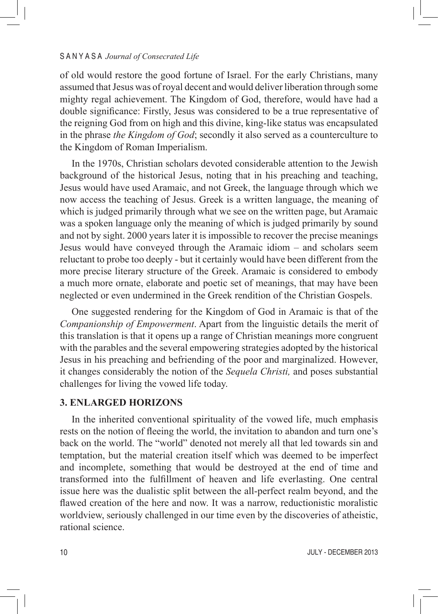of old would restore the good fortune of Israel. For the early Christians, many assumed that Jesus was of royal decent and would deliver liberation through some mighty regal achievement. The Kingdom of God, therefore, would have had a double significance: Firstly, Jesus was considered to be a true representative of the reigning God from on high and this divine, king-like status was encapsulated in the phrase *the Kingdom of God*; secondly it also served as a counterculture to the Kingdom of Roman Imperialism.

In the 1970s, Christian scholars devoted considerable attention to the Jewish background of the historical Jesus, noting that in his preaching and teaching, Jesus would have used Aramaic, and not Greek, the language through which we now access the teaching of Jesus. Greek is a written language, the meaning of which is judged primarily through what we see on the written page, but Aramaic was a spoken language only the meaning of which is judged primarily by sound and not by sight. 2000 years later it is impossible to recover the precise meanings Jesus would have conveyed through the Aramaic idiom – and scholars seem reluctant to probe too deeply - but it certainly would have been different from the more precise literary structure of the Greek. Aramaic is considered to embody a much more ornate, elaborate and poetic set of meanings, that may have been neglected or even undermined in the Greek rendition of the Christian Gospels.

One suggested rendering for the Kingdom of God in Aramaic is that of the *Companionship of Empowerment*. Apart from the linguistic details the merit of this translation is that it opens up a range of Christian meanings more congruent with the parables and the several empowering strategies adopted by the historical Jesus in his preaching and befriending of the poor and marginalized. However, it changes considerably the notion of the *Sequela Christi,* and poses substantial challenges for living the vowed life today.

# **3. ENLARGED HORIZONS**

In the inherited conventional spirituality of the vowed life, much emphasis rests on the notion of fleeing the world, the invitation to abandon and turn one's back on the world. The "world" denoted not merely all that led towards sin and temptation, but the material creation itself which was deemed to be imperfect and incomplete, something that would be destroyed at the end of time and transformed into the fulfillment of heaven and life everlasting. One central issue here was the dualistic split between the all-perfect realm beyond, and the flawed creation of the here and now. It was a narrow, reductionistic moralistic worldview, seriously challenged in our time even by the discoveries of atheistic, rational science.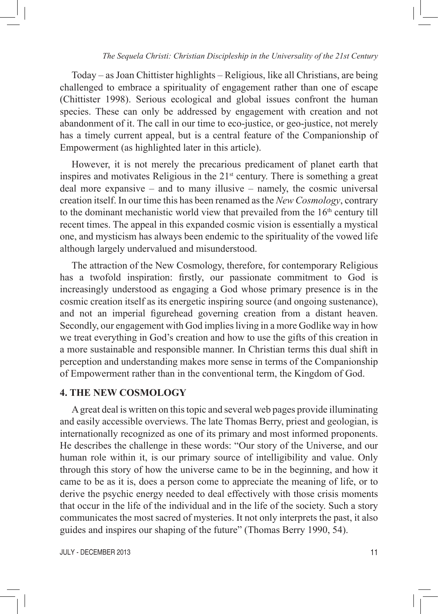#### *The Sequela Christi: Christian Discipleship in the Universality of the 21st Century*

Today – as Joan Chittister highlights – Religious, like all Christians, are being challenged to embrace a spirituality of engagement rather than one of escape (Chittister 1998). Serious ecological and global issues confront the human species. These can only be addressed by engagement with creation and not abandonment of it. The call in our time to eco-justice, or geo-justice, not merely has a timely current appeal, but is a central feature of the Companionship of Empowerment (as highlighted later in this article).

However, it is not merely the precarious predicament of planet earth that inspires and motivates Religious in the 21st century. There is something a great deal more expansive – and to many illusive – namely, the cosmic universal creation itself. In our time this has been renamed as the *New Cosmology*, contrary to the dominant mechanistic world view that prevailed from the  $16<sup>th</sup>$  century till recent times. The appeal in this expanded cosmic vision is essentially a mystical one, and mysticism has always been endemic to the spirituality of the vowed life although largely undervalued and misunderstood.

The attraction of the New Cosmology, therefore, for contemporary Religious has a twofold inspiration: firstly, our passionate commitment to God is increasingly understood as engaging a God whose primary presence is in the cosmic creation itself as its energetic inspiring source (and ongoing sustenance), and not an imperial figurehead governing creation from a distant heaven. Secondly, our engagement with God implies living in a more Godlike way in how we treat everything in God's creation and how to use the gifts of this creation in a more sustainable and responsible manner. In Christian terms this dual shift in perception and understanding makes more sense in terms of the Companionship of Empowerment rather than in the conventional term, the Kingdom of God.

# **4. THE NEW COSMOLOGY**

A great deal is written on this topic and several web pages provide illuminating and easily accessible overviews. The late Thomas Berry, priest and geologian, is internationally recognized as one of its primary and most informed proponents. He describes the challenge in these words: "Our story of the Universe, and our human role within it, is our primary source of intelligibility and value. Only through this story of how the universe came to be in the beginning, and how it came to be as it is, does a person come to appreciate the meaning of life, or to derive the psychic energy needed to deal effectively with those crisis moments that occur in the life of the individual and in the life of the society. Such a story communicates the most sacred of mysteries. It not only interprets the past, it also guides and inspires our shaping of the future" (Thomas Berry 1990, 54).

JULY - DECEMBER 2013 11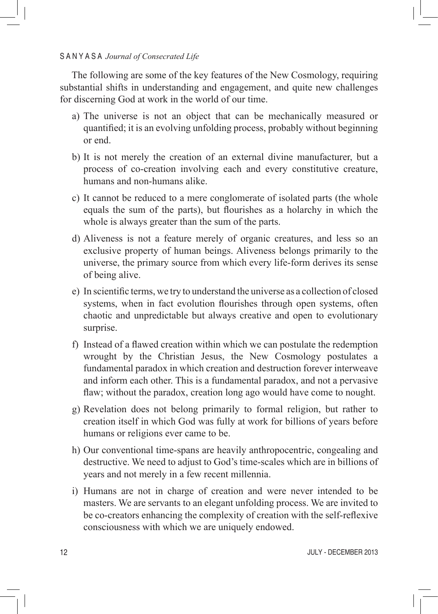The following are some of the key features of the New Cosmology, requiring substantial shifts in understanding and engagement, and quite new challenges for discerning God at work in the world of our time.

- a) The universe is not an object that can be mechanically measured or quantified; it is an evolving unfolding process, probably without beginning or end.
- b) It is not merely the creation of an external divine manufacturer, but a process of co-creation involving each and every constitutive creature, humans and non-humans alike.
- c) It cannot be reduced to a mere conglomerate of isolated parts (the whole equals the sum of the parts), but flourishes as a holarchy in which the whole is always greater than the sum of the parts.
- d) Aliveness is not a feature merely of organic creatures, and less so an exclusive property of human beings. Aliveness belongs primarily to the universe, the primary source from which every life-form derives its sense of being alive.
- e) In scientific terms, we try to understand the universe as a collection of closed systems, when in fact evolution flourishes through open systems, often chaotic and unpredictable but always creative and open to evolutionary surprise.
- f) Instead of a flawed creation within which we can postulate the redemption wrought by the Christian Jesus, the New Cosmology postulates a fundamental paradox in which creation and destruction forever interweave and inform each other. This is a fundamental paradox, and not a pervasive flaw; without the paradox, creation long ago would have come to nought.
- g) Revelation does not belong primarily to formal religion, but rather to creation itself in which God was fully at work for billions of years before humans or religions ever came to be.
- h) Our conventional time-spans are heavily anthropocentric, congealing and destructive. We need to adjust to God's time-scales which are in billions of years and not merely in a few recent millennia.
- i) Humans are not in charge of creation and were never intended to be masters. We are servants to an elegant unfolding process. We are invited to be co-creators enhancing the complexity of creation with the self-reflexive consciousness with which we are uniquely endowed.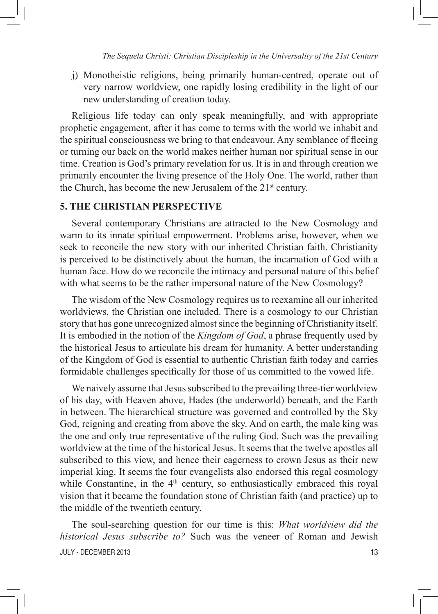*The Sequela Christi: Christian Discipleship in the Universality of the 21st Century*

j) Monotheistic religions, being primarily human-centred, operate out of very narrow worldview, one rapidly losing credibility in the light of our new understanding of creation today.

Religious life today can only speak meaningfully, and with appropriate prophetic engagement, after it has come to terms with the world we inhabit and the spiritual consciousness we bring to that endeavour. Any semblance of fleeing or turning our back on the world makes neither human nor spiritual sense in our time. Creation is God's primary revelation for us. It is in and through creation we primarily encounter the living presence of the Holy One. The world, rather than the Church, has become the new Jerusalem of the  $21<sup>st</sup>$  century.

# **5. THE CHRISTIAN PERSPECTIVE**

Several contemporary Christians are attracted to the New Cosmology and warm to its innate spiritual empowerment. Problems arise, however, when we seek to reconcile the new story with our inherited Christian faith. Christianity is perceived to be distinctively about the human, the incarnation of God with a human face. How do we reconcile the intimacy and personal nature of this belief with what seems to be the rather impersonal nature of the New Cosmology?

The wisdom of the New Cosmology requires us to reexamine all our inherited worldviews, the Christian one included. There is a cosmology to our Christian story that has gone unrecognized almost since the beginning of Christianity itself. It is embodied in the notion of the *Kingdom of God*, a phrase frequently used by the historical Jesus to articulate his dream for humanity. A better understanding of the Kingdom of God is essential to authentic Christian faith today and carries formidable challenges specifically for those of us committed to the vowed life.

We naively assume that Jesus subscribed to the prevailing three-tier worldview of his day, with Heaven above, Hades (the underworld) beneath, and the Earth in between. The hierarchical structure was governed and controlled by the Sky God, reigning and creating from above the sky. And on earth, the male king was the one and only true representative of the ruling God. Such was the prevailing worldview at the time of the historical Jesus. It seems that the twelve apostles all subscribed to this view, and hence their eagerness to crown Jesus as their new imperial king. It seems the four evangelists also endorsed this regal cosmology while Constantine, in the  $4<sup>th</sup>$  century, so enthusiastically embraced this royal vision that it became the foundation stone of Christian faith (and practice) up to the middle of the twentieth century.

JULY - DECEMBER 2013 13 The soul-searching question for our time is this: *What worldview did the historical Jesus subscribe to?* Such was the veneer of Roman and Jewish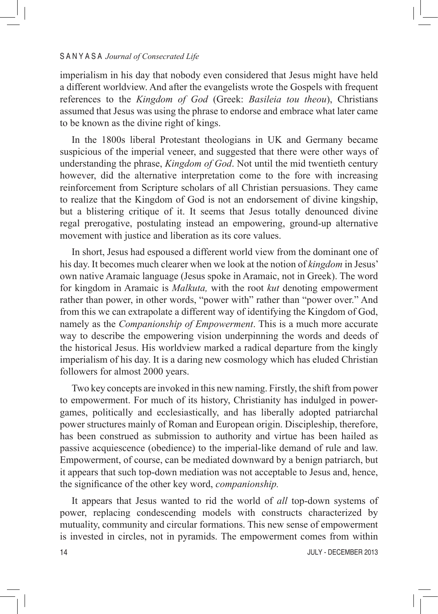imperialism in his day that nobody even considered that Jesus might have held a different worldview. And after the evangelists wrote the Gospels with frequent references to the *Kingdom of God* (Greek: *Basileia tou theou*), Christians assumed that Jesus was using the phrase to endorse and embrace what later came to be known as the divine right of kings.

In the 1800s liberal Protestant theologians in UK and Germany became suspicious of the imperial veneer, and suggested that there were other ways of understanding the phrase, *Kingdom of God*. Not until the mid twentieth century however, did the alternative interpretation come to the fore with increasing reinforcement from Scripture scholars of all Christian persuasions. They came to realize that the Kingdom of God is not an endorsement of divine kingship, but a blistering critique of it. It seems that Jesus totally denounced divine regal prerogative, postulating instead an empowering, ground-up alternative movement with justice and liberation as its core values.

In short, Jesus had espoused a different world view from the dominant one of his day. It becomes much clearer when we look at the notion of *kingdom* in Jesus' own native Aramaic language (Jesus spoke in Aramaic, not in Greek). The word for kingdom in Aramaic is *Malkuta,* with the root *kut* denoting empowerment rather than power, in other words, "power with" rather than "power over." And from this we can extrapolate a different way of identifying the Kingdom of God, namely as the *Companionship of Empowerment*. This is a much more accurate way to describe the empowering vision underpinning the words and deeds of the historical Jesus. His worldview marked a radical departure from the kingly imperialism of his day. It is a daring new cosmology which has eluded Christian followers for almost 2000 years.

Two key concepts are invoked in this new naming. Firstly, the shift from power to empowerment. For much of its history, Christianity has indulged in powergames, politically and ecclesiastically, and has liberally adopted patriarchal power structures mainly of Roman and European origin. Discipleship, therefore, has been construed as submission to authority and virtue has been hailed as passive acquiescence (obedience) to the imperial-like demand of rule and law. Empowerment, of course, can be mediated downward by a benign patriarch, but it appears that such top-down mediation was not acceptable to Jesus and, hence, the significance of the other key word, *companionship.*

It appears that Jesus wanted to rid the world of *all* top-down systems of power, replacing condescending models with constructs characterized by mutuality, community and circular formations. This new sense of empowerment is invested in circles, not in pyramids. The empowerment comes from within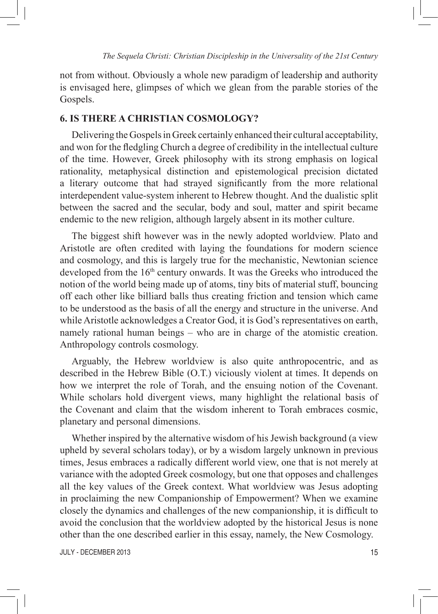not from without. Obviously a whole new paradigm of leadership and authority is envisaged here, glimpses of which we glean from the parable stories of the Gospels.

# **6. IS THERE A CHRISTIAN COSMOLOGY?**

Delivering the Gospels in Greek certainly enhanced their cultural acceptability, and won for the fledgling Church a degree of credibility in the intellectual culture of the time. However, Greek philosophy with its strong emphasis on logical rationality, metaphysical distinction and epistemological precision dictated a literary outcome that had strayed significantly from the more relational interdependent value-system inherent to Hebrew thought. And the dualistic split between the sacred and the secular, body and soul, matter and spirit became endemic to the new religion, although largely absent in its mother culture.

The biggest shift however was in the newly adopted worldview. Plato and Aristotle are often credited with laying the foundations for modern science and cosmology, and this is largely true for the mechanistic, Newtonian science developed from the  $16<sup>th</sup>$  century onwards. It was the Greeks who introduced the notion of the world being made up of atoms, tiny bits of material stuff, bouncing off each other like billiard balls thus creating friction and tension which came to be understood as the basis of all the energy and structure in the universe. And while Aristotle acknowledges a Creator God, it is God's representatives on earth, namely rational human beings – who are in charge of the atomistic creation. Anthropology controls cosmology.

Arguably, the Hebrew worldview is also quite anthropocentric, and as described in the Hebrew Bible (O.T.) viciously violent at times. It depends on how we interpret the role of Torah, and the ensuing notion of the Covenant. While scholars hold divergent views, many highlight the relational basis of the Covenant and claim that the wisdom inherent to Torah embraces cosmic, planetary and personal dimensions.

Whether inspired by the alternative wisdom of his Jewish background (a view upheld by several scholars today), or by a wisdom largely unknown in previous times, Jesus embraces a radically different world view, one that is not merely at variance with the adopted Greek cosmology, but one that opposes and challenges all the key values of the Greek context. What worldview was Jesus adopting in proclaiming the new Companionship of Empowerment? When we examine closely the dynamics and challenges of the new companionship, it is difficult to avoid the conclusion that the worldview adopted by the historical Jesus is none other than the one described earlier in this essay, namely, the New Cosmology.

JULY - DECEMBER 2013 15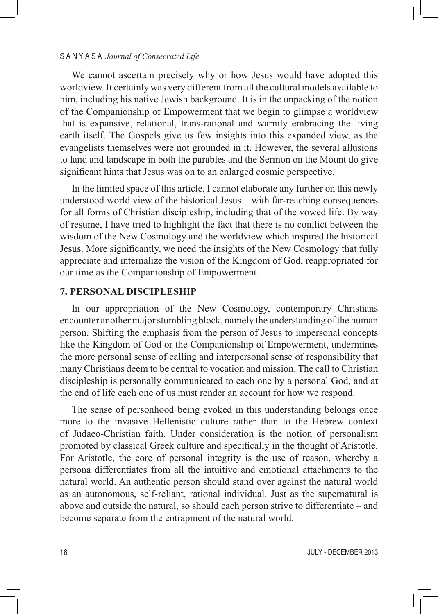We cannot ascertain precisely why or how Jesus would have adopted this worldview. It certainly was very different from all the cultural models available to him, including his native Jewish background. It is in the unpacking of the notion of the Companionship of Empowerment that we begin to glimpse a worldview that is expansive, relational, trans-rational and warmly embracing the living earth itself. The Gospels give us few insights into this expanded view, as the evangelists themselves were not grounded in it. However, the several allusions to land and landscape in both the parables and the Sermon on the Mount do give significant hints that Jesus was on to an enlarged cosmic perspective.

In the limited space of this article, I cannot elaborate any further on this newly understood world view of the historical Jesus – with far-reaching consequences for all forms of Christian discipleship, including that of the vowed life. By way of resume, I have tried to highlight the fact that there is no conflict between the wisdom of the New Cosmology and the worldview which inspired the historical Jesus. More significantly, we need the insights of the New Cosmology that fully appreciate and internalize the vision of the Kingdom of God, reappropriated for our time as the Companionship of Empowerment.

# **7. PERSONAL DISCIPLESHIP**

In our appropriation of the New Cosmology, contemporary Christians encounter another major stumbling block, namely the understanding of the human person. Shifting the emphasis from the person of Jesus to impersonal concepts like the Kingdom of God or the Companionship of Empowerment, undermines the more personal sense of calling and interpersonal sense of responsibility that many Christians deem to be central to vocation and mission. The call to Christian discipleship is personally communicated to each one by a personal God, and at the end of life each one of us must render an account for how we respond.

The sense of personhood being evoked in this understanding belongs once more to the invasive Hellenistic culture rather than to the Hebrew context of Judaeo-Christian faith. Under consideration is the notion of personalism promoted by classical Greek culture and specifically in the thought of Aristotle. For Aristotle, the core of personal integrity is the use of reason, whereby a persona differentiates from all the intuitive and emotional attachments to the natural world. An authentic person should stand over against the natural world as an autonomous, self-reliant, rational individual. Just as the supernatural is above and outside the natural, so should each person strive to differentiate – and become separate from the entrapment of the natural world.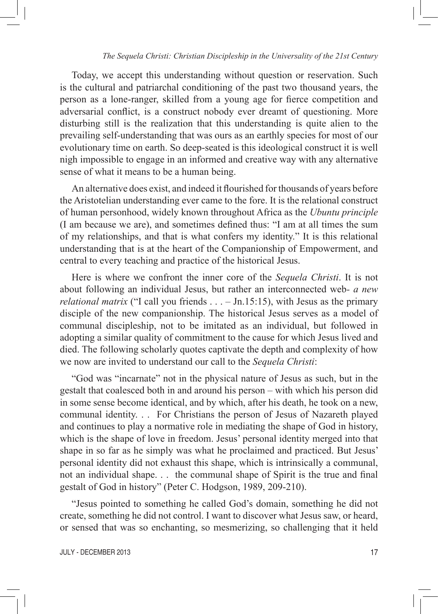#### *The Sequela Christi: Christian Discipleship in the Universality of the 21st Century*

Today, we accept this understanding without question or reservation. Such is the cultural and patriarchal conditioning of the past two thousand years, the person as a lone-ranger, skilled from a young age for fierce competition and adversarial conflict, is a construct nobody ever dreamt of questioning. More disturbing still is the realization that this understanding is quite alien to the prevailing self-understanding that was ours as an earthly species for most of our evolutionary time on earth. So deep-seated is this ideological construct it is well nigh impossible to engage in an informed and creative way with any alternative sense of what it means to be a human being.

An alternative does exist, and indeed it flourished for thousands of years before the Aristotelian understanding ever came to the fore. It is the relational construct of human personhood, widely known throughout Africa as the *Ubuntu principle* (I am because we are), and sometimes defined thus: "I am at all times the sum of my relationships, and that is what confers my identity." It is this relational understanding that is at the heart of the Companionship of Empowerment, and central to every teaching and practice of the historical Jesus.

Here is where we confront the inner core of the *Sequela Christi*. It is not about following an individual Jesus, but rather an interconnected web*- a new relational matrix* ("I call you friends  $\ldots$  – Jn.15:15), with Jesus as the primary disciple of the new companionship. The historical Jesus serves as a model of communal discipleship, not to be imitated as an individual, but followed in adopting a similar quality of commitment to the cause for which Jesus lived and died. The following scholarly quotes captivate the depth and complexity of how we now are invited to understand our call to the *Sequela Christi*:

"God was "incarnate" not in the physical nature of Jesus as such, but in the gestalt that coalesced both in and around his person – with which his person did in some sense become identical, and by which, after his death, he took on a new, communal identity. . . For Christians the person of Jesus of Nazareth played and continues to play a normative role in mediating the shape of God in history, which is the shape of love in freedom. Jesus' personal identity merged into that shape in so far as he simply was what he proclaimed and practiced. But Jesus' personal identity did not exhaust this shape, which is intrinsically a communal, not an individual shape. . . the communal shape of Spirit is the true and final gestalt of God in history" (Peter C. Hodgson, 1989, 209-210).

"Jesus pointed to something he called God's domain, something he did not create, something he did not control. I want to discover what Jesus saw, or heard, or sensed that was so enchanting, so mesmerizing, so challenging that it held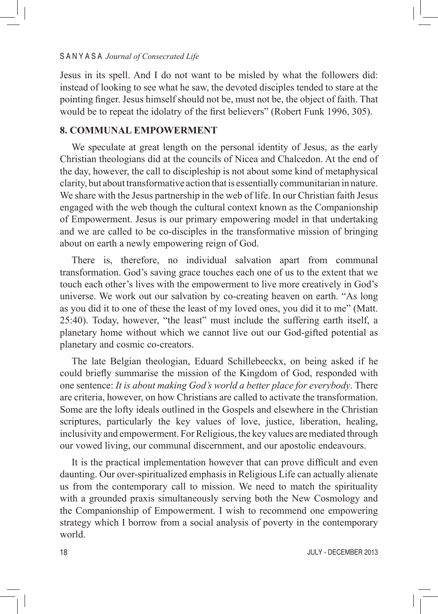Jesus in its spell. And I do not want to be misled by what the followers did: instead of looking to see what he saw, the devoted disciples tended to stare at the pointing finger. Jesus himself should not be, must not be, the object of faith. That would be to repeat the idolatry of the first believers" (Robert Funk 1996, 305).

# **8. COMMUNAL EMPOWERMENT**

We speculate at great length on the personal identity of Jesus, as the early Christian theologians did at the councils of Nicea and Chalcedon. At the end of the day, however, the call to discipleship is not about some kind of metaphysical clarity, but about transformative action that is essentially communitarian in nature. We share with the Jesus partnership in the web of life. In our Christian faith Jesus engaged with the web though the cultural context known as the Companionship of Empowerment. Jesus is our primary empowering model in that undertaking and we are called to be co-disciples in the transformative mission of bringing about on earth a newly empowering reign of God.

There is, therefore, no individual salvation apart from communal transformation. God's saving grace touches each one of us to the extent that we touch each other's lives with the empowerment to live more creatively in God's universe. We work out our salvation by co-creating heaven on earth. "As long as you did it to one of these the least of my loved ones, you did it to me" (Matt. 25:40). Today, however, "the least" must include the suffering earth itself, a planetary home without which we cannot live out our God-gifted potential as planetary and cosmic co-creators.

The late Belgian theologian, Eduard Schillebeeckx, on being asked if he could briefly summarise the mission of the Kingdom of God, responded with one sentence: *It is about making God's world a better place for everybody*. There are criteria, however, on how Christians are called to activate the transformation. Some are the lofty ideals outlined in the Gospels and elsewhere in the Christian scriptures, particularly the key values of love, justice, liberation, healing, inclusivity and empowerment. For Religious, the key values are mediated through our vowed living, our communal discernment, and our apostolic endeavours.

It is the practical implementation however that can prove difficult and even daunting. Our over-spiritualized emphasis in Religious Life can actually alienate us from the contemporary call to mission. We need to match the spirituality with a grounded praxis simultaneously serving both the New Cosmology and the Companionship of Empowerment. I wish to recommend one empowering strategy which I borrow from a social analysis of poverty in the contemporary world.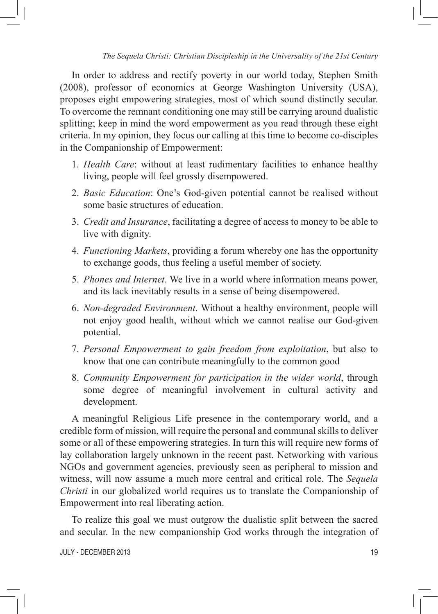#### *The Sequela Christi: Christian Discipleship in the Universality of the 21st Century*

In order to address and rectify poverty in our world today, Stephen Smith (2008), professor of economics at George Washington University (USA), proposes eight empowering strategies, most of which sound distinctly secular. To overcome the remnant conditioning one may still be carrying around dualistic splitting; keep in mind the word empowerment as you read through these eight criteria. In my opinion, they focus our calling at this time to become co-disciples in the Companionship of Empowerment:

- 1. *Health Care*: without at least rudimentary facilities to enhance healthy living, people will feel grossly disempowered.
- 2. *Basic Education*: One's God-given potential cannot be realised without some basic structures of education.
- 3. *Credit and Insurance*, facilitating a degree of access to money to be able to live with dignity.
- 4. *Functioning Markets*, providing a forum whereby one has the opportunity to exchange goods, thus feeling a useful member of society.
- 5. *Phones and Internet*. We live in a world where information means power, and its lack inevitably results in a sense of being disempowered.
- 6. *Non-degraded Environment*. Without a healthy environment, people will not enjoy good health, without which we cannot realise our God-given potential.
- 7. *Personal Empowerment to gain freedom from exploitation*, but also to know that one can contribute meaningfully to the common good
- 8. *Community Empowerment for participation in the wider world*, through some degree of meaningful involvement in cultural activity and development.

A meaningful Religious Life presence in the contemporary world, and a credible form of mission, will require the personal and communal skills to deliver some or all of these empowering strategies. In turn this will require new forms of lay collaboration largely unknown in the recent past. Networking with various NGOs and government agencies, previously seen as peripheral to mission and witness, will now assume a much more central and critical role. The *Sequela Christi* in our globalized world requires us to translate the Companionship of Empowerment into real liberating action.

To realize this goal we must outgrow the dualistic split between the sacred and secular. In the new companionship God works through the integration of

JULY - DECEMBER 2013 2009 19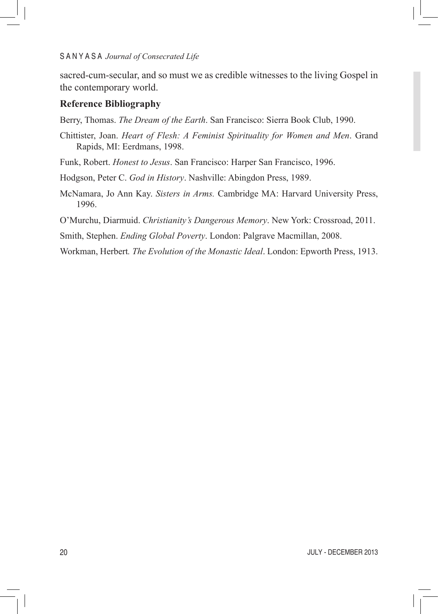sacred-cum-secular, and so must we as credible witnesses to the living Gospel in the contemporary world.

# **Reference Bibliography**

Berry, Thomas. *The Dream of the Earth*. San Francisco: Sierra Book Club, 1990.

- Chittister, Joan. *Heart of Flesh: A Feminist Spirituality for Women and Men*. Grand Rapids, MI: Eerdmans, 1998.
- Funk, Robert. *Honest to Jesus*. San Francisco: Harper San Francisco, 1996.
- Hodgson, Peter C. *God in History*. Nashville: Abingdon Press, 1989.
- McNamara, Jo Ann Kay. *Sisters in Arms.* Cambridge MA: Harvard University Press, 1996.

O'Murchu, Diarmuid. *Christianity's Dangerous Memory*. New York: Crossroad, 2011.

Smith, Stephen. *Ending Global Poverty*. London: Palgrave Macmillan, 2008.

Workman, Herbert*. The Evolution of the Monastic Ideal*. London: Epworth Press, 1913.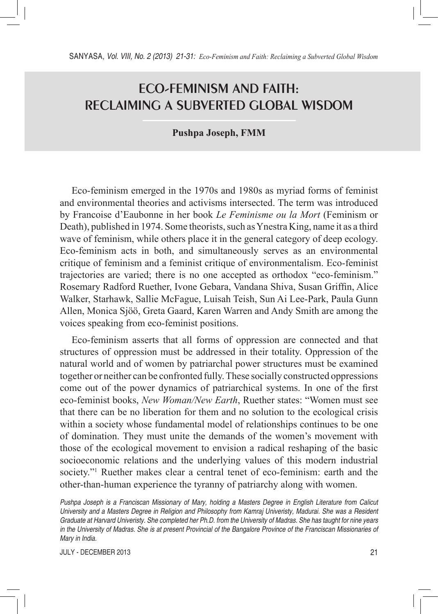# ECO-FEMINISM AND FAITH: RECLAIMING A SUBVERTED GLOBAL WISDOM

# **Pushpa Joseph, FMM**

Eco-feminism emerged in the 1970s and 1980s as myriad forms of feminist and environmental theories and activisms intersected. The term was introduced by Francoise d'Eaubonne in her book *Le Feminisme ou la Mort* (Feminism or Death), published in 1974. Some theorists, such as Ynestra King, name it as a third wave of feminism, while others place it in the general category of deep ecology. Eco-feminism acts in both, and simultaneously serves as an environmental critique of feminism and a feminist critique of environmentalism. Eco-feminist trajectories are varied; there is no one accepted as orthodox "eco-feminism." Rosemary Radford Ruether, Ivone Gebara, Vandana Shiva, Susan Griffin, Alice Walker, Starhawk, Sallie McFague, Luisah Teish, Sun Ai Lee-Park, Paula Gunn Allen, Monica Sjöö, Greta Gaard, Karen Warren and Andy Smith are among the voices speaking from eco-feminist positions.

Eco-feminism asserts that all forms of oppression are connected and that structures of oppression must be addressed in their totality. Oppression of the natural world and of women by patriarchal power structures must be examined together or neither can be confronted fully. These socially constructed oppressions come out of the power dynamics of patriarchical systems. In one of the first eco-feminist books, *New Woman/New Earth*, Ruether states: "Women must see that there can be no liberation for them and no solution to the ecological crisis within a society whose fundamental model of relationships continues to be one of domination. They must unite the demands of the women's movement with those of the ecological movement to envision a radical reshaping of the basic socioeconomic relations and the underlying values of this modern industrial society."1 Ruether makes clear a central tenet of eco-feminism: earth and the other-than-human experience the tyranny of patriarchy along with women.

*Pushpa Joseph is a Franciscan Missionary of Mary, holding a Masters Degree in English Literature from Calicut University and a Masters Degree in Religion and Philosophy from Kamraj Univeristy, Madurai. She was a Resident Graduate at Harvard Univeristy. She completed her Ph.D. from the University of Madras. She has taught for nine years in the University of Madras. She is at present Provincial of the Bangalore Province of the Franciscan Missionaries of Mary in India.*

JULY - DECEMBER 2013 21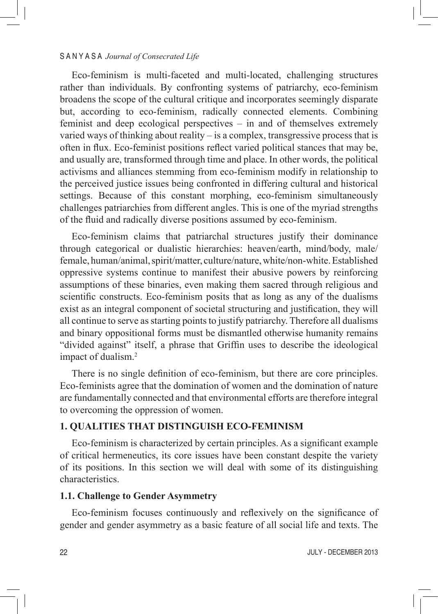Eco-feminism is multi-faceted and multi-located, challenging structures rather than individuals. By confronting systems of patriarchy, eco-feminism broadens the scope of the cultural critique and incorporates seemingly disparate but, according to eco-feminism, radically connected elements. Combining feminist and deep ecological perspectives – in and of themselves extremely varied ways of thinking about reality – is a complex, transgressive process that is often in flux. Eco-feminist positions reflect varied political stances that may be, and usually are, transformed through time and place. In other words, the political activisms and alliances stemming from eco-feminism modify in relationship to the perceived justice issues being confronted in differing cultural and historical settings. Because of this constant morphing, eco-feminism simultaneously challenges patriarchies from different angles. This is one of the myriad strengths of the fluid and radically diverse positions assumed by eco-feminism.

Eco-feminism claims that patriarchal structures justify their dominance through categorical or dualistic hierarchies: heaven/earth, mind/body, male/ female, human/animal, spirit/matter, culture/nature, white/non-white. Established oppressive systems continue to manifest their abusive powers by reinforcing assumptions of these binaries, even making them sacred through religious and scientific constructs. Eco-feminism posits that as long as any of the dualisms exist as an integral component of societal structuring and justification, they will all continue to serve as starting points to justify patriarchy. Therefore all dualisms and binary oppositional forms must be dismantled otherwise humanity remains "divided against" itself, a phrase that Griffin uses to describe the ideological impact of dualism.2

There is no single definition of eco-feminism, but there are core principles. Eco-feminists agree that the domination of women and the domination of nature are fundamentally connected and that environmental efforts are therefore integral to overcoming the oppression of women.

# **1. QUALITIES THAT DISTINGUISH ECO-FEMINISM**

Eco-feminism is characterized by certain principles. As a significant example of critical hermeneutics, its core issues have been constant despite the variety of its positions. In this section we will deal with some of its distinguishing characteristics.

# **1.1. Challenge to Gender Asymmetry**

Eco-feminism focuses continuously and reflexively on the significance of gender and gender asymmetry as a basic feature of all social life and texts. The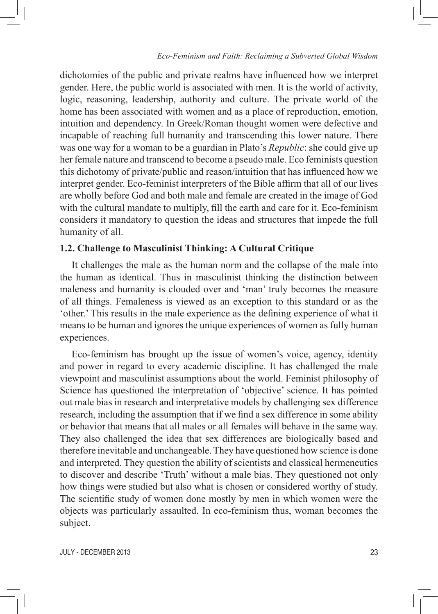#### *Eco-Feminism and Faith: Reclaiming a Subverted Global Wisdom*

dichotomies of the public and private realms have influenced how we interpret gender. Here, the public world is associated with men. It is the world of activity, logic, reasoning, leadership, authority and culture. The private world of the home has been associated with women and as a place of reproduction, emotion, intuition and dependency. In Greek/Roman thought women were defective and incapable of reaching full humanity and transcending this lower nature. There was one way for a woman to be a guardian in Plato's *Republic*: she could give up her female nature and transcend to become a pseudo male. Eco feminists question this dichotomy of private/public and reason/intuition that has influenced how we interpret gender. Eco-feminist interpreters of the Bible affirm that all of our lives are wholly before God and both male and female are created in the image of God with the cultural mandate to multiply, fill the earth and care for it. Eco-feminism considers it mandatory to question the ideas and structures that impede the full humanity of all.

# **1.2. Challenge to Masculinist Thinking: A Cultural Critique**

It challenges the male as the human norm and the collapse of the male into the human as identical. Thus in masculinist thinking the distinction between maleness and humanity is clouded over and 'man' truly becomes the measure of all things. Femaleness is viewed as an exception to this standard or as the 'other.' This results in the male experience as the defining experience of what it means to be human and ignores the unique experiences of women as fully human experiences.

Eco-feminism has brought up the issue of women's voice, agency, identity and power in regard to every academic discipline. It has challenged the male viewpoint and masculinist assumptions about the world. Feminist philosophy of Science has questioned the interpretation of 'objective' science. It has pointed out male bias in research and interpretative models by challenging sex difference research, including the assumption that if we find a sex difference in some ability or behavior that means that all males or all females will behave in the same way. They also challenged the idea that sex differences are biologically based and therefore inevitable and unchangeable. They have questioned how science is done and interpreted. They question the ability of scientists and classical hermeneutics to discover and describe 'Truth' without a male bias. They questioned not only how things were studied but also what is chosen or considered worthy of study. The scientific study of women done mostly by men in which women were the objects was particularly assaulted. In eco-feminism thus, woman becomes the subject.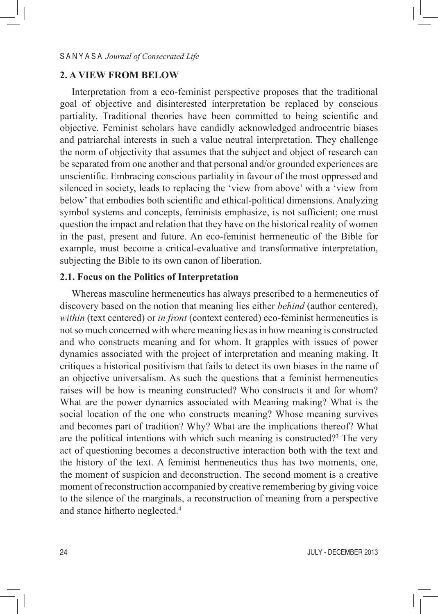### **2. A VIEW FROM BELOW**

Interpretation from a eco-feminist perspective proposes that the traditional goal of objective and disinterested interpretation be replaced by conscious partiality. Traditional theories have been committed to being scientific and objective. Feminist scholars have candidly acknowledged androcentric biases and patriarchal interests in such a value neutral interpretation. They challenge the norm of objectivity that assumes that the subject and object of research can be separated from one another and that personal and/or grounded experiences are unscientific. Embracing conscious partiality in favour of the most oppressed and silenced in society, leads to replacing the 'view from above' with a 'view from below' that embodies both scientific and ethical-political dimensions. Analyzing symbol systems and concepts, feminists emphasize, is not sufficient; one must question the impact and relation that they have on the historical reality of women in the past, present and future. An eco-feminist hermeneutic of the Bible for example, must become a critical-evaluative and transformative interpretation, subjecting the Bible to its own canon of liberation.

# **2.1. Focus on the Politics of Interpretation**

Whereas masculine hermeneutics has always prescribed to a hermeneutics of discovery based on the notion that meaning lies either *behind* (author centered), *within* (text centered) or *in front* (context centered) eco-feminist hermeneutics is not so much concerned with where meaning lies as in how meaning is constructed and who constructs meaning and for whom. It grapples with issues of power dynamics associated with the project of interpretation and meaning making. It critiques a historical positivism that fails to detect its own biases in the name of an objective universalism. As such the questions that a feminist hermeneutics raises will be how is meaning constructed? Who constructs it and for whom? What are the power dynamics associated with Meaning making? What is the social location of the one who constructs meaning? Whose meaning survives and becomes part of tradition? Why? What are the implications thereof? What are the political intentions with which such meaning is constructed?3 The very act of questioning becomes a deconstructive interaction both with the text and the history of the text. A feminist hermeneutics thus has two moments, one, the moment of suspicion and deconstruction. The second moment is a creative moment of reconstruction accompanied by creative remembering by giving voice to the silence of the marginals, a reconstruction of meaning from a perspective and stance hitherto neglected.4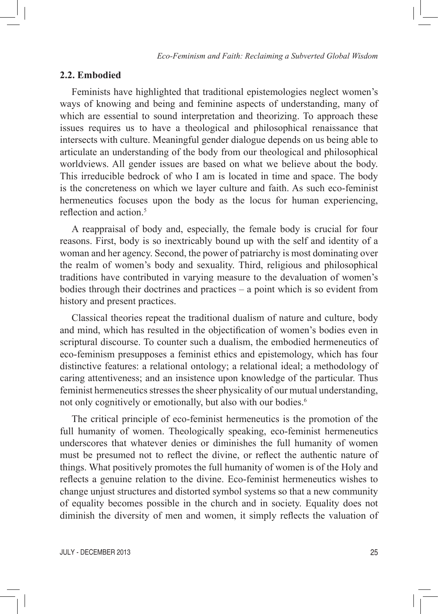### **2.2. Embodied**

Feminists have highlighted that traditional epistemologies neglect women's ways of knowing and being and feminine aspects of understanding, many of which are essential to sound interpretation and theorizing. To approach these issues requires us to have a theological and philosophical renaissance that intersects with culture. Meaningful gender dialogue depends on us being able to articulate an understanding of the body from our theological and philosophical worldviews. All gender issues are based on what we believe about the body. This irreducible bedrock of who I am is located in time and space. The body is the concreteness on which we layer culture and faith. As such eco-feminist hermeneutics focuses upon the body as the locus for human experiencing, reflection and action<sup>5</sup>

A reappraisal of body and, especially, the female body is crucial for four reasons. First, body is so inextricably bound up with the self and identity of a woman and her agency. Second, the power of patriarchy is most dominating over the realm of women's body and sexuality. Third, religious and philosophical traditions have contributed in varying measure to the devaluation of women's bodies through their doctrines and practices – a point which is so evident from history and present practices.

Classical theories repeat the traditional dualism of nature and culture, body and mind, which has resulted in the objectification of women's bodies even in scriptural discourse. To counter such a dualism, the embodied hermeneutics of eco-feminism presupposes a feminist ethics and epistemology, which has four distinctive features: a relational ontology; a relational ideal; a methodology of caring attentiveness; and an insistence upon knowledge of the particular. Thus feminist hermeneutics stresses the sheer physicality of our mutual understanding, not only cognitively or emotionally, but also with our bodies.<sup>6</sup>

The critical principle of eco-feminist hermeneutics is the promotion of the full humanity of women. Theologically speaking, eco-feminist hermeneutics underscores that whatever denies or diminishes the full humanity of women must be presumed not to reflect the divine, or reflect the authentic nature of things. What positively promotes the full humanity of women is of the Holy and reflects a genuine relation to the divine. Eco-feminist hermeneutics wishes to change unjust structures and distorted symbol systems so that a new community of equality becomes possible in the church and in society. Equality does not diminish the diversity of men and women, it simply reflects the valuation of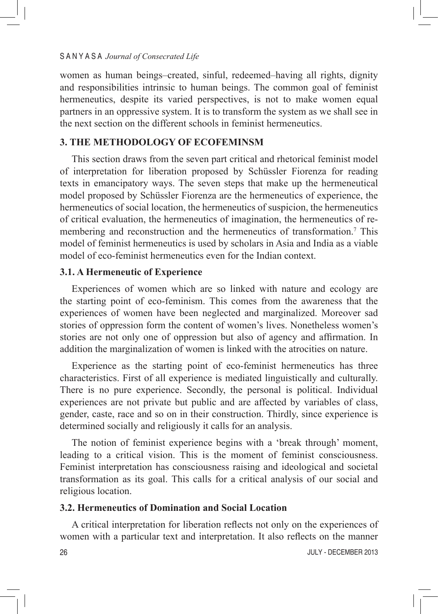women as human beings–created, sinful, redeemed–having all rights, dignity and responsibilities intrinsic to human beings. The common goal of feminist hermeneutics, despite its varied perspectives, is not to make women equal partners in an oppressive system. It is to transform the system as we shall see in the next section on the different schools in feminist hermeneutics.

# **3. THE METHODOLOGY OF ECOFEMINSM**

This section draws from the seven part critical and rhetorical feminist model of interpretation for liberation proposed by Schüssler Fiorenza for reading texts in emancipatory ways. The seven steps that make up the hermeneutical model proposed by Schüssler Fiorenza are the hermeneutics of experience, the hermeneutics of social location, the hermeneutics of suspicion, the hermeneutics of critical evaluation, the hermeneutics of imagination, the hermeneutics of remembering and reconstruction and the hermeneutics of transformation.<sup>7</sup> This model of feminist hermeneutics is used by scholars in Asia and India as a viable model of eco-feminist hermeneutics even for the Indian context.

# **3.1. A Hermeneutic of Experience**

Experiences of women which are so linked with nature and ecology are the starting point of eco-feminism. This comes from the awareness that the experiences of women have been neglected and marginalized. Moreover sad stories of oppression form the content of women's lives. Nonetheless women's stories are not only one of oppression but also of agency and affirmation. In addition the marginalization of women is linked with the atrocities on nature.

Experience as the starting point of eco-feminist hermeneutics has three characteristics. First of all experience is mediated linguistically and culturally. There is no pure experience. Secondly, the personal is political. Individual experiences are not private but public and are affected by variables of class, gender, caste, race and so on in their construction. Thirdly, since experience is determined socially and religiously it calls for an analysis.

The notion of feminist experience begins with a 'break through' moment, leading to a critical vision. This is the moment of feminist consciousness. Feminist interpretation has consciousness raising and ideological and societal transformation as its goal. This calls for a critical analysis of our social and religious location.

# **3.2. Hermeneutics of Domination and Social Location**

A critical interpretation for liberation reflects not only on the experiences of women with a particular text and interpretation. It also reflects on the manner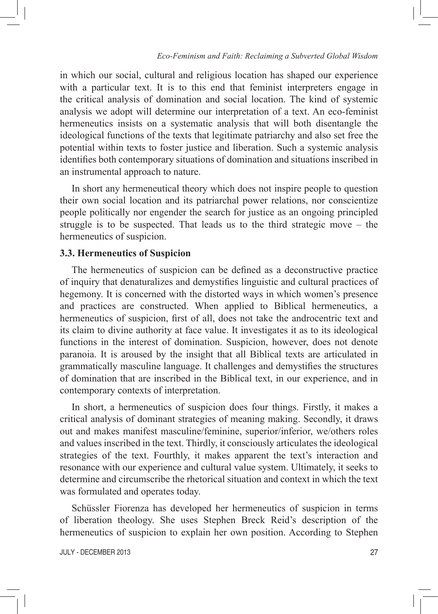#### *Eco-Feminism and Faith: Reclaiming a Subverted Global Wisdom*

in which our social, cultural and religious location has shaped our experience with a particular text. It is to this end that feminist interpreters engage in the critical analysis of domination and social location. The kind of systemic analysis we adopt will determine our interpretation of a text. An eco-feminist hermeneutics insists on a systematic analysis that will both disentangle the ideological functions of the texts that legitimate patriarchy and also set free the potential within texts to foster justice and liberation. Such a systemic analysis identifies both contemporary situations of domination and situations inscribed in an instrumental approach to nature.

In short any hermeneutical theory which does not inspire people to question their own social location and its patriarchal power relations, nor conscientize people politically nor engender the search for justice as an ongoing principled struggle is to be suspected. That leads us to the third strategic move – the hermeneutics of suspicion.

# **3.3. Hermeneutics of Suspicion**

The hermeneutics of suspicion can be defined as a deconstructive practice of inquiry that denaturalizes and demystifies linguistic and cultural practices of hegemony. It is concerned with the distorted ways in which women's presence and practices are constructed. When applied to Biblical hermeneutics, a hermeneutics of suspicion, first of all, does not take the androcentric text and its claim to divine authority at face value. It investigates it as to its ideological functions in the interest of domination. Suspicion, however, does not denote paranoia. It is aroused by the insight that all Biblical texts are articulated in grammatically masculine language. It challenges and demystifies the structures of domination that are inscribed in the Biblical text, in our experience, and in contemporary contexts of interpretation.

In short, a hermeneutics of suspicion does four things. Firstly, it makes a critical analysis of dominant strategies of meaning making. Secondly, it draws out and makes manifest masculine/feminine, superior/inferior, we/others roles and values inscribed in the text. Thirdly, it consciously articulates the ideological strategies of the text. Fourthly, it makes apparent the text's interaction and resonance with our experience and cultural value system. Ultimately, it seeks to determine and circumscribe the rhetorical situation and context in which the text was formulated and operates today.

Schüssler Fiorenza has developed her hermeneutics of suspicion in terms of liberation theology. She uses Stephen Breck Reid's description of the hermeneutics of suspicion to explain her own position. According to Stephen

JULY - DECEMBER 2013 27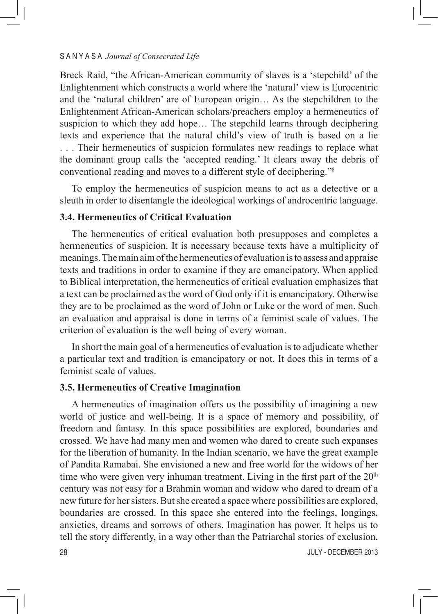Breck Raid, "the African-American community of slaves is a 'stepchild' of the Enlightenment which constructs a world where the 'natural' view is Eurocentric and the 'natural children' are of European origin… As the stepchildren to the Enlightenment African-American scholars/preachers employ a hermeneutics of suspicion to which they add hope… The stepchild learns through deciphering texts and experience that the natural child's view of truth is based on a lie . . . Their hermeneutics of suspicion formulates new readings to replace what the dominant group calls the 'accepted reading.' It clears away the debris of conventional reading and moves to a different style of deciphering."8

To employ the hermeneutics of suspicion means to act as a detective or a sleuth in order to disentangle the ideological workings of androcentric language.

# **3.4. Hermeneutics of Critical Evaluation**

The hermeneutics of critical evaluation both presupposes and completes a hermeneutics of suspicion. It is necessary because texts have a multiplicity of meanings. The main aim of the hermeneutics of evaluation is to assess and appraise texts and traditions in order to examine if they are emancipatory. When applied to Biblical interpretation, the hermeneutics of critical evaluation emphasizes that a text can be proclaimed as the word of God only if it is emancipatory. Otherwise they are to be proclaimed as the word of John or Luke or the word of men. Such an evaluation and appraisal is done in terms of a feminist scale of values. The criterion of evaluation is the well being of every woman.

In short the main goal of a hermeneutics of evaluation is to adjudicate whether a particular text and tradition is emancipatory or not. It does this in terms of a feminist scale of values.

#### **3.5. Hermeneutics of Creative Imagination**

A hermeneutics of imagination offers us the possibility of imagining a new world of justice and well-being. It is a space of memory and possibility, of freedom and fantasy. In this space possibilities are explored, boundaries and crossed. We have had many men and women who dared to create such expanses for the liberation of humanity. In the Indian scenario, we have the great example of Pandita Ramabai. She envisioned a new and free world for the widows of her time who were given very inhuman treatment. Living in the first part of the  $20<sup>th</sup>$ century was not easy for a Brahmin woman and widow who dared to dream of a new future for her sisters. But she created a space where possibilities are explored, boundaries are crossed. In this space she entered into the feelings, longings, anxieties, dreams and sorrows of others. Imagination has power. It helps us to tell the story differently, in a way other than the Patriarchal stories of exclusion.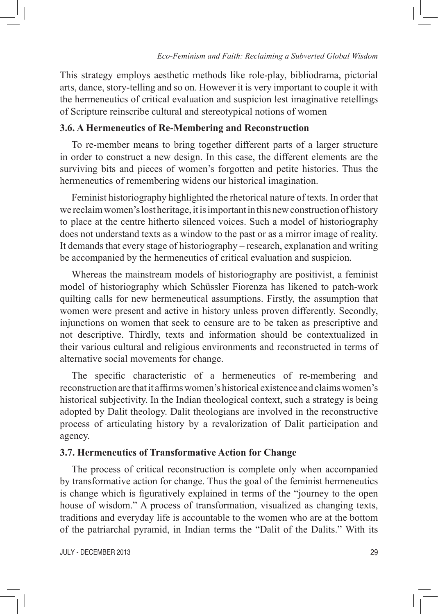#### *Eco-Feminism and Faith: Reclaiming a Subverted Global Wisdom*

This strategy employs aesthetic methods like role-play, bibliodrama, pictorial arts, dance, story-telling and so on. However it is very important to couple it with the hermeneutics of critical evaluation and suspicion lest imaginative retellings of Scripture reinscribe cultural and stereotypical notions of women

# **3.6. A Hermeneutics of Re-Membering and Reconstruction**

To re-member means to bring together different parts of a larger structure in order to construct a new design. In this case, the different elements are the surviving bits and pieces of women's forgotten and petite histories. Thus the hermeneutics of remembering widens our historical imagination.

Feminist historiography highlighted the rhetorical nature of texts. In order that we reclaim women's lost heritage, it is important in this new construction of history to place at the centre hitherto silenced voices. Such a model of historiography does not understand texts as a window to the past or as a mirror image of reality. It demands that every stage of historiography – research, explanation and writing be accompanied by the hermeneutics of critical evaluation and suspicion.

Whereas the mainstream models of historiography are positivist, a feminist model of historiography which Schüssler Fiorenza has likened to patch-work quilting calls for new hermeneutical assumptions. Firstly, the assumption that women were present and active in history unless proven differently. Secondly, injunctions on women that seek to censure are to be taken as prescriptive and not descriptive. Thirdly, texts and information should be contextualized in their various cultural and religious environments and reconstructed in terms of alternative social movements for change.

The specific characteristic of a hermeneutics of re-membering and reconstruction are that it affirms women's historical existence and claims women's historical subjectivity. In the Indian theological context, such a strategy is being adopted by Dalit theology. Dalit theologians are involved in the reconstructive process of articulating history by a revalorization of Dalit participation and agency.

## **3.7. Hermeneutics of Transformative Action for Change**

The process of critical reconstruction is complete only when accompanied by transformative action for change. Thus the goal of the feminist hermeneutics is change which is figuratively explained in terms of the "journey to the open house of wisdom." A process of transformation, visualized as changing texts, traditions and everyday life is accountable to the women who are at the bottom of the patriarchal pyramid, in Indian terms the "Dalit of the Dalits." With its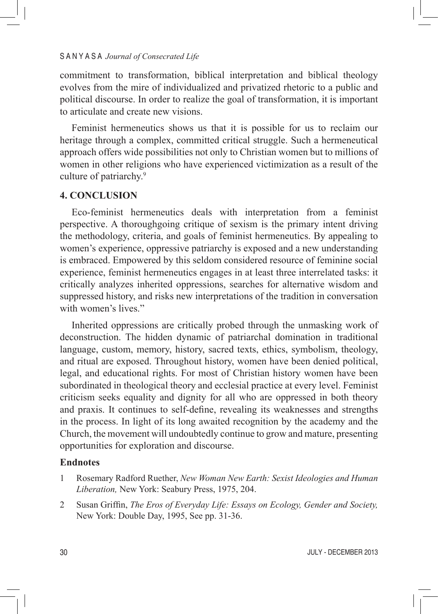commitment to transformation, biblical interpretation and biblical theology evolves from the mire of individualized and privatized rhetoric to a public and political discourse. In order to realize the goal of transformation, it is important to articulate and create new visions.

Feminist hermeneutics shows us that it is possible for us to reclaim our heritage through a complex, committed critical struggle. Such a hermeneutical approach offers wide possibilities not only to Christian women but to millions of women in other religions who have experienced victimization as a result of the culture of patriarchy.<sup>9</sup>

# **4. CONCLUSION**

Eco-feminist hermeneutics deals with interpretation from a feminist perspective. A thoroughgoing critique of sexism is the primary intent driving the methodology, criteria, and goals of feminist hermeneutics. By appealing to women's experience, oppressive patriarchy is exposed and a new understanding is embraced. Empowered by this seldom considered resource of feminine social experience, feminist hermeneutics engages in at least three interrelated tasks: it critically analyzes inherited oppressions, searches for alternative wisdom and suppressed history, and risks new interpretations of the tradition in conversation with women's lives."

Inherited oppressions are critically probed through the unmasking work of deconstruction. The hidden dynamic of patriarchal domination in traditional language, custom, memory, history, sacred texts, ethics, symbolism, theology, and ritual are exposed. Throughout history, women have been denied political, legal, and educational rights. For most of Christian history women have been subordinated in theological theory and ecclesial practice at every level. Feminist criticism seeks equality and dignity for all who are oppressed in both theory and praxis. It continues to self-define, revealing its weaknesses and strengths in the process. In light of its long awaited recognition by the academy and the Church, the movement will undoubtedly continue to grow and mature, presenting opportunities for exploration and discourse.

# **Endnotes**

- 1 Rosemary Radford Ruether, *New Woman New Earth: Sexist Ideologies and Human Liberation,* New York: Seabury Press, 1975, 204.
- 2 Susan Griffin, *The Eros of Everyday Life: Essays on Ecology, Gender and Society,*  New York: Double Day, 1995, See pp. 31-36.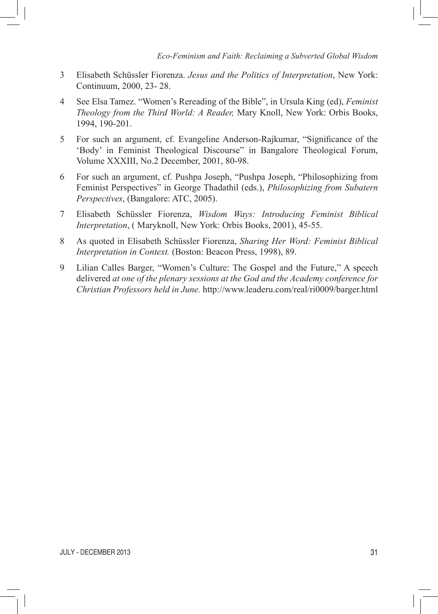#### *Eco-Feminism and Faith: Reclaiming a Subverted Global Wisdom*

- 3 Elisabeth Schüssler Fiorenza. *Jesus and the Politics of Interpretation*, New York: Continuum, 2000, 23- 28.
- 4 See Elsa Tamez. "Women's Rereading of the Bible", in Ursula King (ed), *Feminist Theology from the Third World: A Reader,* Mary Knoll, New York: Orbis Books, 1994, 190-201.
- 5 For such an argument, cf. Evangeline Anderson-Rajkumar, "Significance of the 'Body' in Feminist Theological Discourse" in Bangalore Theological Forum, Volume XXXIII, No.2 December, 2001, 80-98.
- 6 For such an argument, cf. Pushpa Joseph, "Pushpa Joseph, "Philosophizing from Feminist Perspectives" in George Thadathil (eds.), *Philosophizing from Subatern Perspectives*, (Bangalore: ATC, 2005).
- 7 Elisabeth Schüssler Fiorenza, *Wisdom Ways: Introducing Feminist Biblical Interpretation*, ( Maryknoll, New York: Orbis Books, 2001), 45-55.
- 8 As quoted in Elisabeth Schüssler Fiorenza, *Sharing Her Word: Feminist Biblical Interpretation in Context.* (Boston: Beacon Press, 1998), 89.
- 9 Lilian Calles Barger, "Women's Culture: The Gospel and the Future," A speech delivered *at one of the plenary sessions at the God and the Academy conference for Christian Professors held in June.* http://www.leaderu.com/real/ri0009/barger.html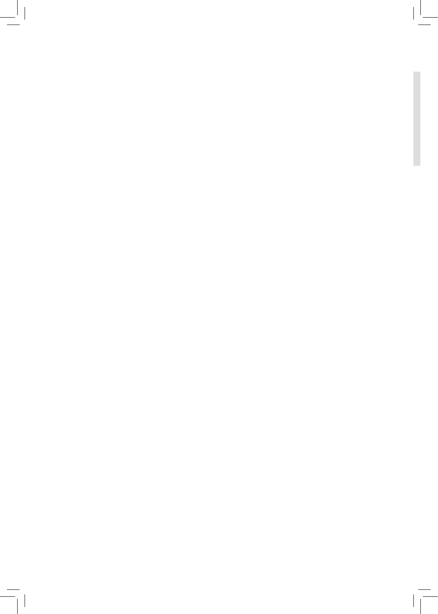$\frac{1}{\sqrt{2}}$  $\frac{1}{\sqrt{2}}$  $\frac{1}{\sqrt{1-\frac{1}{2}}}$ 

 $\frac{1}{\sqrt{2}}$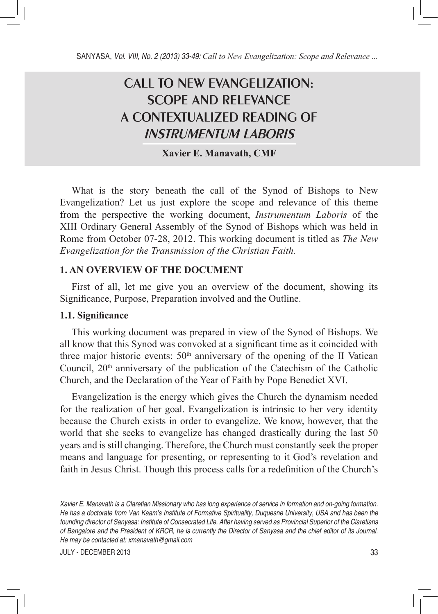SANYASA, *Vol. VIII, No. 2 (2013) 33-49: Call to New Evangelization: Scope and Relevance ...*

# CALL TO NEW EVANGELIZATION: SCOPE AND RELEVANCE A CONTEXTUALIZED READING OF INSTRUMENTUM LABORIS

# **Xavier E. Manavath, CMF**

What is the story beneath the call of the Synod of Bishops to New Evangelization? Let us just explore the scope and relevance of this theme from the perspective the working document, *Instrumentum Laboris* of the XIII Ordinary General Assembly of the Synod of Bishops which was held in Rome from October 07-28, 2012. This working document is titled as *The New Evangelization for the Transmission of the Christian Faith.*

# **1. AN OVERVIEW OF THE DOCUMENT**

First of all, let me give you an overview of the document, showing its Significance, Purpose, Preparation involved and the Outline.

#### **1.1. Significance**

This working document was prepared in view of the Synod of Bishops. We all know that this Synod was convoked at a significant time as it coincided with three major historic events:  $50<sup>th</sup>$  anniversary of the opening of the II Vatican Council,  $20<sup>th</sup>$  anniversary of the publication of the Catechism of the Catholic Church, and the Declaration of the Year of Faith by Pope Benedict XVI.

Evangelization is the energy which gives the Church the dynamism needed for the realization of her goal. Evangelization is intrinsic to her very identity because the Church exists in order to evangelize. We know, however, that the world that she seeks to evangelize has changed drastically during the last 50 years and is still changing. Therefore, the Church must constantly seek the proper means and language for presenting, or representing to it God's revelation and faith in Jesus Christ. Though this process calls for a redefinition of the Church's

JULY - DECEMBER 2013 33

*Xavier E. Manavath is a Claretian Missionary who has long experience of service in formation and on-going formation. He has a doctorate from Van Kaam's Institute of Formative Spirituality, Duquesne University, USA and has been the founding director of Sanyasa: Institute of Consecrated Life. After having served as Provincial Superior of the Claretians of Bangalore and the President of KRCR, he is currently the Director of Sanyasa and the chief editor of its Journal. He may be contacted at: xmanavath@gmail.com*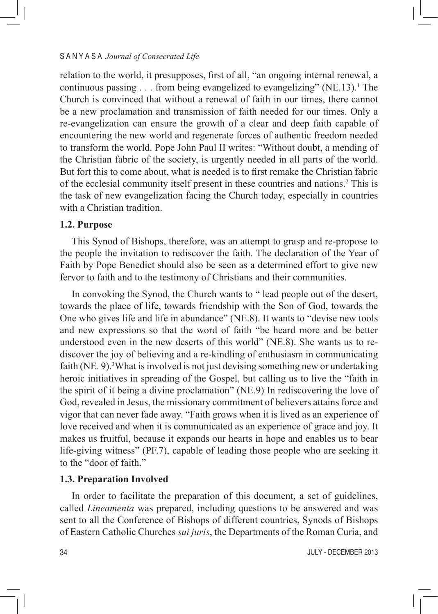relation to the world, it presupposes, first of all, "an ongoing internal renewal, a continuous passing  $\ldots$  from being evangelized to evangelizing" (NE.13).<sup>1</sup> The Church is convinced that without a renewal of faith in our times, there cannot be a new proclamation and transmission of faith needed for our times. Only a re-evangelization can ensure the growth of a clear and deep faith capable of encountering the new world and regenerate forces of authentic freedom needed to transform the world. Pope John Paul II writes: "Without doubt, a mending of the Christian fabric of the society, is urgently needed in all parts of the world. But fort this to come about, what is needed is to first remake the Christian fabric of the ecclesial community itself present in these countries and nations.2 This is the task of new evangelization facing the Church today, especially in countries with a Christian tradition.

### **1.2. Purpose**

This Synod of Bishops, therefore, was an attempt to grasp and re-propose to the people the invitation to rediscover the faith. The declaration of the Year of Faith by Pope Benedict should also be seen as a determined effort to give new fervor to faith and to the testimony of Christians and their communities.

In convoking the Synod, the Church wants to " lead people out of the desert, towards the place of life, towards friendship with the Son of God, towards the One who gives life and life in abundance" (NE.8). It wants to "devise new tools and new expressions so that the word of faith "be heard more and be better understood even in the new deserts of this world" (NE.8). She wants us to rediscover the joy of believing and a re-kindling of enthusiasm in communicating faith (NE. 9).<sup>3</sup> What is involved is not just devising something new or undertaking heroic initiatives in spreading of the Gospel, but calling us to live the "faith in the spirit of it being a divine proclamation" (NE.9) In rediscovering the love of God, revealed in Jesus, the missionary commitment of believers attains force and vigor that can never fade away. "Faith grows when it is lived as an experience of love received and when it is communicated as an experience of grace and joy. It makes us fruitful, because it expands our hearts in hope and enables us to bear life-giving witness" (PF.7), capable of leading those people who are seeking it to the "door of faith."

#### **1.3. Preparation Involved**

In order to facilitate the preparation of this document, a set of guidelines, called *Lineamenta* was prepared, including questions to be answered and was sent to all the Conference of Bishops of different countries, Synods of Bishops of Eastern Catholic Churches *sui juris*, the Departments of the Roman Curia, and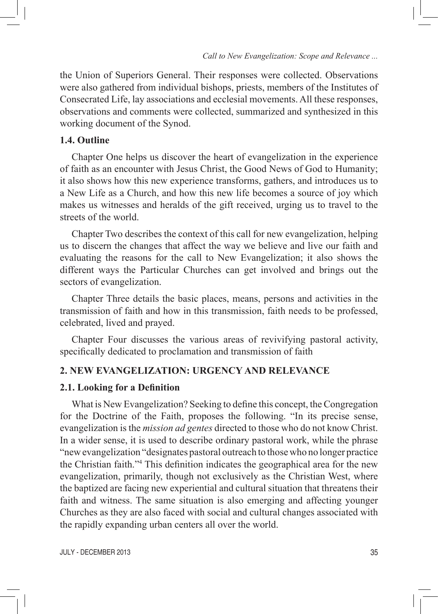the Union of Superiors General. Their responses were collected. Observations were also gathered from individual bishops, priests, members of the Institutes of Consecrated Life, lay associations and ecclesial movements. All these responses, observations and comments were collected, summarized and synthesized in this working document of the Synod.

# **1.4. Outline**

Chapter One helps us discover the heart of evangelization in the experience of faith as an encounter with Jesus Christ, the Good News of God to Humanity; it also shows how this new experience transforms, gathers, and introduces us to a New Life as a Church, and how this new life becomes a source of joy which makes us witnesses and heralds of the gift received, urging us to travel to the streets of the world.

Chapter Two describes the context of this call for new evangelization, helping us to discern the changes that affect the way we believe and live our faith and evaluating the reasons for the call to New Evangelization; it also shows the different ways the Particular Churches can get involved and brings out the sectors of evangelization.

Chapter Three details the basic places, means, persons and activities in the transmission of faith and how in this transmission, faith needs to be professed, celebrated, lived and prayed.

Chapter Four discusses the various areas of revivifying pastoral activity, specifically dedicated to proclamation and transmission of faith

### **2. NEW EVANGELIZATION: URGENCY AND RELEVANCE**

### **2.1. Looking for a Definition**

What is New Evangelization? Seeking to define this concept, the Congregation for the Doctrine of the Faith, proposes the following. "In its precise sense, evangelization is the *mission ad gentes* directed to those who do not know Christ. In a wider sense, it is used to describe ordinary pastoral work, while the phrase "new evangelization "designates pastoral outreach to those who no longer practice the Christian faith."4 This definition indicates the geographical area for the new evangelization, primarily, though not exclusively as the Christian West, where the baptized are facing new experiential and cultural situation that threatens their faith and witness. The same situation is also emerging and affecting younger Churches as they are also faced with social and cultural changes associated with the rapidly expanding urban centers all over the world.

JULY - DECEMBER 2013 35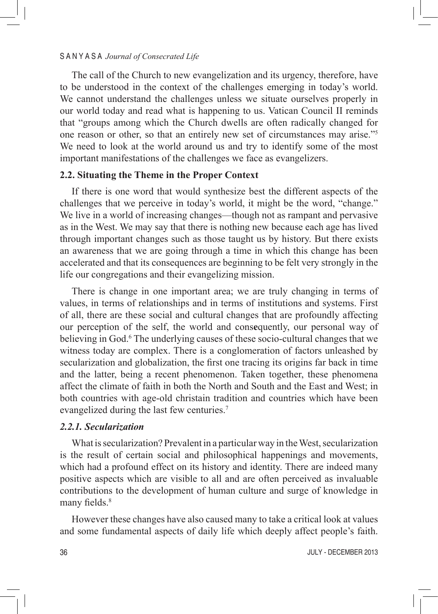The call of the Church to new evangelization and its urgency, therefore, have to be understood in the context of the challenges emerging in today's world. We cannot understand the challenges unless we situate ourselves properly in our world today and read what is happening to us. Vatican Council II reminds that "groups among which the Church dwells are often radically changed for one reason or other, so that an entirely new set of circumstances may arise."5 We need to look at the world around us and try to identify some of the most important manifestations of the challenges we face as evangelizers.

### **2.2. Situating the Theme in the Proper Context**

If there is one word that would synthesize best the different aspects of the challenges that we perceive in today's world, it might be the word, "change." We live in a world of increasing changes—though not as rampant and pervasive as in the West. We may say that there is nothing new because each age has lived through important changes such as those taught us by history. But there exists an awareness that we are going through a time in which this change has been accelerated and that its consequences are beginning to be felt very strongly in the life our congregations and their evangelizing mission.

There is change in one important area; we are truly changing in terms of values, in terms of relationships and in terms of institutions and systems. First of all, there are these social and cultural changes that are profoundly affecting our perception of the self, the world and cons**e**quently, our personal way of believing in God.6 The underlying causes of these socio-cultural changes that we witness today are complex. There is a conglomeration of factors unleashed by secularization and globalization, the first one tracing its origins far back in time and the latter, being a recent phenomenon. Taken together, these phenomena affect the climate of faith in both the North and South and the East and West; in both countries with age-old christain tradition and countries which have been evangelized during the last few centuries.7

# *2.2.1. Secularization*

What is secularization? Prevalent in a particular way in the West, secularization is the result of certain social and philosophical happenings and movements, which had a profound effect on its history and identity. There are indeed many positive aspects which are visible to all and are often perceived as invaluable contributions to the development of human culture and surge of knowledge in many fields.<sup>8</sup>

However these changes have also caused many to take a critical look at values and some fundamental aspects of daily life which deeply affect people's faith.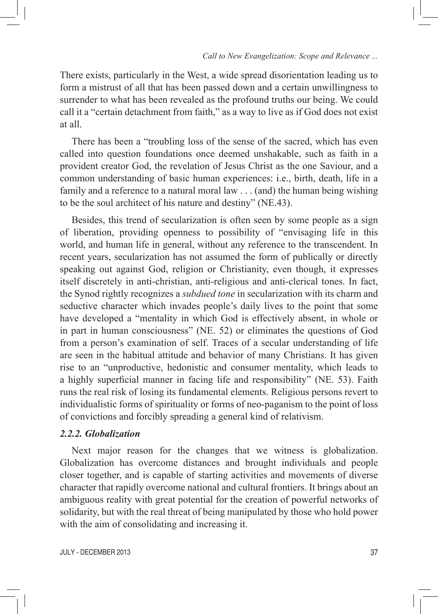There exists, particularly in the West, a wide spread disorientation leading us to form a mistrust of all that has been passed down and a certain unwillingness to surrender to what has been revealed as the profound truths our being. We could call it a "certain detachment from faith," as a way to live as if God does not exist at all.

There has been a "troubling loss of the sense of the sacred, which has even called into question foundations once deemed unshakable, such as faith in a provident creator God, the revelation of Jesus Christ as the one Saviour, and a common understanding of basic human experiences: i.e., birth, death, life in a family and a reference to a natural moral law . . . (and) the human being wishing to be the soul architect of his nature and destiny" (NE.43).

Besides, this trend of secularization is often seen by some people as a sign of liberation, providing openness to possibility of "envisaging life in this world, and human life in general, without any reference to the transcendent. In recent years, secularization has not assumed the form of publically or directly speaking out against God, religion or Christianity, even though, it expresses itself discretely in anti-christian, anti-religious and anti-clerical tones. In fact, the Synod rightly recognizes a *subdued tone* in secularization with its charm and seductive character which invades people's daily lives to the point that some have developed a "mentality in which God is effectively absent, in whole or in part in human consciousness" (NE. 52) or eliminates the questions of God from a person's examination of self. Traces of a secular understanding of life are seen in the habitual attitude and behavior of many Christians. It has given rise to an "unproductive, hedonistic and consumer mentality, which leads to a highly superficial manner in facing life and responsibility" (NE. 53). Faith runs the real risk of losing its fundamental elements. Religious persons revert to individualistic forms of spirituality or forms of neo-paganism to the point of loss of convictions and forcibly spreading a general kind of relativism.

## *2.2.2. Globalization*

Next major reason for the changes that we witness is globalization. Globalization has overcome distances and brought individuals and people closer together, and is capable of starting activities and movements of diverse character that rapidly overcome national and cultural frontiers. It brings about an ambiguous reality with great potential for the creation of powerful networks of solidarity, but with the real threat of being manipulated by those who hold power with the aim of consolidating and increasing it.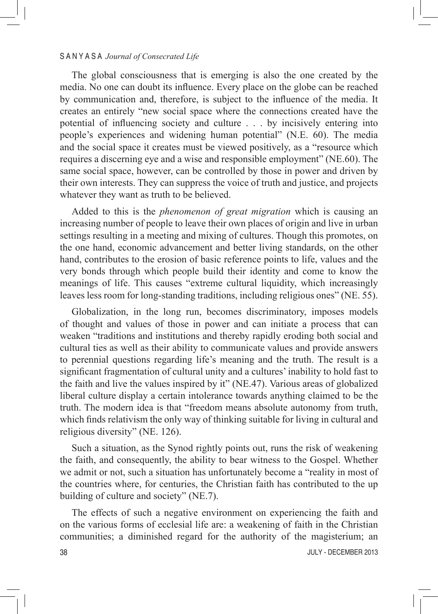The global consciousness that is emerging is also the one created by the media. No one can doubt its influence. Every place on the globe can be reached by communication and, therefore, is subject to the influence of the media. It creates an entirely "new social space where the connections created have the potential of influencing society and culture . . . by incisively entering into people's experiences and widening human potential" (N.E. 60). The media and the social space it creates must be viewed positively, as a "resource which requires a discerning eye and a wise and responsible employment" (NE.60). The same social space, however, can be controlled by those in power and driven by their own interests. They can suppress the voice of truth and justice, and projects whatever they want as truth to be believed.

Added to this is the *phenomenon of great migration* which is causing an increasing number of people to leave their own places of origin and live in urban settings resulting in a meeting and mixing of cultures. Though this promotes, on the one hand, economic advancement and better living standards, on the other hand, contributes to the erosion of basic reference points to life, values and the very bonds through which people build their identity and come to know the meanings of life. This causes "extreme cultural liquidity, which increasingly leaves less room for long-standing traditions, including religious ones" (NE. 55).

Globalization, in the long run, becomes discriminatory, imposes models of thought and values of those in power and can initiate a process that can weaken "traditions and institutions and thereby rapidly eroding both social and cultural ties as well as their ability to communicate values and provide answers to perennial questions regarding life's meaning and the truth. The result is a significant fragmentation of cultural unity and a cultures' inability to hold fast to the faith and live the values inspired by it" (NE.47). Various areas of globalized liberal culture display a certain intolerance towards anything claimed to be the truth. The modern idea is that "freedom means absolute autonomy from truth, which finds relativism the only way of thinking suitable for living in cultural and religious diversity" (NE. 126).

Such a situation, as the Synod rightly points out, runs the risk of weakening the faith, and consequently, the ability to bear witness to the Gospel. Whether we admit or not, such a situation has unfortunately become a "reality in most of the countries where, for centuries, the Christian faith has contributed to the up building of culture and society" (NE.7).

The effects of such a negative environment on experiencing the faith and on the various forms of ecclesial life are: a weakening of faith in the Christian communities; a diminished regard for the authority of the magisterium; an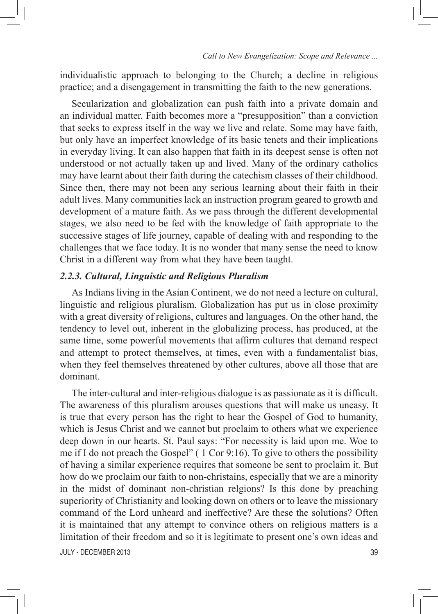individualistic approach to belonging to the Church; a decline in religious practice; and a disengagement in transmitting the faith to the new generations.

Secularization and globalization can push faith into a private domain and an individual matter. Faith becomes more a "presupposition" than a conviction that seeks to express itself in the way we live and relate. Some may have faith, but only have an imperfect knowledge of its basic tenets and their implications in everyday living. It can also happen that faith in its deepest sense is often not understood or not actually taken up and lived. Many of the ordinary catholics may have learnt about their faith during the catechism classes of their childhood. Since then, there may not been any serious learning about their faith in their adult lives. Many communities lack an instruction program geared to growth and development of a mature faith. As we pass through the different developmental stages, we also need to be fed with the knowledge of faith appropriate to the successive stages of life journey, capable of dealing with and responding to the challenges that we face today. It is no wonder that many sense the need to know Christ in a different way from what they have been taught.

## *2.2.3. Cultural, Linguistic and Religious Pluralism*

As Indians living in the Asian Continent, we do not need a lecture on cultural, linguistic and religious pluralism. Globalization has put us in close proximity with a great diversity of religions, cultures and languages. On the other hand, the tendency to level out, inherent in the globalizing process, has produced, at the same time, some powerful movements that affirm cultures that demand respect and attempt to protect themselves, at times, even with a fundamentalist bias, when they feel themselves threatened by other cultures, above all those that are dominant.

The inter-cultural and inter-religious dialogue is as passionate as it is difficult. The awareness of this pluralism arouses questions that will make us uneasy. It is true that every person has the right to hear the Gospel of God to humanity, which is Jesus Christ and we cannot but proclaim to others what we experience deep down in our hearts. St. Paul says: "For necessity is laid upon me. Woe to me if I do not preach the Gospel" ( 1 Cor 9:16). To give to others the possibility of having a similar experience requires that someone be sent to proclaim it. But how do we proclaim our faith to non-christains, especially that we are a minority in the midst of dominant non-christian relgions? Is this done by preaching superiority of Christianity and looking down on others or to leave the missionary command of the Lord unheard and ineffective? Are these the solutions? Often it is maintained that any attempt to convince others on religious matters is a limitation of their freedom and so it is legitimate to present one's own ideas and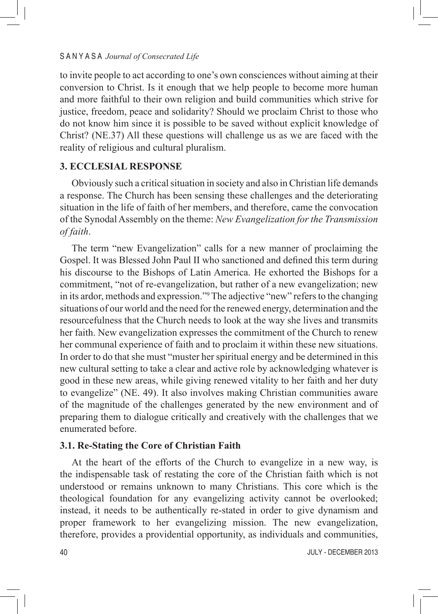to invite people to act according to one's own consciences without aiming at their conversion to Christ. Is it enough that we help people to become more human and more faithful to their own religion and build communities which strive for justice, freedom, peace and solidarity? Should we proclaim Christ to those who do not know him since it is possible to be saved without explicit knowledge of Christ? (NE.37) All these questions will challenge us as we are faced with the reality of religious and cultural pluralism.

## **3. ECCLESIAL RESPONSE**

Obviously such a critical situation in society and also in Christian life demands a response. The Church has been sensing these challenges and the deteriorating situation in the life of faith of her members, and therefore, came the convocation of the Synodal Assembly on the theme: *New Evangelization for the Transmission of faith*.

The term "new Evangelization" calls for a new manner of proclaiming the Gospel. It was Blessed John Paul II who sanctioned and defined this term during his discourse to the Bishops of Latin America. He exhorted the Bishops for a commitment, "not of re-evangelization, but rather of a new evangelization; new in its ardor, methods and expression."9 The adjective "new" refers to the changing situations of our world and the need for the renewed energy, determination and the resourcefulness that the Church needs to look at the way she lives and transmits her faith. New evangelization expresses the commitment of the Church to renew her communal experience of faith and to proclaim it within these new situations. In order to do that she must "muster her spiritual energy and be determined in this new cultural setting to take a clear and active role by acknowledging whatever is good in these new areas, while giving renewed vitality to her faith and her duty to evangelize" (NE. 49). It also involves making Christian communities aware of the magnitude of the challenges generated by the new environment and of preparing them to dialogue critically and creatively with the challenges that we enumerated before.

## **3.1. Re-Stating the Core of Christian Faith**

At the heart of the efforts of the Church to evangelize in a new way, is the indispensable task of restating the core of the Christian faith which is not understood or remains unknown to many Christians. This core which is the theological foundation for any evangelizing activity cannot be overlooked; instead, it needs to be authentically re-stated in order to give dynamism and proper framework to her evangelizing mission. The new evangelization, therefore, provides a providential opportunity, as individuals and communities,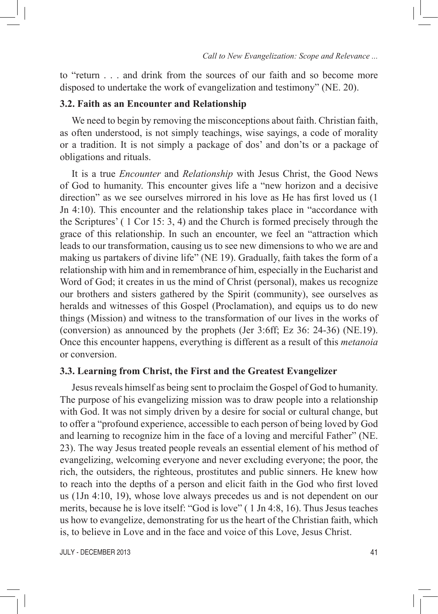to "return . . . and drink from the sources of our faith and so become more disposed to undertake the work of evangelization and testimony" (NE. 20).

#### **3.2. Faith as an Encounter and Relationship**

We need to begin by removing the misconceptions about faith. Christian faith, as often understood, is not simply teachings, wise sayings, a code of morality or a tradition. It is not simply a package of dos' and don'ts or a package of obligations and rituals.

It is a true *Encounter* and *Relationship* with Jesus Christ, the Good News of God to humanity. This encounter gives life a "new horizon and a decisive direction" as we see ourselves mirrored in his love as He has first loved us (1 Jn 4:10). This encounter and the relationship takes place in "accordance with the Scriptures' ( 1 Cor 15: 3, 4) and the Church is formed precisely through the grace of this relationship. In such an encounter, we feel an "attraction which leads to our transformation, causing us to see new dimensions to who we are and making us partakers of divine life" (NE 19). Gradually, faith takes the form of a relationship with him and in remembrance of him, especially in the Eucharist and Word of God; it creates in us the mind of Christ (personal), makes us recognize our brothers and sisters gathered by the Spirit (community), see ourselves as heralds and witnesses of this Gospel (Proclamation), and equips us to do new things (Mission) and witness to the transformation of our lives in the works of (conversion) as announced by the prophets (Jer 3:6ff; Ez 36: 24-36) (NE.19). Once this encounter happens, everything is different as a result of this *metanoia* or conversion.

## **3.3. Learning from Christ, the First and the Greatest Evangelizer**

Jesus reveals himself as being sent to proclaim the Gospel of God to humanity. The purpose of his evangelizing mission was to draw people into a relationship with God. It was not simply driven by a desire for social or cultural change, but to offer a "profound experience, accessible to each person of being loved by God and learning to recognize him in the face of a loving and merciful Father" (NE. 23). The way Jesus treated people reveals an essential element of his method of evangelizing, welcoming everyone and never excluding everyone; the poor, the rich, the outsiders, the righteous, prostitutes and public sinners. He knew how to reach into the depths of a person and elicit faith in the God who first loved us (1Jn 4:10, 19), whose love always precedes us and is not dependent on our merits, because he is love itself: "God is love" ( 1 Jn 4:8, 16). Thus Jesus teaches us how to evangelize, demonstrating for us the heart of the Christian faith, which is, to believe in Love and in the face and voice of this Love, Jesus Christ.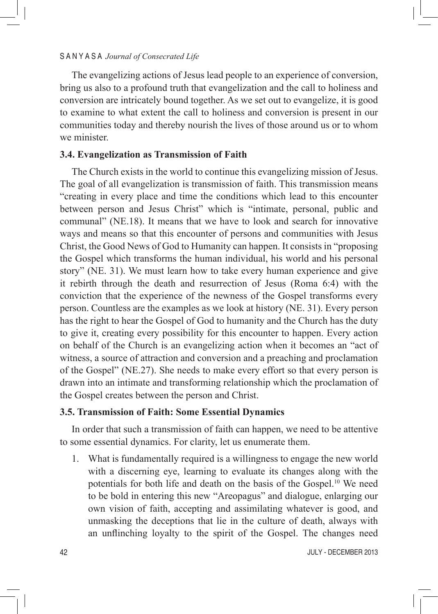The evangelizing actions of Jesus lead people to an experience of conversion, bring us also to a profound truth that evangelization and the call to holiness and conversion are intricately bound together. As we set out to evangelize, it is good to examine to what extent the call to holiness and conversion is present in our communities today and thereby nourish the lives of those around us or to whom we minister.

#### **3.4. Evangelization as Transmission of Faith**

The Church exists in the world to continue this evangelizing mission of Jesus. The goal of all evangelization is transmission of faith. This transmission means "creating in every place and time the conditions which lead to this encounter between person and Jesus Christ" which is "intimate, personal, public and communal" (NE.18). It means that we have to look and search for innovative ways and means so that this encounter of persons and communities with Jesus Christ, the Good News of God to Humanity can happen. It consists in "proposing the Gospel which transforms the human individual, his world and his personal story" (NE. 31). We must learn how to take every human experience and give it rebirth through the death and resurrection of Jesus (Roma 6:4) with the conviction that the experience of the newness of the Gospel transforms every person. Countless are the examples as we look at history (NE. 31). Every person has the right to hear the Gospel of God to humanity and the Church has the duty to give it, creating every possibility for this encounter to happen. Every action on behalf of the Church is an evangelizing action when it becomes an "act of witness, a source of attraction and conversion and a preaching and proclamation of the Gospel" (NE.27). She needs to make every effort so that every person is drawn into an intimate and transforming relationship which the proclamation of the Gospel creates between the person and Christ.

#### **3.5. Transmission of Faith: Some Essential Dynamics**

In order that such a transmission of faith can happen, we need to be attentive to some essential dynamics. For clarity, let us enumerate them.

1. What is fundamentally required is a willingness to engage the new world with a discerning eye, learning to evaluate its changes along with the potentials for both life and death on the basis of the Gospel.10 We need to be bold in entering this new "Areopagus" and dialogue, enlarging our own vision of faith, accepting and assimilating whatever is good, and unmasking the deceptions that lie in the culture of death, always with an unflinching loyalty to the spirit of the Gospel. The changes need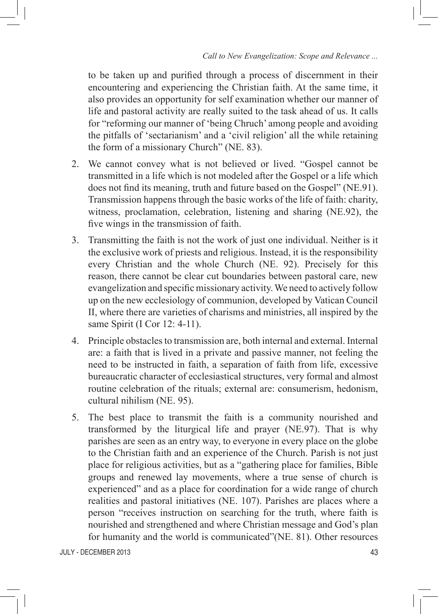to be taken up and purified through a process of discernment in their encountering and experiencing the Christian faith. At the same time, it also provides an opportunity for self examination whether our manner of life and pastoral activity are really suited to the task ahead of us. It calls for "reforming our manner of 'being Chruch' among people and avoiding the pitfalls of 'sectarianism' and a 'civil religion' all the while retaining the form of a missionary Church" (NE. 83).

- 2. We cannot convey what is not believed or lived. "Gospel cannot be transmitted in a life which is not modeled after the Gospel or a life which does not find its meaning, truth and future based on the Gospel" (NE.91). Transmission happens through the basic works of the life of faith: charity, witness, proclamation, celebration, listening and sharing (NE.92), the five wings in the transmission of faith.
- 3. Transmitting the faith is not the work of just one individual. Neither is it the exclusive work of priests and religious. Instead, it is the responsibility every Christian and the whole Church (NE. 92). Precisely for this reason, there cannot be clear cut boundaries between pastoral care, new evangelization and specific missionary activity. We need to actively follow up on the new ecclesiology of communion, developed by Vatican Council II, where there are varieties of charisms and ministries, all inspired by the same Spirit (I Cor 12: 4-11).
- 4. Principle obstacles to transmission are, both internal and external. Internal are: a faith that is lived in a private and passive manner, not feeling the need to be instructed in faith, a separation of faith from life, excessive bureaucratic character of ecclesiastical structures, very formal and almost routine celebration of the rituals; external are: consumerism, hedonism, cultural nihilism (NE. 95).
- 5. The best place to transmit the faith is a community nourished and transformed by the liturgical life and prayer (NE.97). That is why parishes are seen as an entry way, to everyone in every place on the globe to the Christian faith and an experience of the Church. Parish is not just place for religious activities, but as a "gathering place for families, Bible groups and renewed lay movements, where a true sense of church is experienced" and as a place for coordination for a wide range of church realities and pastoral initiatives (NE. 107). Parishes are places where a person "receives instruction on searching for the truth, where faith is nourished and strengthened and where Christian message and God's plan for humanity and the world is communicated"(NE. 81). Other resources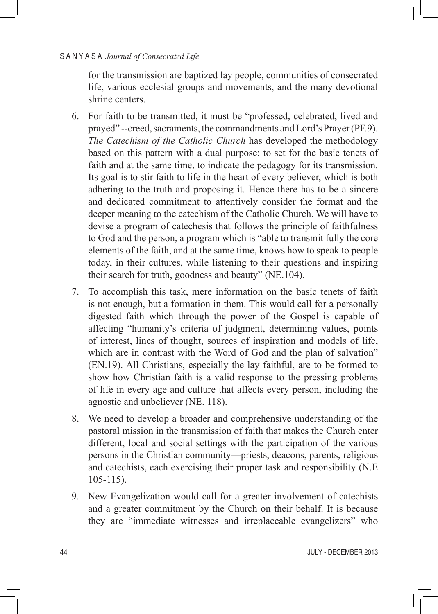for the transmission are baptized lay people, communities of consecrated life, various ecclesial groups and movements, and the many devotional shrine centers.

- 6. For faith to be transmitted, it must be "professed, celebrated, lived and prayed" --creed, sacraments, the commandments and Lord's Prayer (PF.9). *The Catechism of the Catholic Church* has developed the methodology based on this pattern with a dual purpose: to set for the basic tenets of faith and at the same time, to indicate the pedagogy for its transmission. Its goal is to stir faith to life in the heart of every believer, which is both adhering to the truth and proposing it. Hence there has to be a sincere and dedicated commitment to attentively consider the format and the deeper meaning to the catechism of the Catholic Church. We will have to devise a program of catechesis that follows the principle of faithfulness to God and the person, a program which is "able to transmit fully the core elements of the faith, and at the same time, knows how to speak to people today, in their cultures, while listening to their questions and inspiring their search for truth, goodness and beauty" (NE.104).
- 7. To accomplish this task, mere information on the basic tenets of faith is not enough, but a formation in them. This would call for a personally digested faith which through the power of the Gospel is capable of affecting "humanity's criteria of judgment, determining values, points of interest, lines of thought, sources of inspiration and models of life, which are in contrast with the Word of God and the plan of salvation" (EN.19). All Christians, especially the lay faithful, are to be formed to show how Christian faith is a valid response to the pressing problems of life in every age and culture that affects every person, including the agnostic and unbeliever (NE. 118).
- 8. We need to develop a broader and comprehensive understanding of the pastoral mission in the transmission of faith that makes the Church enter different, local and social settings with the participation of the various persons in the Christian community—priests, deacons, parents, religious and catechists, each exercising their proper task and responsibility (N.E 105-115).
- 9. New Evangelization would call for a greater involvement of catechists and a greater commitment by the Church on their behalf. It is because they are "immediate witnesses and irreplaceable evangelizers" who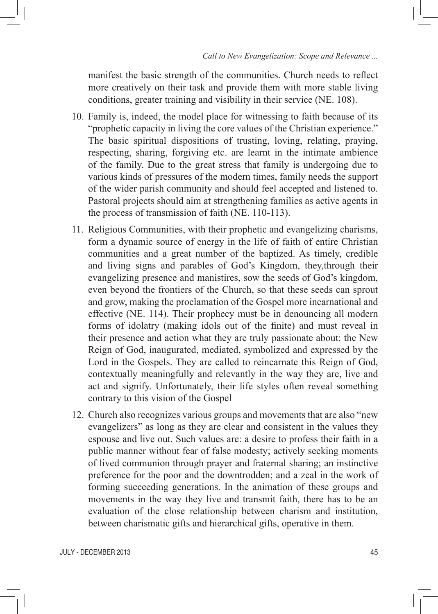manifest the basic strength of the communities. Church needs to reflect more creatively on their task and provide them with more stable living conditions, greater training and visibility in their service (NE. 108).

- 10. Family is, indeed, the model place for witnessing to faith because of its "prophetic capacity in living the core values of the Christian experience." The basic spiritual dispositions of trusting, loving, relating, praying, respecting, sharing, forgiving etc. are learnt in the intimate ambience of the family. Due to the great stress that family is undergoing due to various kinds of pressures of the modern times, family needs the support of the wider parish community and should feel accepted and listened to. Pastoral projects should aim at strengthening families as active agents in the process of transmission of faith (NE. 110-113).
- 11. Religious Communities, with their prophetic and evangelizing charisms, form a dynamic source of energy in the life of faith of entire Christian communities and a great number of the baptized. As timely, credible and living signs and parables of God's Kingdom, they,through their evangelizing presence and manistires, sow the seeds of God's kingdom, even beyond the frontiers of the Church, so that these seeds can sprout and grow, making the proclamation of the Gospel more incarnational and effective (NE. 114). Their prophecy must be in denouncing all modern forms of idolatry (making idols out of the finite) and must reveal in their presence and action what they are truly passionate about: the New Reign of God, inaugurated, mediated, symbolized and expressed by the Lord in the Gospels. They are called to reincarnate this Reign of God, contextually meaningfully and relevantly in the way they are, live and act and signify. Unfortunately, their life styles often reveal something contrary to this vision of the Gospel
- 12. Church also recognizes various groups and movements that are also "new evangelizers" as long as they are clear and consistent in the values they espouse and live out. Such values are: a desire to profess their faith in a public manner without fear of false modesty; actively seeking moments of lived communion through prayer and fraternal sharing; an instinctive preference for the poor and the downtrodden; and a zeal in the work of forming succeeding generations. In the animation of these groups and movements in the way they live and transmit faith, there has to be an evaluation of the close relationship between charism and institution, between charismatic gifts and hierarchical gifts, operative in them.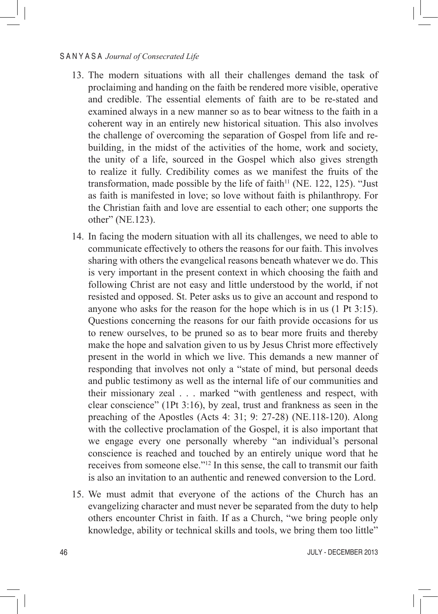- 13. The modern situations with all their challenges demand the task of proclaiming and handing on the faith be rendered more visible, operative and credible. The essential elements of faith are to be re-stated and examined always in a new manner so as to bear witness to the faith in a coherent way in an entirely new historical situation. This also involves the challenge of overcoming the separation of Gospel from life and rebuilding, in the midst of the activities of the home, work and society, the unity of a life, sourced in the Gospel which also gives strength to realize it fully. Credibility comes as we manifest the fruits of the transformation, made possible by the life of faith $11$  (NE. 122, 125). "Just as faith is manifested in love; so love without faith is philanthropy. For the Christian faith and love are essential to each other; one supports the other" (NE.123).
- 14. In facing the modern situation with all its challenges, we need to able to communicate effectively to others the reasons for our faith. This involves sharing with others the evangelical reasons beneath whatever we do. This is very important in the present context in which choosing the faith and following Christ are not easy and little understood by the world, if not resisted and opposed. St. Peter asks us to give an account and respond to anyone who asks for the reason for the hope which is in us (1 Pt 3:15). Questions concerning the reasons for our faith provide occasions for us to renew ourselves, to be pruned so as to bear more fruits and thereby make the hope and salvation given to us by Jesus Christ more effectively present in the world in which we live. This demands a new manner of responding that involves not only a "state of mind, but personal deeds and public testimony as well as the internal life of our communities and their missionary zeal . . . marked "with gentleness and respect, with clear conscience" (1Pt 3:16), by zeal, trust and frankness as seen in the preaching of the Apostles (Acts 4: 31; 9: 27-28) (NE.118-120). Along with the collective proclamation of the Gospel, it is also important that we engage every one personally whereby "an individual's personal conscience is reached and touched by an entirely unique word that he receives from someone else."12 In this sense, the call to transmit our faith is also an invitation to an authentic and renewed conversion to the Lord.
- 15. We must admit that everyone of the actions of the Church has an evangelizing character and must never be separated from the duty to help others encounter Christ in faith. If as a Church, "we bring people only knowledge, ability or technical skills and tools, we bring them too little"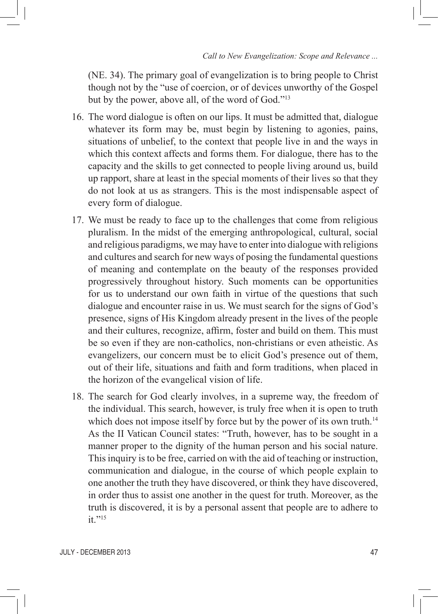(NE. 34). The primary goal of evangelization is to bring people to Christ though not by the "use of coercion, or of devices unworthy of the Gospel but by the power, above all, of the word of God."13

- 16. The word dialogue is often on our lips. It must be admitted that, dialogue whatever its form may be, must begin by listening to agonies, pains, situations of unbelief, to the context that people live in and the ways in which this context affects and forms them. For dialogue, there has to the capacity and the skills to get connected to people living around us, build up rapport, share at least in the special moments of their lives so that they do not look at us as strangers. This is the most indispensable aspect of every form of dialogue.
- 17. We must be ready to face up to the challenges that come from religious pluralism. In the midst of the emerging anthropological, cultural, social and religious paradigms, we may have to enter into dialogue with religions and cultures and search for new ways of posing the fundamental questions of meaning and contemplate on the beauty of the responses provided progressively throughout history. Such moments can be opportunities for us to understand our own faith in virtue of the questions that such dialogue and encounter raise in us. We must search for the signs of God's presence, signs of His Kingdom already present in the lives of the people and their cultures, recognize, affirm, foster and build on them. This must be so even if they are non-catholics, non-christians or even atheistic. As evangelizers, our concern must be to elicit God's presence out of them, out of their life, situations and faith and form traditions, when placed in the horizon of the evangelical vision of life.
- 18. The search for God clearly involves, in a supreme way, the freedom of the individual. This search, however, is truly free when it is open to truth which does not impose itself by force but by the power of its own truth.<sup>14</sup> As the II Vatican Council states: "Truth, however, has to be sought in a manner proper to the dignity of the human person and his social nature. This inquiry is to be free, carried on with the aid of teaching or instruction, communication and dialogue, in the course of which people explain to one another the truth they have discovered, or think they have discovered, in order thus to assist one another in the quest for truth. Moreover, as the truth is discovered, it is by a personal assent that people are to adhere to  $it.$ "<sup>15</sup>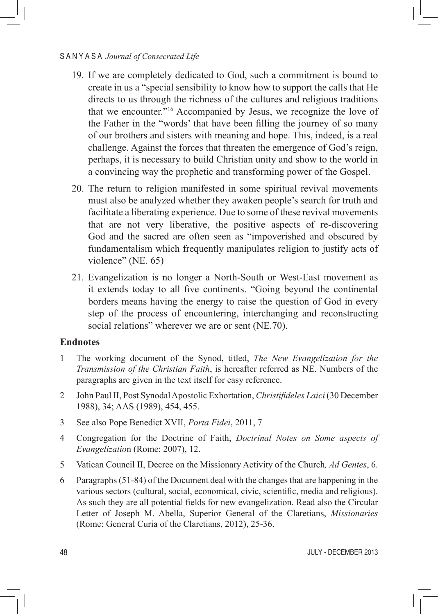- 19. If we are completely dedicated to God, such a commitment is bound to create in us a "special sensibility to know how to support the calls that He directs to us through the richness of the cultures and religious traditions that we encounter."16 Accompanied by Jesus, we recognize the love of the Father in the "words' that have been filling the journey of so many of our brothers and sisters with meaning and hope. This, indeed, is a real challenge. Against the forces that threaten the emergence of God's reign, perhaps, it is necessary to build Christian unity and show to the world in a convincing way the prophetic and transforming power of the Gospel.
- 20. The return to religion manifested in some spiritual revival movements must also be analyzed whether they awaken people's search for truth and facilitate a liberating experience. Due to some of these revival movements that are not very liberative, the positive aspects of re-discovering God and the sacred are often seen as "impoverished and obscured by fundamentalism which frequently manipulates religion to justify acts of violence" (NE. 65)
- 21. Evangelization is no longer a North-South or West-East movement as it extends today to all five continents. "Going beyond the continental borders means having the energy to raise the question of God in every step of the process of encountering, interchanging and reconstructing social relations" wherever we are or sent (NE.70).

## **Endnotes**

- 1 The working document of the Synod, titled, *The New Evangelization for the Transmission of the Christian Faith*, is hereafter referred as NE. Numbers of the paragraphs are given in the text itself for easy reference.
- 2 John Paul II, Post Synodal Apostolic Exhortation, *Christifideles Laici* (30 December 1988), 34; AAS (1989), 454, 455.
- 3 See also Pope Benedict XVII, *Porta Fidei*, 2011, 7
- 4 Congregation for the Doctrine of Faith, *Doctrinal Notes on Some aspects of Evangelizatio*n (Rome: 2007), 12.
- 5 Vatican Council II, Decree on the Missionary Activity of the Church*, Ad Gentes*, 6.
- 6 Paragraphs (51-84) of the Document deal with the changes that are happening in the various sectors (cultural, social, economical, civic, scientific, media and religious). As such they are all potential fields for new evangelization. Read also the Circular Letter of Joseph M. Abella, Superior General of the Claretians, *Missionaries* (Rome: General Curia of the Claretians, 2012), 25-36.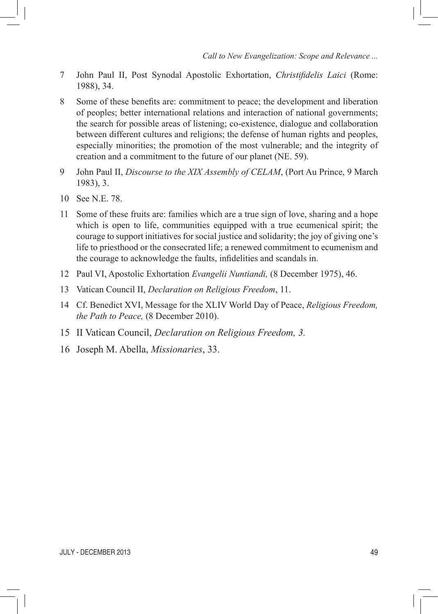- 7 John Paul II, Post Synodal Apostolic Exhortation, *Christifidelis Laici* (Rome: 1988), 34.
- 8 Some of these benefits are: commitment to peace; the development and liberation of peoples; better international relations and interaction of national governments; the search for possible areas of listening; co-existence, dialogue and collaboration between different cultures and religions; the defense of human rights and peoples, especially minorities; the promotion of the most vulnerable; and the integrity of creation and a commitment to the future of our planet (NE. 59).
- 9 John Paul II, *Discourse to the XIX Assembly of CELAM*, (Port Au Prince, 9 March 1983), 3.
- 10 See N.E. 78.
- 11 Some of these fruits are: families which are a true sign of love, sharing and a hope which is open to life, communities equipped with a true ecumenical spirit; the courage to support initiatives for social justice and solidarity; the joy of giving one's life to priesthood or the consecrated life; a renewed commitment to ecumenism and the courage to acknowledge the faults, infidelities and scandals in.
- 12 Paul VI, Apostolic Exhortation *Evangelii Nuntiandi,* (8 December 1975), 46.
- 13 Vatican Council II, *Declaration on Religious Freedom*, 11.
- 14 Cf. Benedict XVI, Message for the XLIV World Day of Peace, *Religious Freedom, the Path to Peace,* (8 December 2010).
- 15 II Vatican Council, *Declaration on Religious Freedom, 3.*
- 16 Joseph M. Abella, *Missionaries*, 33.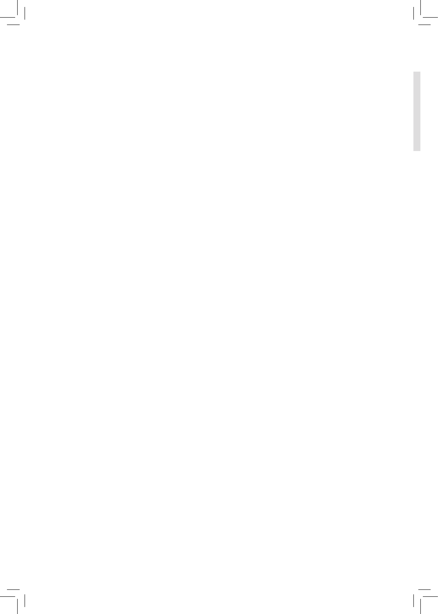$\frac{1}{\sqrt{2\pi}}$  $\begin{array}{c} \begin{array}{c} \end{array} \end{array}$  $\frac{1}{\sqrt{1-\frac{1}{2}}}$  $\frac{1}{\sqrt{1}}$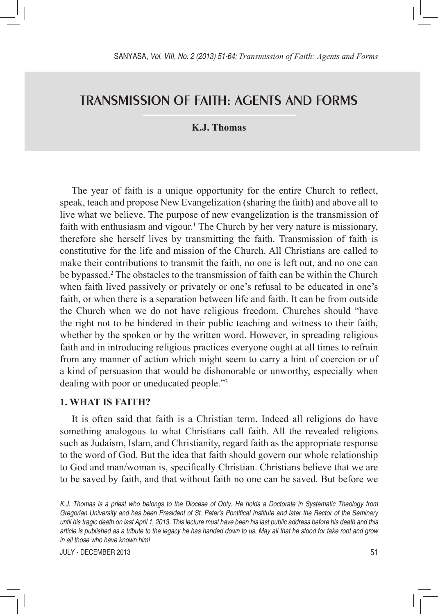## TRANSMISSION OF FAITH: AGENTS AND FORMS

## **K.J. Thomas**

The year of faith is a unique opportunity for the entire Church to reflect, speak, teach and propose New Evangelization (sharing the faith) and above all to live what we believe. The purpose of new evangelization is the transmission of faith with enthusiasm and vigour.<sup>1</sup> The Church by her very nature is missionary, therefore she herself lives by transmitting the faith. Transmission of faith is constitutive for the life and mission of the Church. All Christians are called to make their contributions to transmit the faith, no one is left out, and no one can be bypassed.2 The obstacles to the transmission of faith can be within the Church when faith lived passively or privately or one's refusal to be educated in one's faith, or when there is a separation between life and faith. It can be from outside the Church when we do not have religious freedom. Churches should "have the right not to be hindered in their public teaching and witness to their faith, whether by the spoken or by the written word. However, in spreading religious faith and in introducing religious practices everyone ought at all times to refrain from any manner of action which might seem to carry a hint of coercion or of a kind of persuasion that would be dishonorable or unworthy, especially when dealing with poor or uneducated people."3

#### **1. WHAT IS FAITH?**

It is often said that faith is a Christian term. Indeed all religions do have something analogous to what Christians call faith. All the revealed religions such as Judaism, Islam, and Christianity, regard faith as the appropriate response to the word of God. But the idea that faith should govern our whole relationship to God and man/woman is, specifically Christian. Christians believe that we are to be saved by faith, and that without faith no one can be saved. But before we

*K.J. Thomas is a priest who belongs to the Diocese of Ooty. He holds a Doctorate in Systematic Theology from*  Gregorian University and has been President of St. Peter's Pontifical Institute and later the Rector of the Seminary *until his tragic death on last April 1, 2013. This lecture must have been his last public address before his death and this article is published as a tribute to the legacy he has handed down to us. May all that he stood for take root and grow in all those who have known him!*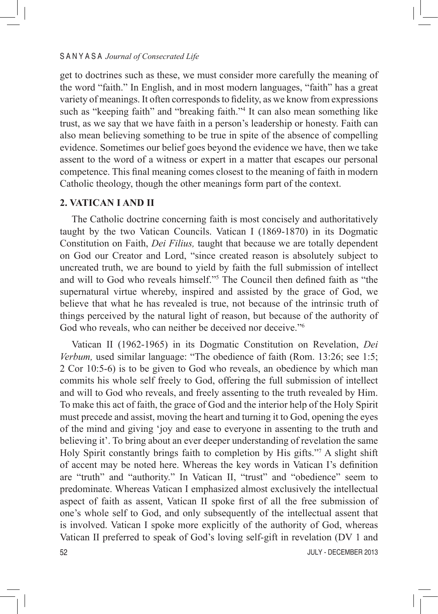get to doctrines such as these, we must consider more carefully the meaning of the word "faith." In English, and in most modern languages, "faith" has a great variety of meanings. It often corresponds to fidelity, as we know from expressions such as "keeping faith" and "breaking faith."4 It can also mean something like trust, as we say that we have faith in a person's leadership or honesty. Faith can also mean believing something to be true in spite of the absence of compelling evidence. Sometimes our belief goes beyond the evidence we have, then we take assent to the word of a witness or expert in a matter that escapes our personal competence. This final meaning comes closest to the meaning of faith in modern Catholic theology, though the other meanings form part of the context.

## **2. VATICAN I AND II**

The Catholic doctrine concerning faith is most concisely and authoritatively taught by the two Vatican Councils. Vatican I (1869-1870) in its Dogmatic Constitution on Faith, *Dei Filius,* taught that because we are totally dependent on God our Creator and Lord, "since created reason is absolutely subject to uncreated truth, we are bound to yield by faith the full submission of intellect and will to God who reveals himself."5 The Council then defined faith as "the supernatural virtue whereby, inspired and assisted by the grace of God, we believe that what he has revealed is true, not because of the intrinsic truth of things perceived by the natural light of reason, but because of the authority of God who reveals, who can neither be deceived nor deceive."<sup>6</sup>

52 JULY - DECEMBER 2013 Vatican II (1962-1965) in its Dogmatic Constitution on Revelation, *Dei Verbum,* used similar language: "The obedience of faith (Rom. 13:26; see 1:5; 2 Cor 10:5-6) is to be given to God who reveals, an obedience by which man commits his whole self freely to God, offering the full submission of intellect and will to God who reveals, and freely assenting to the truth revealed by Him. To make this act of faith, the grace of God and the interior help of the Holy Spirit must precede and assist, moving the heart and turning it to God, opening the eyes of the mind and giving 'joy and ease to everyone in assenting to the truth and believing it'. To bring about an ever deeper understanding of revelation the same Holy Spirit constantly brings faith to completion by His gifts."7 A slight shift of accent may be noted here. Whereas the key words in Vatican I's definition are "truth" and "authority." In Vatican II, "trust" and "obedience" seem to predominate. Whereas Vatican I emphasized almost exclusively the intellectual aspect of faith as assent, Vatican II spoke first of all the free submission of one's whole self to God, and only subsequently of the intellectual assent that is involved. Vatican I spoke more explicitly of the authority of God, whereas Vatican II preferred to speak of God's loving self-gift in revelation (DV 1 and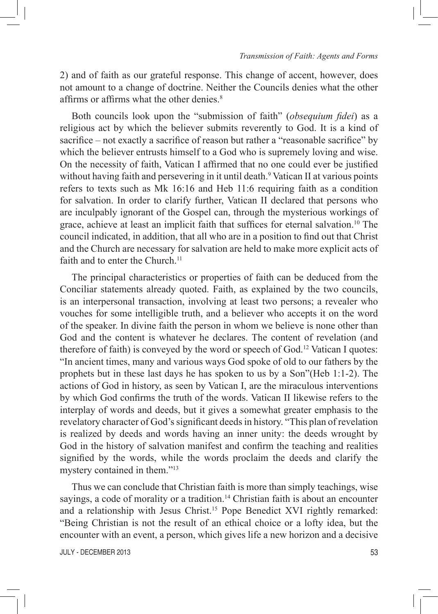2) and of faith as our grateful response. This change of accent, however, does not amount to a change of doctrine. Neither the Councils denies what the other affirms or affirms what the other denies.<sup>8</sup>

Both councils look upon the "submission of faith" (*obsequium fidei*) as a religious act by which the believer submits reverently to God. It is a kind of sacrifice – not exactly a sacrifice of reason but rather a "reasonable sacrifice" by which the believer entrusts himself to a God who is supremely loving and wise. On the necessity of faith, Vatican I affirmed that no one could ever be justified without having faith and persevering in it until death.<sup>9</sup> Vatican II at various points refers to texts such as Mk 16:16 and Heb 11:6 requiring faith as a condition for salvation. In order to clarify further, Vatican II declared that persons who are inculpably ignorant of the Gospel can, through the mysterious workings of grace, achieve at least an implicit faith that suffices for eternal salvation.10 The council indicated, in addition, that all who are in a position to find out that Christ and the Church are necessary for salvation are held to make more explicit acts of faith and to enter the Church.<sup>11</sup>

The principal characteristics or properties of faith can be deduced from the Conciliar statements already quoted. Faith, as explained by the two councils, is an interpersonal transaction, involving at least two persons; a revealer who vouches for some intelligible truth, and a believer who accepts it on the word of the speaker. In divine faith the person in whom we believe is none other than God and the content is whatever he declares. The content of revelation (and therefore of faith) is conveyed by the word or speech of God.12 Vatican I quotes: "In ancient times, many and various ways God spoke of old to our fathers by the prophets but in these last days he has spoken to us by a Son"(Heb 1:1-2). The actions of God in history, as seen by Vatican I, are the miraculous interventions by which God confirms the truth of the words. Vatican II likewise refers to the interplay of words and deeds, but it gives a somewhat greater emphasis to the revelatory character of God's significant deeds in history. "This plan of revelation is realized by deeds and words having an inner unity: the deeds wrought by God in the history of salvation manifest and confirm the teaching and realities signified by the words, while the words proclaim the deeds and clarify the mystery contained in them."13

Thus we can conclude that Christian faith is more than simply teachings, wise sayings, a code of morality or a tradition.<sup>14</sup> Christian faith is about an encounter and a relationship with Jesus Christ.15 Pope Benedict XVI rightly remarked: "Being Christian is not the result of an ethical choice or a lofty idea, but the encounter with an event, a person, which gives life a new horizon and a decisive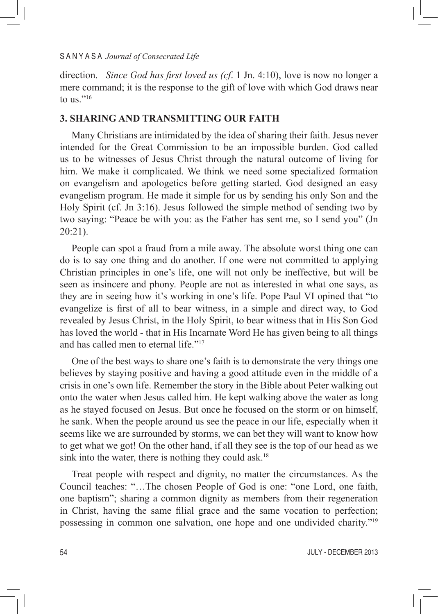direction. *Since God has first loved us (cf*. 1 Jn. 4:10), love is now no longer a mere command; it is the response to the gift of love with which God draws near to us."16

#### **3. SHARING AND TRANSMITTING OUR FAITH**

Many Christians are intimidated by the idea of sharing their faith. Jesus never intended for the Great Commission to be an impossible burden. God called us to be witnesses of Jesus Christ through the natural outcome of living for him. We make it complicated. We think we need some specialized formation on evangelism and apologetics before getting started. God designed an easy evangelism program. He made it simple for us by sending his only Son and the Holy Spirit (cf. Jn 3:16). Jesus followed the simple method of sending two by two saying: "Peace be with you: as the Father has sent me, so I send you" (Jn 20:21).

People can spot a fraud from a mile away. The absolute worst thing one can do is to say one thing and do another. If one were not committed to applying Christian principles in one's life, one will not only be ineffective, but will be seen as insincere and phony. People are not as interested in what one says, as they are in seeing how it's working in one's life. Pope Paul VI opined that "to evangelize is first of all to bear witness, in a simple and direct way, to God revealed by Jesus Christ, in the Holy Spirit, to bear witness that in His Son God has loved the world - that in His Incarnate Word He has given being to all things and has called men to eternal life."<sup>17</sup>

One of the best ways to share one's faith is to demonstrate the very things one believes by staying positive and having a good attitude even in the middle of a crisis in one's own life. Remember the story in the Bible about Peter walking out onto the water when Jesus called him. He kept walking above the water as long as he stayed focused on Jesus. But once he focused on the storm or on himself, he sank. When the people around us see the peace in our life, especially when it seems like we are surrounded by storms, we can bet they will want to know how to get what we got! On the other hand, if all they see is the top of our head as we sink into the water, there is nothing they could ask.<sup>18</sup>

Treat people with respect and dignity, no matter the circumstances. As the Council teaches: "…The chosen People of God is one: "one Lord, one faith, one baptism"; sharing a common dignity as members from their regeneration in Christ, having the same filial grace and the same vocation to perfection; possessing in common one salvation, one hope and one undivided charity."19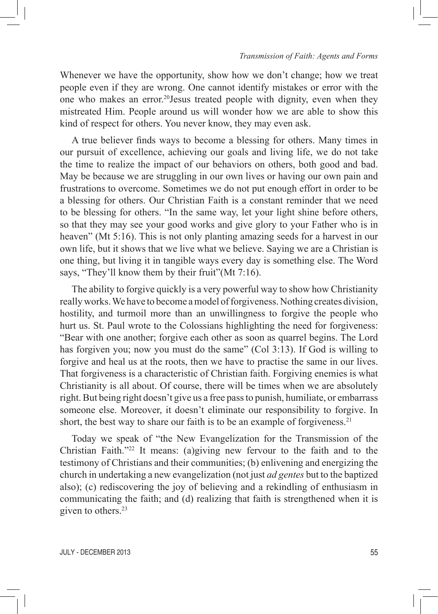Whenever we have the opportunity, show how we don't change; how we treat people even if they are wrong. One cannot identify mistakes or error with the one who makes an error.20Jesus treated people with dignity, even when they mistreated Him. People around us will wonder how we are able to show this kind of respect for others. You never know, they may even ask.

A true believer finds ways to become a blessing for others. Many times in our pursuit of excellence, achieving our goals and living life, we do not take the time to realize the impact of our behaviors on others, both good and bad. May be because we are struggling in our own lives or having our own pain and frustrations to overcome. Sometimes we do not put enough effort in order to be a blessing for others. Our Christian Faith is a constant reminder that we need to be blessing for others. "In the same way, let your light shine before others, so that they may see your good works and give glory to your Father who is in heaven" (Mt 5:16). This is not only planting amazing seeds for a harvest in our own life, but it shows that we live what we believe. Saying we are a Christian is one thing, but living it in tangible ways every day is something else. The Word says, "They'll know them by their fruit" (Mt 7:16).

The ability to forgive quickly is a very powerful way to show how Christianity really works. We have to become a model of forgiveness. Nothing creates division, hostility, and turmoil more than an unwillingness to forgive the people who hurt us. St. Paul wrote to the Colossians highlighting the need for forgiveness: "Bear with one another; forgive each other as soon as quarrel begins. The Lord has forgiven you; now you must do the same" (Col 3:13). If God is willing to forgive and heal us at the roots, then we have to practise the same in our lives. That forgiveness is a characteristic of Christian faith. Forgiving enemies is what Christianity is all about. Of course, there will be times when we are absolutely right. But being right doesn't give us a free pass to punish, humiliate, or embarrass someone else. Moreover, it doesn't eliminate our responsibility to forgive. In short, the best way to share our faith is to be an example of forgiveness.<sup>21</sup>

Today we speak of "the New Evangelization for the Transmission of the Christian Faith."22 It means: (a)giving new fervour to the faith and to the testimony of Christians and their communities; (b) enlivening and energizing the church in undertaking a new evangelization (not just *ad gentes* but to the baptized also); (c) rediscovering the joy of believing and a rekindling of enthusiasm in communicating the faith; and (d) realizing that faith is strengthened when it is given to others.23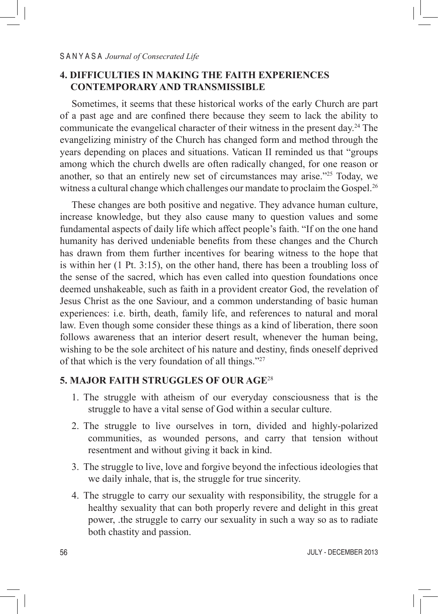## **4. DIFFICULTIES IN MAKING THE FAITH EXPERIENCES CONTEMPORARY AND TRANSMISSIBLE**

Sometimes, it seems that these historical works of the early Church are part of a past age and are confined there because they seem to lack the ability to communicate the evangelical character of their witness in the present day.<sup>24</sup> The evangelizing ministry of the Church has changed form and method through the years depending on places and situations. Vatican II reminded us that "groups among which the church dwells are often radically changed, for one reason or another, so that an entirely new set of circumstances may arise."25 Today, we witness a cultural change which challenges our mandate to proclaim the Gospel.<sup>26</sup>

These changes are both positive and negative. They advance human culture, increase knowledge, but they also cause many to question values and some fundamental aspects of daily life which affect people's faith. "If on the one hand humanity has derived undeniable benefits from these changes and the Church has drawn from them further incentives for bearing witness to the hope that is within her (1 Pt. 3:15), on the other hand, there has been a troubling loss of the sense of the sacred, which has even called into question foundations once deemed unshakeable, such as faith in a provident creator God, the revelation of Jesus Christ as the one Saviour, and a common understanding of basic human experiences: i.e. birth, death, family life, and references to natural and moral law. Even though some consider these things as a kind of liberation, there soon follows awareness that an interior desert result, whenever the human being, wishing to be the sole architect of his nature and destiny, finds oneself deprived of that which is the very foundation of all things."27

## **5. MAJOR FAITH STRUGGLES OF OUR AGE**<sup>28</sup>

- 1. The struggle with atheism of our everyday consciousness that is the struggle to have a vital sense of God within a secular culture.
- 2. The struggle to live ourselves in torn, divided and highly-polarized communities, as wounded persons, and carry that tension without resentment and without giving it back in kind.
- 3. The struggle to live, love and forgive beyond the infectious ideologies that we daily inhale, that is, the struggle for true sincerity.
- 4. The struggle to carry our sexuality with responsibility, the struggle for a healthy sexuality that can both properly revere and delight in this great power, .the struggle to carry our sexuality in such a way so as to radiate both chastity and passion.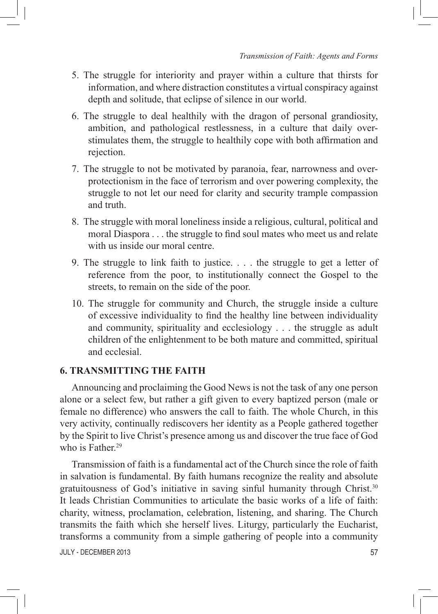- 5. The struggle for interiority and prayer within a culture that thirsts for information, and where distraction constitutes a virtual conspiracy against depth and solitude, that eclipse of silence in our world.
- 6. The struggle to deal healthily with the dragon of personal grandiosity, ambition, and pathological restlessness, in a culture that daily overstimulates them, the struggle to healthily cope with both affirmation and rejection.
- 7. The struggle to not be motivated by paranoia, fear, narrowness and overprotectionism in the face of terrorism and over powering complexity, the struggle to not let our need for clarity and security trample compassion and truth.
- 8. The struggle with moral loneliness inside a religious, cultural, political and moral Diaspora . . . the struggle to find soul mates who meet us and relate with us inside our moral centre.
- 9. The struggle to link faith to justice. . . . the struggle to get a letter of reference from the poor, to institutionally connect the Gospel to the streets, to remain on the side of the poor.
- 10. The struggle for community and Church, the struggle inside a culture of excessive individuality to find the healthy line between individuality and community, spirituality and ecclesiology . . . the struggle as adult children of the enlightenment to be both mature and committed, spiritual and ecclesial.

## **6. TRANSMITTING THE FAITH**

Announcing and proclaiming the Good News is not the task of any one person alone or a select few, but rather a gift given to every baptized person (male or female no difference) who answers the call to faith. The whole Church, in this very activity, continually rediscovers her identity as a People gathered together by the Spirit to live Christ's presence among us and discover the true face of God who is Father<sup>29</sup>

Transmission of faith is a fundamental act of the Church since the role of faith in salvation is fundamental. By faith humans recognize the reality and absolute gratuitousness of God's initiative in saving sinful humanity through Christ.<sup>30</sup> It leads Christian Communities to articulate the basic works of a life of faith: charity, witness, proclamation, celebration, listening, and sharing. The Church transmits the faith which she herself lives. Liturgy, particularly the Eucharist, transforms a community from a simple gathering of people into a community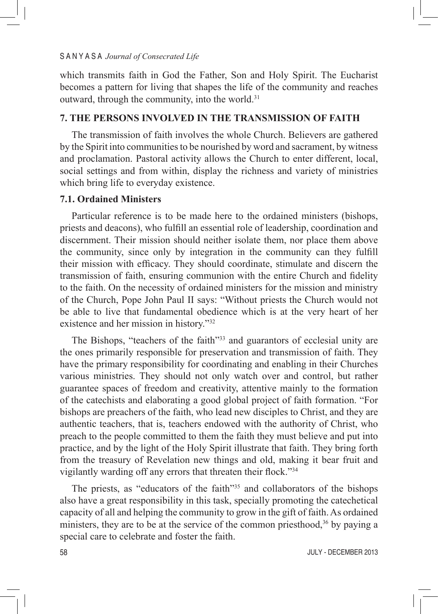which transmits faith in God the Father, Son and Holy Spirit. The Eucharist becomes a pattern for living that shapes the life of the community and reaches outward, through the community, into the world.<sup>31</sup>

## **7. THE PERSONS INVOLVED IN THE TRANSMISSION OF FAITH**

The transmission of faith involves the whole Church. Believers are gathered by the Spirit into communities to be nourished by word and sacrament, by witness and proclamation. Pastoral activity allows the Church to enter different, local, social settings and from within, display the richness and variety of ministries which bring life to everyday existence.

#### **7.1. Ordained Ministers**

Particular reference is to be made here to the ordained ministers (bishops, priests and deacons), who fulfill an essential role of leadership, coordination and discernment. Their mission should neither isolate them, nor place them above the community, since only by integration in the community can they fulfill their mission with efficacy. They should coordinate, stimulate and discern the transmission of faith, ensuring communion with the entire Church and fidelity to the faith. On the necessity of ordained ministers for the mission and ministry of the Church, Pope John Paul II says: "Without priests the Church would not be able to live that fundamental obedience which is at the very heart of her existence and her mission in history."32

The Bishops, "teachers of the faith"33 and guarantors of ecclesial unity are the ones primarily responsible for preservation and transmission of faith. They have the primary responsibility for coordinating and enabling in their Churches various ministries. They should not only watch over and control, but rather guarantee spaces of freedom and creativity, attentive mainly to the formation of the catechists and elaborating a good global project of faith formation. "For bishops are preachers of the faith, who lead new disciples to Christ, and they are authentic teachers, that is, teachers endowed with the authority of Christ, who preach to the people committed to them the faith they must believe and put into practice, and by the light of the Holy Spirit illustrate that faith. They bring forth from the treasury of Revelation new things and old, making it bear fruit and vigilantly warding off any errors that threaten their flock."<sup>34</sup>

The priests, as "educators of the faith"35 and collaborators of the bishops also have a great responsibility in this task, specially promoting the catechetical capacity of all and helping the community to grow in the gift of faith. As ordained ministers, they are to be at the service of the common priesthood,  $36$  by paying a special care to celebrate and foster the faith.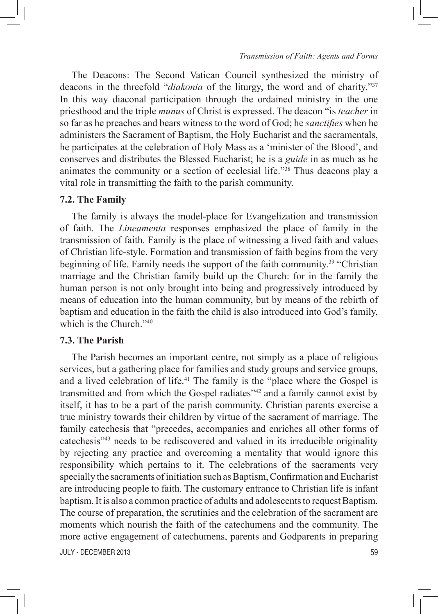The Deacons: The Second Vatican Council synthesized the ministry of deacons in the threefold "*diakonia* of the liturgy, the word and of charity."37 In this way diaconal participation through the ordained ministry in the one priesthood and the triple *munus* of Christ is expressed. The deacon "is *teacher* in so far as he preaches and bears witness to the word of God; he *sanctifies* when he administers the Sacrament of Baptism, the Holy Eucharist and the sacramentals, he participates at the celebration of Holy Mass as a 'minister of the Blood', and conserves and distributes the Blessed Eucharist; he is a *guide* in as much as he animates the community or a section of ecclesial life."38 Thus deacons play a vital role in transmitting the faith to the parish community.

#### **7.2. The Family**

The family is always the model-place for Evangelization and transmission of faith. The *Lineamenta* responses emphasized the place of family in the transmission of faith. Family is the place of witnessing a lived faith and values of Christian life-style. Formation and transmission of faith begins from the very beginning of life. Family needs the support of the faith community.<sup>39</sup> "Christian" marriage and the Christian family build up the Church: for in the family the human person is not only brought into being and progressively introduced by means of education into the human community, but by means of the rebirth of baptism and education in the faith the child is also introduced into God's family, which is the Church."40

#### **7.3. The Parish**

JULY - DECEMBER 2013 59 The Parish becomes an important centre, not simply as a place of religious services, but a gathering place for families and study groups and service groups, and a lived celebration of life.41 The family is the "place where the Gospel is transmitted and from which the Gospel radiates"<sup>42</sup> and a family cannot exist by itself, it has to be a part of the parish community. Christian parents exercise a true ministry towards their children by virtue of the sacrament of marriage. The family catechesis that "precedes, accompanies and enriches all other forms of catechesis"43 needs to be rediscovered and valued in its irreducible originality by rejecting any practice and overcoming a mentality that would ignore this responsibility which pertains to it. The celebrations of the sacraments very specially the sacraments of initiation such as Baptism, Confirmation and Eucharist are introducing people to faith. The customary entrance to Christian life is infant baptism. It is also a common practice of adults and adolescents to request Baptism. The course of preparation, the scrutinies and the celebration of the sacrament are moments which nourish the faith of the catechumens and the community. The more active engagement of catechumens, parents and Godparents in preparing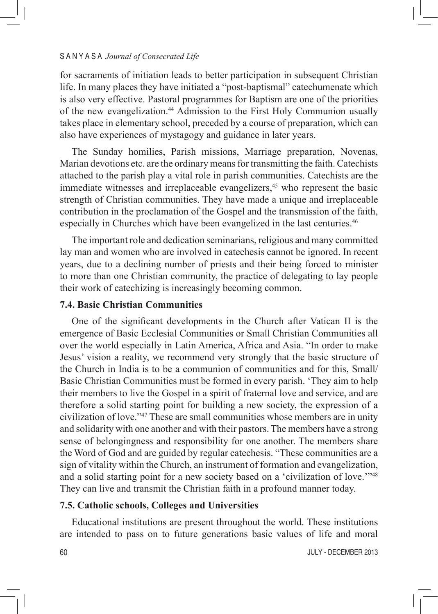for sacraments of initiation leads to better participation in subsequent Christian life. In many places they have initiated a "post-baptismal" catechumenate which is also very effective. Pastoral programmes for Baptism are one of the priorities of the new evangelization.44 Admission to the First Holy Communion usually takes place in elementary school, preceded by a course of preparation, which can also have experiences of mystagogy and guidance in later years.

The Sunday homilies, Parish missions, Marriage preparation, Novenas, Marian devotions etc. are the ordinary means for transmitting the faith. Catechists attached to the parish play a vital role in parish communities. Catechists are the immediate witnesses and irreplaceable evangelizers,<sup>45</sup> who represent the basic strength of Christian communities. They have made a unique and irreplaceable contribution in the proclamation of the Gospel and the transmission of the faith, especially in Churches which have been evangelized in the last centuries.<sup>46</sup>

The important role and dedication seminarians, religious and many committed lay man and women who are involved in catechesis cannot be ignored. In recent years, due to a declining number of priests and their being forced to minister to more than one Christian community, the practice of delegating to lay people their work of catechizing is increasingly becoming common.

## **7.4. Basic Christian Communities**

One of the significant developments in the Church after Vatican II is the emergence of Basic Ecclesial Communities or Small Christian Communities all over the world especially in Latin America, Africa and Asia. "In order to make Jesus' vision a reality, we recommend very strongly that the basic structure of the Church in India is to be a communion of communities and for this, Small/ Basic Christian Communities must be formed in every parish. 'They aim to help their members to live the Gospel in a spirit of fraternal love and service, and are therefore a solid starting point for building a new society, the expression of a civilization of love."47 These are small communities whose members are in unity and solidarity with one another and with their pastors. The members have a strong sense of belongingness and responsibility for one another. The members share the Word of God and are guided by regular catechesis. "These communities are a sign of vitality within the Church, an instrument of formation and evangelization, and a solid starting point for a new society based on a 'civilization of love.'<sup>148</sup> They can live and transmit the Christian faith in a profound manner today.

#### **7.5. Catholic schools, Colleges and Universities**

Educational institutions are present throughout the world. These institutions are intended to pass on to future generations basic values of life and moral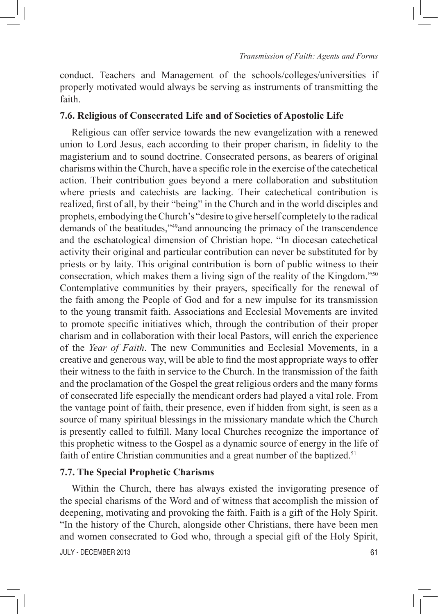conduct. Teachers and Management of the schools/colleges/universities if properly motivated would always be serving as instruments of transmitting the faith.

## **7.6. Religious of Consecrated Life and of Societies of Apostolic Life**

Religious can offer service towards the new evangelization with a renewed union to Lord Jesus, each according to their proper charism, in fidelity to the magisterium and to sound doctrine. Consecrated persons, as bearers of original charisms within the Church, have a specific role in the exercise of the catechetical action. Their contribution goes beyond a mere collaboration and substitution where priests and catechists are lacking. Their catechetical contribution is realized, first of all, by their "being" in the Church and in the world disciples and prophets, embodying the Church's "desire to give herself completely to the radical demands of the beatitudes,"49and announcing the primacy of the transcendence and the eschatological dimension of Christian hope. "In diocesan catechetical activity their original and particular contribution can never be substituted for by priests or by laity. This original contribution is born of public witness to their consecration, which makes them a living sign of the reality of the Kingdom."50 Contemplative communities by their prayers, specifically for the renewal of the faith among the People of God and for a new impulse for its transmission to the young transmit faith. Associations and Ecclesial Movements are invited to promote specific initiatives which, through the contribution of their proper charism and in collaboration with their local Pastors, will enrich the experience of the *Year of Faith*. The new Communities and Ecclesial Movements, in a creative and generous way, will be able to find the most appropriate ways to offer their witness to the faith in service to the Church. In the transmission of the faith and the proclamation of the Gospel the great religious orders and the many forms of consecrated life especially the mendicant orders had played a vital role. From the vantage point of faith, their presence, even if hidden from sight, is seen as a source of many spiritual blessings in the missionary mandate which the Church is presently called to fulfill. Many local Churches recognize the importance of this prophetic witness to the Gospel as a dynamic source of energy in the life of faith of entire Christian communities and a great number of the baptized.<sup>51</sup>

### **7.7. The Special Prophetic Charisms**

JULY - DECEMBER 2013 61 Within the Church, there has always existed the invigorating presence of the special charisms of the Word and of witness that accomplish the mission of deepening, motivating and provoking the faith. Faith is a gift of the Holy Spirit. "In the history of the Church, alongside other Christians, there have been men and women consecrated to God who, through a special gift of the Holy Spirit,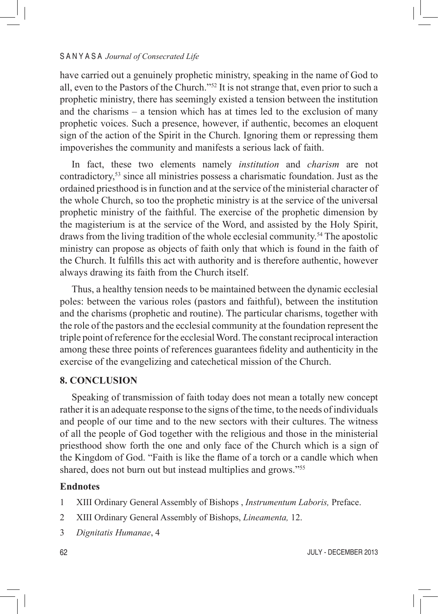have carried out a genuinely prophetic ministry, speaking in the name of God to all, even to the Pastors of the Church."52 It is not strange that, even prior to such a prophetic ministry, there has seemingly existed a tension between the institution and the charisms – a tension which has at times led to the exclusion of many prophetic voices. Such a presence, however, if authentic, becomes an eloquent sign of the action of the Spirit in the Church. Ignoring them or repressing them impoverishes the community and manifests a serious lack of faith.

In fact, these two elements namely *institution* and *charism* are not contradictory,53 since all ministries possess a charismatic foundation. Just as the ordained priesthood is in function and at the service of the ministerial character of the whole Church, so too the prophetic ministry is at the service of the universal prophetic ministry of the faithful. The exercise of the prophetic dimension by the magisterium is at the service of the Word, and assisted by the Holy Spirit, draws from the living tradition of the whole ecclesial community.54 The apostolic ministry can propose as objects of faith only that which is found in the faith of the Church. It fulfills this act with authority and is therefore authentic, however always drawing its faith from the Church itself.

Thus, a healthy tension needs to be maintained between the dynamic ecclesial poles: between the various roles (pastors and faithful), between the institution and the charisms (prophetic and routine). The particular charisms, together with the role of the pastors and the ecclesial community at the foundation represent the triple point of reference for the ecclesial Word. The constant reciprocal interaction among these three points of references guarantees fidelity and authenticity in the exercise of the evangelizing and catechetical mission of the Church.

## **8. CONCLUSION**

Speaking of transmission of faith today does not mean a totally new concept rather it is an adequate response to the signs of the time, to the needs of individuals and people of our time and to the new sectors with their cultures. The witness of all the people of God together with the religious and those in the ministerial priesthood show forth the one and only face of the Church which is a sign of the Kingdom of God. "Faith is like the flame of a torch or a candle which when shared, does not burn out but instead multiplies and grows."55

#### **Endnotes**

- 1 XIII Ordinary General Assembly of Bishops , *Instrumentum Laboris,* Preface.
- 2 XIII Ordinary General Assembly of Bishops, *Lineamenta,* 12.
- 3 *Dignitatis Humanae*, 4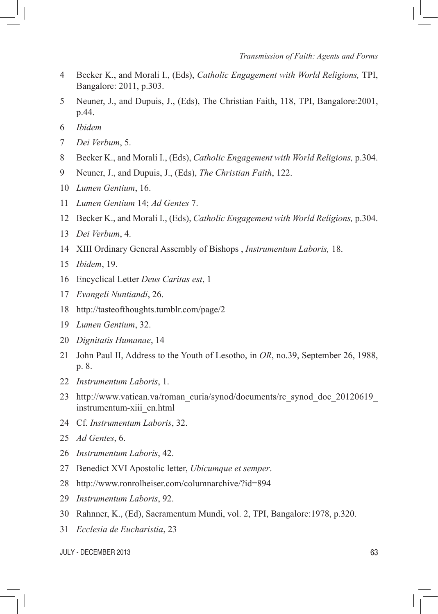- Becker K., and Morali I., (Eds), *Catholic Engagement with World Religions,* TPI, Bangalore: 2011, p.303.
- Neuner, J., and Dupuis, J., (Eds), The Christian Faith, 118, TPI, Bangalore:2001, p.44.
- *Ibidem*
- *Dei Verbum*, 5.
- Becker K., and Morali I., (Eds), *Catholic Engagement with World Religions,* p.304.
- Neuner, J., and Dupuis, J., (Eds), *The Christian Faith*, 122.
- *Lumen Gentium*, 16.
- *Lumen Gentium* 14; *Ad Gentes* 7.
- Becker K., and Morali I., (Eds), *Catholic Engagement with World Religions,* p.304.
- *Dei Verbum*, 4.
- XIII Ordinary General Assembly of Bishops , *Instrumentum Laboris,* 18.
- *Ibidem*, 19.
- Encyclical Letter *Deus Caritas est*, 1
- *Evangeli Nuntiandi*, 26.
- http://tasteofthoughts.tumblr.com/page/2
- *Lumen Gentium*, 32.
- *Dignitatis Humanae*, 14
- John Paul II, Address to the Youth of Lesotho, in *OR*, no.39, September 26, 1988, p. 8.
- *Instrumentum Laboris*, 1.
- http://www.vatican.va/roman\_curia/synod/documents/rc\_synod\_doc\_20120619\_ instrumentum-xiii\_en.html
- Cf. *Instrumentum Laboris*, 32.
- *Ad Gentes*, 6.
- *Instrumentum Laboris*, 42.
- Benedict XVI Apostolic letter, *Ubicumque et semper*.
- http://www.ronrolheiser.com/columnarchive/?id=894
- *Instrumentum Laboris*, 92.
- Rahnner, K., (Ed), Sacramentum Mundi, vol. 2, TPI, Bangalore:1978, p.320.
- *Ecclesia de Eucharistia*, 23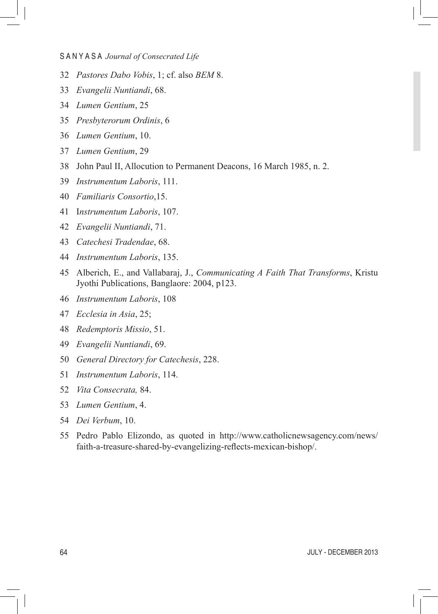- *Pastores Dabo Vobis*, 1; cf. also *BEM* 8.
- *Evangelii Nuntiandi*, 68.
- *Lumen Gentium*, 25
- *Presbyterorum Ordinis*, 6
- *Lumen Gentium*, 10.
- *Lumen Gentium*, 29
- John Paul II, Allocution to Permanent Deacons, 16 March 1985, n. 2.
- *Instrumentum Laboris*, 111.
- *Familiaris Consortio*,15.
- I*nstrumentum Laboris*, 107.
- *Evangelii Nuntiandi*, 71.
- *Catechesi Tradendae*, 68.
- *Instrumentum Laboris*, 135.
- Alberich, E., and Vallabaraj, J., *Communicating A Faith That Transforms*, Kristu Jyothi Publications, Banglaore: 2004, p123.
- *Instrumentum Laboris*, 108
- *Ecclesia in Asia*, 25;
- *Redemptoris Missio*, 51.
- *Evangelii Nuntiandi*, 69.
- *General Directory for Catechesis*, 228.
- *Instrumentum Laboris*, 114.
- *Vita Consecrata,* 84.
- *Lumen Gentium*, 4.
- *Dei Verbum*, 10.
- Pedro Pablo Elizondo, as quoted in http://www.catholicnewsagency.com/news/ faith-a-treasure-shared-by-evangelizing-reflects-mexican-bishop/.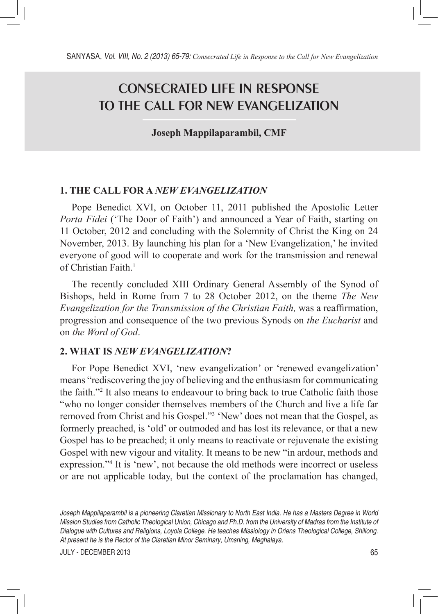# CONSECRATED LIFE IN RESPONSE TO THE CALL FOR NEW EVANGELIZATION

## **Joseph Mappilaparambil, CMF**

## **1. THE CALL FOR A** *NEW EVANGELIZATION*

Pope Benedict XVI, on October 11, 2011 published the Apostolic Letter *Porta Fidei* ('The Door of Faith') and announced a Year of Faith, starting on 11 October, 2012 and concluding with the Solemnity of Christ the King on 24 November, 2013. By launching his plan for a 'New Evangelization,' he invited everyone of good will to cooperate and work for the transmission and renewal of Christian Faith.<sup>1</sup>

The recently concluded XIII Ordinary General Assembly of the Synod of Bishops, held in Rome from 7 to 28 October 2012, on the theme *The New Evangelization for the Transmission of the Christian Faith,* was a reaffirmation, progression and consequence of the two previous Synods on *the Eucharist* and on *the Word of God*.

#### **2. WHAT IS** *NEW EVANGELIZATION***?**

For Pope Benedict XVI, 'new evangelization' or 'renewed evangelization' means "rediscovering the joy of believing and the enthusiasm for communicating the faith."2 It also means to endeavour to bring back to true Catholic faith those "who no longer consider themselves members of the Church and live a life far removed from Christ and his Gospel."3 'New' does not mean that the Gospel, as formerly preached, is 'old' or outmoded and has lost its relevance, or that a new Gospel has to be preached; it only means to reactivate or rejuvenate the existing Gospel with new vigour and vitality. It means to be new "in ardour, methods and expression."4 It is 'new', not because the old methods were incorrect or useless or are not applicable today, but the context of the proclamation has changed,

Joseph Mappilaparambil is a pioneering Claretian Missionary to North East India. He has a Masters Degree in World *Mission Studies from Catholic Theological Union, Chicago and Ph.D. from the University of Madras from the Institute of Dialogue with Cultures and Religions, Loyola College. He teaches Missiology in Oriens Theological College, Shillong. At present he is the Rector of the Claretian Minor Seminary, Umsning, Meghalaya.*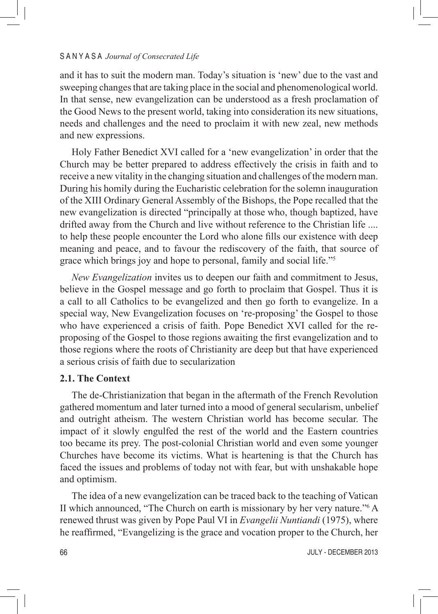and it has to suit the modern man. Today's situation is 'new' due to the vast and sweeping changes that are taking place in the social and phenomenological world. In that sense, new evangelization can be understood as a fresh proclamation of the Good News to the present world, taking into consideration its new situations, needs and challenges and the need to proclaim it with new zeal, new methods and new expressions.

Holy Father Benedict XVI called for a 'new evangelization' in order that the Church may be better prepared to address effectively the crisis in faith and to receive a new vitality in the changing situation and challenges of the modern man. During his homily during the Eucharistic celebration for the solemn inauguration of the XIII Ordinary General Assembly of the Bishops, the Pope recalled that the new evangelization is directed "principally at those who, though baptized, have drifted away from the Church and live without reference to the Christian life .... to help these people encounter the Lord who alone fills our existence with deep meaning and peace, and to favour the rediscovery of the faith, that source of grace which brings joy and hope to personal, family and social life."<sup>5</sup>

*New Evangelization* invites us to deepen our faith and commitment to Jesus, believe in the Gospel message and go forth to proclaim that Gospel. Thus it is a call to all Catholics to be evangelized and then go forth to evangelize. In a special way, New Evangelization focuses on 're-proposing' the Gospel to those who have experienced a crisis of faith. Pope Benedict XVI called for the reproposing of the Gospel to those regions awaiting the first evangelization and to those regions where the roots of Christianity are deep but that have experienced a serious crisis of faith due to secularization

#### **2.1. The Context**

The de-Christianization that began in the aftermath of the French Revolution gathered momentum and later turned into a mood of general secularism, unbelief and outright atheism. The western Christian world has become secular. The impact of it slowly engulfed the rest of the world and the Eastern countries too became its prey. The post-colonial Christian world and even some younger Churches have become its victims. What is heartening is that the Church has faced the issues and problems of today not with fear, but with unshakable hope and optimism.

The idea of a new evangelization can be traced back to the teaching of Vatican II which announced, "The Church on earth is missionary by her very nature."<sup>6</sup> A renewed thrust was given by Pope Paul VI in *Evangelii Nuntiandi* (1975), where he reaffirmed, "Evangelizing is the grace and vocation proper to the Church, her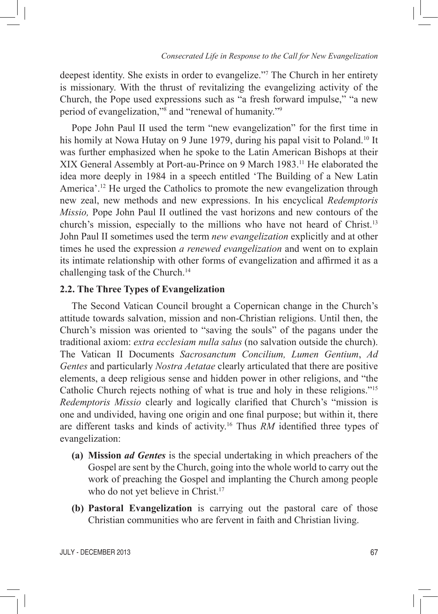deepest identity. She exists in order to evangelize."7 The Church in her entirety is missionary. With the thrust of revitalizing the evangelizing activity of the Church, the Pope used expressions such as "a fresh forward impulse," "a new period of evangelization,"8 and "renewal of humanity."9

Pope John Paul II used the term "new evangelization" for the first time in his homily at Nowa Hutay on 9 June 1979, during his papal visit to Poland.<sup>10</sup> It was further emphasized when he spoke to the Latin American Bishops at their XIX General Assembly at Port-au-Prince on 9 March  $1983$ .<sup>11</sup> He elaborated the idea more deeply in 1984 in a speech entitled 'The Building of a New Latin America'.12 He urged the Catholics to promote the new evangelization through new zeal, new methods and new expressions. In his encyclical *Redemptoris Missio,* Pope John Paul II outlined the vast horizons and new contours of the church's mission, especially to the millions who have not heard of Christ.<sup>13</sup> John Paul II sometimes used the term *new evangelization* explicitly and at other times he used the expression *a renewed evangelization* and went on to explain its intimate relationship with other forms of evangelization and affirmed it as a challenging task of the Church.14

### **2.2. The Three Types of Evangelization**

The Second Vatican Council brought a Copernican change in the Church's attitude towards salvation, mission and non-Christian religions. Until then, the Church's mission was oriented to "saving the souls" of the pagans under the traditional axiom: *extra ecclesiam nulla salus* (no salvation outside the church). The Vatican II Documents *Sacrosanctum Concilium, Lumen Gentium*, *Ad Gentes* and particularly *Nostra Aetatae* clearly articulated that there are positive elements, a deep religious sense and hidden power in other religions, and "the Catholic Church rejects nothing of what is true and holy in these religions."<sup>15</sup> *Redemptoris Missio* clearly and logically clarified that Church's "mission is one and undivided, having one origin and one final purpose; but within it, there are different tasks and kinds of activity.16 Thus *RM* identified three types of evangelization:

- **(a) Mission** *ad Gentes* is the special undertaking in which preachers of the Gospel are sent by the Church, going into the whole world to carry out the work of preaching the Gospel and implanting the Church among people who do not yet believe in Christ.<sup>17</sup>
- **(b) Pastoral Evangelization** is carrying out the pastoral care of those Christian communities who are fervent in faith and Christian living.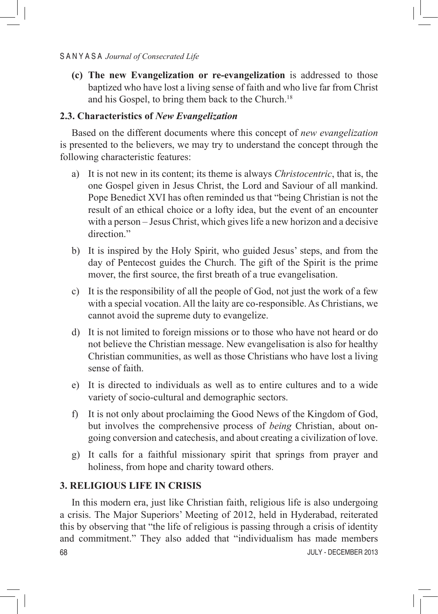**(c) The new Evangelization or re-evangelization** is addressed to those baptized who have lost a living sense of faith and who live far from Christ and his Gospel, to bring them back to the Church.18

## **2.3. Characteristics of** *New Evangelization*

Based on the different documents where this concept of *new evangelization* is presented to the believers, we may try to understand the concept through the following characteristic features:

- a) It is not new in its content; its theme is always *Christocentric*, that is, the one Gospel given in Jesus Christ, the Lord and Saviour of all mankind. Pope Benedict XVI has often reminded us that "being Christian is not the result of an ethical choice or a lofty idea, but the event of an encounter with a person – Jesus Christ, which gives life a new horizon and a decisive direction."
- b) It is inspired by the Holy Spirit, who guided Jesus' steps, and from the day of Pentecost guides the Church. The gift of the Spirit is the prime mover, the first source, the first breath of a true evangelisation.
- c) It is the responsibility of all the people of God, not just the work of a few with a special vocation. All the laity are co-responsible. As Christians, we cannot avoid the supreme duty to evangelize.
- d) It is not limited to foreign missions or to those who have not heard or do not believe the Christian message. New evangelisation is also for healthy Christian communities, as well as those Christians who have lost a living sense of faith.
- e) It is directed to individuals as well as to entire cultures and to a wide variety of socio-cultural and demographic sectors.
- f) It is not only about proclaiming the Good News of the Kingdom of God, but involves the comprehensive process of *being* Christian, about ongoing conversion and catechesis, and about creating a civilization of love.
- g) It calls for a faithful missionary spirit that springs from prayer and holiness, from hope and charity toward others.

## **3. RELIGIOUS LIFE IN CRISIS**

68 JULY - DECEMBER 2013 In this modern era, just like Christian faith, religious life is also undergoing a crisis. The Major Superiors' Meeting of 2012, held in Hyderabad, reiterated this by observing that "the life of religious is passing through a crisis of identity and commitment." They also added that "individualism has made members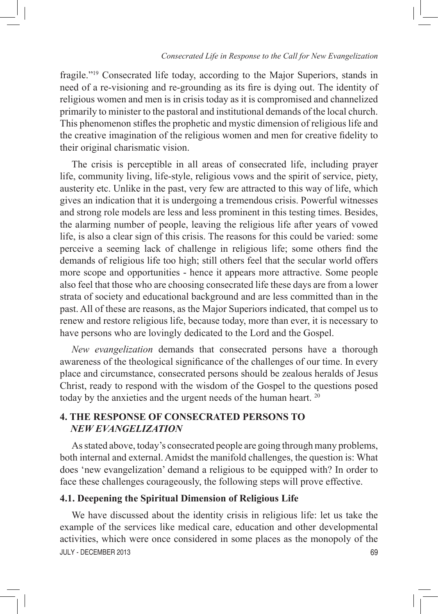#### *Consecrated Life in Response to the Call for New Evangelization*

fragile."19 Consecrated life today, according to the Major Superiors, stands in need of a re-visioning and re-grounding as its fire is dying out. The identity of religious women and men is in crisis today as it is compromised and channelized primarily to minister to the pastoral and institutional demands of the local church. This phenomenon stifles the prophetic and mystic dimension of religious life and the creative imagination of the religious women and men for creative fidelity to their original charismatic vision.

The crisis is perceptible in all areas of consecrated life, including prayer life, community living, life-style, religious vows and the spirit of service, piety, austerity etc. Unlike in the past, very few are attracted to this way of life, which gives an indication that it is undergoing a tremendous crisis. Powerful witnesses and strong role models are less and less prominent in this testing times. Besides, the alarming number of people, leaving the religious life after years of vowed life, is also a clear sign of this crisis. The reasons for this could be varied: some perceive a seeming lack of challenge in religious life; some others find the demands of religious life too high; still others feel that the secular world offers more scope and opportunities - hence it appears more attractive. Some people also feel that those who are choosing consecrated life these days are from a lower strata of society and educational background and are less committed than in the past. All of these are reasons, as the Major Superiors indicated, that compel us to renew and restore religious life, because today, more than ever, it is necessary to have persons who are lovingly dedicated to the Lord and the Gospel.

*New evangelization* demands that consecrated persons have a thorough awareness of the theological significance of the challenges of our time. In every place and circumstance, consecrated persons should be zealous heralds of Jesus Christ, ready to respond with the wisdom of the Gospel to the questions posed today by the anxieties and the urgent needs of the human heart. 20

## **4. THE RESPONSE OF CONSECRATED PERSONS TO**  *NEW EVANGELIZATION*

As stated above, today's consecrated people are going through many problems, both internal and external. Amidst the manifold challenges, the question is: What does 'new evangelization' demand a religious to be equipped with? In order to face these challenges courageously, the following steps will prove effective.

## **4.1. Deepening the Spiritual Dimension of Religious Life**

JULY - DECEMBER 2013 69 We have discussed about the identity crisis in religious life: let us take the example of the services like medical care, education and other developmental activities, which were once considered in some places as the monopoly of the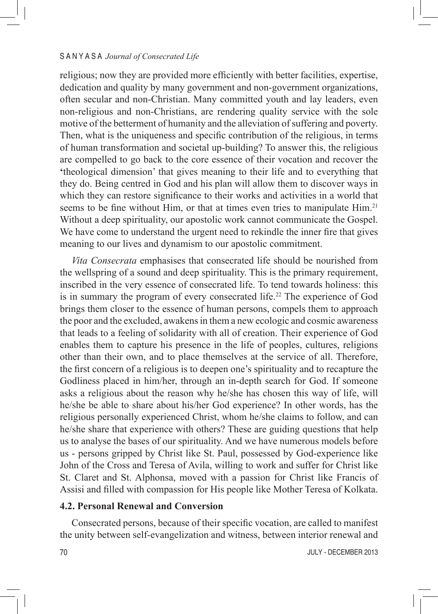religious; now they are provided more efficiently with better facilities, expertise, dedication and quality by many government and non-government organizations, often secular and non-Christian. Many committed youth and lay leaders, even non-religious and non-Christians, are rendering quality service with the sole motive of the betterment of humanity and the alleviation of suffering and poverty. Then, what is the uniqueness and specific contribution of the religious, in terms of human transformation and societal up-building? To answer this, the religious are compelled to go back to the core essence of their vocation and recover the **'**theological dimension' that gives meaning to their life and to everything that they do. Being centred in God and his plan will allow them to discover ways in which they can restore significance to their works and activities in a world that seems to be fine without Him, or that at times even tries to manipulate Him.<sup>21</sup> Without a deep spirituality, our apostolic work cannot communicate the Gospel. We have come to understand the urgent need to rekindle the inner fire that gives meaning to our lives and dynamism to our apostolic commitment.

*Vita Consecrata* emphasises that consecrated life should be nourished from the wellspring of a sound and deep spirituality. This is the primary requirement, inscribed in the very essence of consecrated life. To tend towards holiness: this is in summary the program of every consecrated life.22 The experience of God brings them closer to the essence of human persons, compels them to approach the poor and the excluded, awakens in them a new ecologic and cosmic awareness that leads to a feeling of solidarity with all of creation. Their experience of God enables them to capture his presence in the life of peoples, cultures, religions other than their own, and to place themselves at the service of all. Therefore, the first concern of a religious is to deepen one's spirituality and to recapture the Godliness placed in him/her, through an in-depth search for God. If someone asks a religious about the reason why he/she has chosen this way of life, will he/she be able to share about his/her God experience? In other words, has the religious personally experienced Christ, whom he/she claims to follow, and can he/she share that experience with others? These are guiding questions that help us to analyse the bases of our spirituality. And we have numerous models before us - persons gripped by Christ like St. Paul, possessed by God-experience like John of the Cross and Teresa of Avila, willing to work and suffer for Christ like St. Claret and St. Alphonsa, moved with a passion for Christ like Francis of Assisi and filled with compassion for His people like Mother Teresa of Kolkata.

#### **4.2. Personal Renewal and Conversion**

Consecrated persons, because of their specific vocation, are called to manifest the unity between self-evangelization and witness, between interior renewal and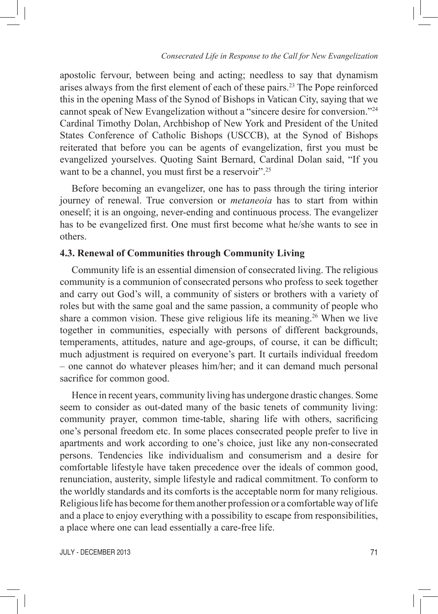#### *Consecrated Life in Response to the Call for New Evangelization*

apostolic fervour, between being and acting; needless to say that dynamism arises always from the first element of each of these pairs.23 The Pope reinforced this in the opening Mass of the Synod of Bishops in Vatican City, saying that we cannot speak of New Evangelization without a "sincere desire for conversion."24 Cardinal Timothy Dolan, Archbishop of New York and President of the United States Conference of Catholic Bishops (USCCB), at the Synod of Bishops reiterated that before you can be agents of evangelization, first you must be evangelized yourselves. Quoting Saint Bernard, Cardinal Dolan said, "If you want to be a channel, you must first be a reservoir".<sup>25</sup>

Before becoming an evangelizer, one has to pass through the tiring interior journey of renewal. True conversion or *metaneoia* has to start from within oneself; it is an ongoing, never-ending and continuous process. The evangelizer has to be evangelized first. One must first become what he/she wants to see in others.

## **4.3. Renewal of Communities through Community Living**

Community life is an essential dimension of consecrated living. The religious community is a communion of consecrated persons who profess to seek together and carry out God's will, a community of sisters or brothers with a variety of roles but with the same goal and the same passion, a community of people who share a common vision. These give religious life its meaning.<sup>26</sup> When we live together in communities, especially with persons of different backgrounds, temperaments, attitudes, nature and age-groups, of course, it can be difficult; much adjustment is required on everyone's part. It curtails individual freedom – one cannot do whatever pleases him/her; and it can demand much personal sacrifice for common good.

Hence in recent years, community living has undergone drastic changes. Some seem to consider as out-dated many of the basic tenets of community living: community prayer, common time-table, sharing life with others, sacrificing one's personal freedom etc. In some places consecrated people prefer to live in apartments and work according to one's choice, just like any non-consecrated persons. Tendencies like individualism and consumerism and a desire for comfortable lifestyle have taken precedence over the ideals of common good, renunciation, austerity, simple lifestyle and radical commitment. To conform to the worldly standards and its comforts is the acceptable norm for many religious. Religious life has become for them another profession or a comfortable way of life and a place to enjoy everything with a possibility to escape from responsibilities, a place where one can lead essentially a care-free life.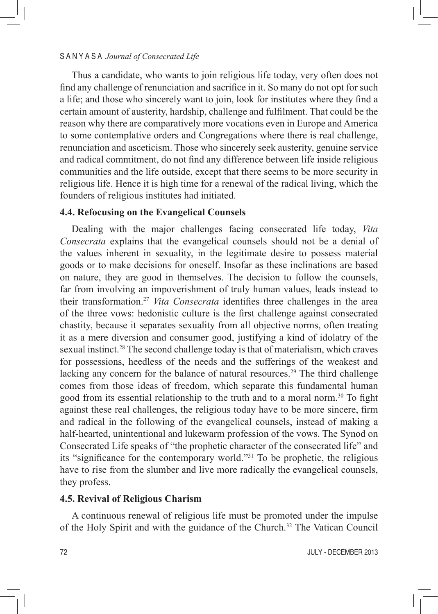Thus a candidate, who wants to join religious life today, very often does not find any challenge of renunciation and sacrifice in it. So many do not opt for such a life; and those who sincerely want to join, look for institutes where they find a certain amount of austerity, hardship, challenge and fulfilment. That could be the reason why there are comparatively more vocations even in Europe and America to some contemplative orders and Congregations where there is real challenge, renunciation and asceticism. Those who sincerely seek austerity, genuine service and radical commitment, do not find any difference between life inside religious communities and the life outside, except that there seems to be more security in religious life. Hence it is high time for a renewal of the radical living, which the founders of religious institutes had initiated.

#### **4.4. Refocusing on the Evangelical Counsels**

Dealing with the major challenges facing consecrated life today, *Vita Consecrata* explains that the evangelical counsels should not be a denial of the values inherent in sexuality, in the legitimate desire to possess material goods or to make decisions for oneself. Insofar as these inclinations are based on nature, they are good in themselves. The decision to follow the counsels, far from involving an impoverishment of truly human values, leads instead to their transformation.27 *Vita Consecrata* identifies three challenges in the area of the three vows: hedonistic culture is the first challenge against consecrated chastity, because it separates sexuality from all objective norms, often treating it as a mere diversion and consumer good, justifying a kind of idolatry of the sexual instinct.28 The second challenge today is that of materialism, which craves for possessions, heedless of the needs and the sufferings of the weakest and lacking any concern for the balance of natural resources.29 The third challenge comes from those ideas of freedom, which separate this fundamental human good from its essential relationship to the truth and to a moral norm.<sup>30</sup> To fight against these real challenges, the religious today have to be more sincere, firm and radical in the following of the evangelical counsels, instead of making a half-hearted, unintentional and lukewarm profession of the vows. The Synod on Consecrated Life speaks of "the prophetic character of the consecrated life" and its "significance for the contemporary world."31 To be prophetic, the religious have to rise from the slumber and live more radically the evangelical counsels, they profess.

## **4.5. Revival of Religious Charism**

A continuous renewal of religious life must be promoted under the impulse of the Holy Spirit and with the guidance of the Church.32 The Vatican Council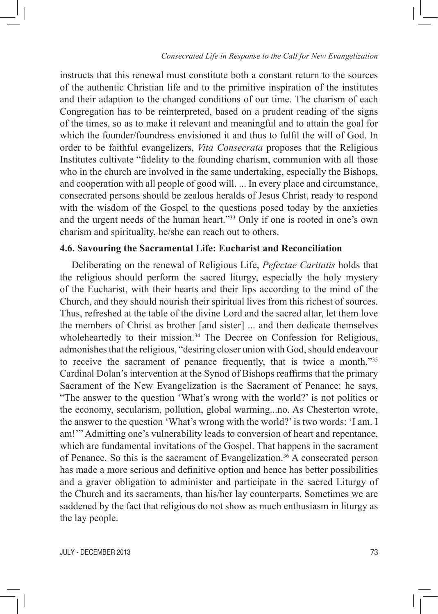### *Consecrated Life in Response to the Call for New Evangelization*

instructs that this renewal must constitute both a constant return to the sources of the authentic Christian life and to the primitive inspiration of the institutes and their adaption to the changed conditions of our time. The charism of each Congregation has to be reinterpreted, based on a prudent reading of the signs of the times, so as to make it relevant and meaningful and to attain the goal for which the founder/foundress envisioned it and thus to fulfil the will of God. In order to be faithful evangelizers, *Vita Consecrata* proposes that the Religious Institutes cultivate "fidelity to the founding charism, communion with all those who in the church are involved in the same undertaking, especially the Bishops, and cooperation with all people of good will. ... In every place and circumstance, consecrated persons should be zealous heralds of Jesus Christ, ready to respond with the wisdom of the Gospel to the questions posed today by the anxieties and the urgent needs of the human heart."33 Only if one is rooted in one's own charism and spirituality, he/she can reach out to others.

# **4.6. Savouring the Sacramental Life: Eucharist and Reconciliation**

Deliberating on the renewal of Religious Life, *Pefectae Caritatis* holds that the religious should perform the sacred liturgy, especially the holy mystery of the Eucharist, with their hearts and their lips according to the mind of the Church, and they should nourish their spiritual lives from this richest of sources. Thus, refreshed at the table of the divine Lord and the sacred altar, let them love the members of Christ as brother [and sister] ... and then dedicate themselves wholeheartedly to their mission.<sup>34</sup> The Decree on Confession for Religious, admonishes that the religious, "desiring closer union with God, should endeavour to receive the sacrament of penance frequently, that is twice a month."35 Cardinal Dolan's intervention at the Synod of Bishops reaffirms that the primary Sacrament of the New Evangelization is the Sacrament of Penance: he says, "The answer to the question 'What's wrong with the world?' is not politics or the economy, secularism, pollution, global warming...no. As Chesterton wrote, the answer to the question 'What's wrong with the world?' is two words: 'I am. I am!'" Admitting one's vulnerability leads to conversion of heart and repentance, which are fundamental invitations of the Gospel. That happens in the sacrament of Penance. So this is the sacrament of Evangelization.<sup>36</sup> A consecrated person has made a more serious and definitive option and hence has better possibilities and a graver obligation to administer and participate in the sacred Liturgy of the Church and its sacraments, than his/her lay counterparts. Sometimes we are saddened by the fact that religious do not show as much enthusiasm in liturgy as the lay people.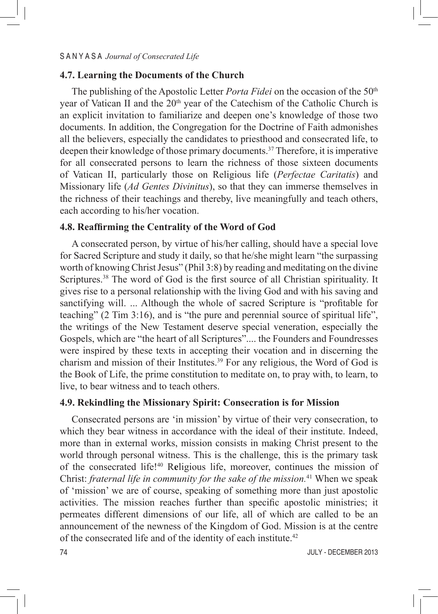### **4.7. Learning the Documents of the Church**

The publishing of the Apostolic Letter *Porta Fidei* on the occasion of the 50<sup>th</sup> year of Vatican II and the 20<sup>th</sup> year of the Catechism of the Catholic Church is an explicit invitation to familiarize and deepen one's knowledge of those two documents. In addition, the Congregation for the Doctrine of Faith admonishes all the believers, especially the candidates to priesthood and consecrated life, to deepen their knowledge of those primary documents.<sup>37</sup> Therefore, it is imperative for all consecrated persons to learn the richness of those sixteen documents of Vatican II, particularly those on Religious life (*Perfectae Caritatis*) and Missionary life (*Ad Gentes Divinitus*), so that they can immerse themselves in the richness of their teachings and thereby, live meaningfully and teach others, each according to his/her vocation.

### **4.8. Reaffirming the Centrality of the Word of God**

A consecrated person, by virtue of his/her calling, should have a special love for Sacred Scripture and study it daily, so that he/she might learn "the surpassing worth of knowing Christ Jesus" (Phil 3:8) by reading and meditating on the divine Scriptures.38 The word of God is the first source of all Christian spirituality. It gives rise to a personal relationship with the living God and with his saving and sanctifying will. ... Although the whole of sacred Scripture is "profitable for teaching" (2 Tim 3:16), and is "the pure and perennial source of spiritual life", the writings of the New Testament deserve special veneration, especially the Gospels, which are "the heart of all Scriptures".... the Founders and Foundresses were inspired by these texts in accepting their vocation and in discerning the charism and mission of their Institutes.39 For any religious, the Word of God is the Book of Life, the prime constitution to meditate on, to pray with, to learn, to live, to bear witness and to teach others.

# **4.9. Rekindling the Missionary Spirit: Consecration is for Mission**

Consecrated persons are 'in mission' by virtue of their very consecration, to which they bear witness in accordance with the ideal of their institute. Indeed, more than in external works, mission consists in making Christ present to the world through personal witness. This is the challenge, this is the primary task of the consecrated life!40 R**e**ligious life, moreover, continues the mission of Christ: *fraternal life in community for the sake of the mission.*<sup>41</sup> When we speak of 'mission' we are of course, speaking of something more than just apostolic activities. The mission reaches further than specific apostolic ministries; it permeates different dimensions of our life, all of which are called to be an announcement of the newness of the Kingdom of God. Mission is at the centre of the consecrated life and of the identity of each institute.<sup>42</sup>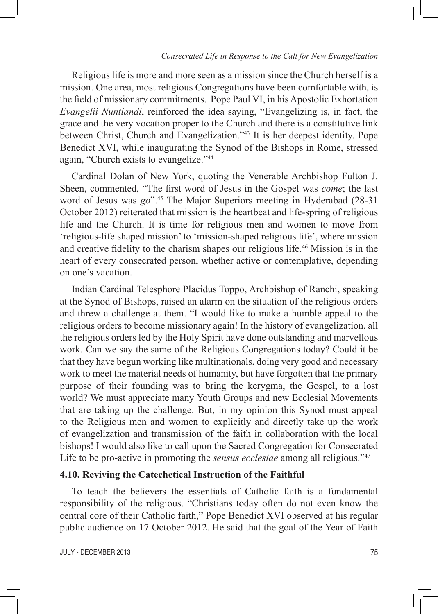### *Consecrated Life in Response to the Call for New Evangelization*

Religious life is more and more seen as a mission since the Church herself is a mission. One area, most religious Congregations have been comfortable with, is the field of missionary commitments. Pope Paul VI, in his Apostolic Exhortation *Evangelii Nuntiandi*, reinforced the idea saying, "Evangelizing is, in fact, the grace and the very vocation proper to the Church and there is a constitutive link between Christ, Church and Evangelization."43 It is her deepest identity. Pope Benedict XVI, while inaugurating the Synod of the Bishops in Rome, stressed again, "Church exists to evangelize."44

Cardinal Dolan of New York, quoting the Venerable Archbishop Fulton J. Sheen, commented, "The first word of Jesus in the Gospel was *come*; the last word of Jesus was *go*".45 The Major Superiors meeting in Hyderabad (28-31 October 2012) reiterated that mission is the heartbeat and life-spring of religious life and the Church. It is time for religious men and women to move from 'religious-life shaped mission' to 'mission-shaped religious life', where mission and creative fidelity to the charism shapes our religious life.46 Mission is in the heart of every consecrated person, whether active or contemplative, depending on one's vacation.

Indian Cardinal Telesphore Placidus Toppo, Archbishop of Ranchi, speaking at the Synod of Bishops, raised an alarm on the situation of the religious orders and threw a challenge at them. "I would like to make a humble appeal to the religious orders to become missionary again! In the history of evangelization, all the religious orders led by the Holy Spirit have done outstanding and marvellous work. Can we say the same of the Religious Congregations today? Could it be that they have begun working like multinationals, doing very good and necessary work to meet the material needs of humanity, but have forgotten that the primary purpose of their founding was to bring the kerygma, the Gospel, to a lost world? We must appreciate many Youth Groups and new Ecclesial Movements that are taking up the challenge. But, in my opinion this Synod must appeal to the Religious men and women to explicitly and directly take up the work of evangelization and transmission of the faith in collaboration with the local bishops! I would also like to call upon the Sacred Congregation for Consecrated Life to be pro-active in promoting the *sensus ecclesiae* among all religious."47

# **4.10. Reviving the Catechetical Instruction of the Faithful**

To teach the believers the essentials of Catholic faith is a fundamental responsibility of the religious. "Christians today often do not even know the central core of their Catholic faith," Pope Benedict XVI observed at his regular public audience on 17 October 2012. He said that the goal of the Year of Faith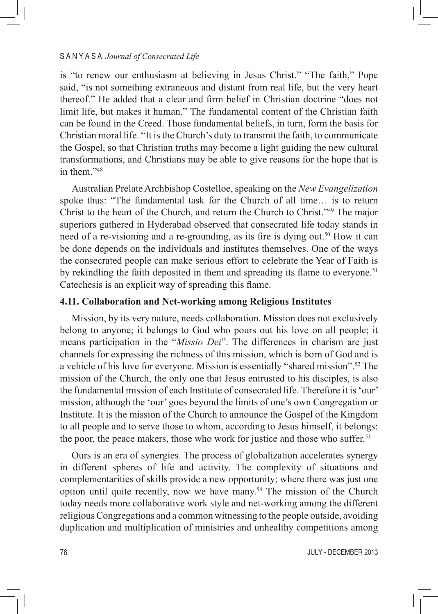is "to renew our enthusiasm at believing in Jesus Christ." "The faith," Pope said, "is not something extraneous and distant from real life, but the very heart thereof." He added that a clear and firm belief in Christian doctrine "does not limit life, but makes it human." The fundamental content of the Christian faith can be found in the Creed. Those fundamental beliefs, in turn, form the basis for Christian moral life. "It is the Church's duty to transmit the faith, to communicate the Gospel, so that Christian truths may become a light guiding the new cultural transformations, and Christians may be able to give reasons for the hope that is in them."48

Australian Prelate Archbishop Costelloe, speaking on the *New Evangelization* spoke thus: "The fundamental task for the Church of all time… is to return Christ to the heart of the Church, and return the Church to Christ."49 The major superiors gathered in Hyderabad observed that consecrated life today stands in need of a re-visioning and a re-grounding, as its fire is dying out.<sup>50</sup> How it can be done depends on the individuals and institutes themselves. One of the ways the consecrated people can make serious effort to celebrate the Year of Faith is by rekindling the faith deposited in them and spreading its flame to everyone.<sup>51</sup> Catechesis is an explicit way of spreading this flame.

### **4.11. Collaboration and Net-working among Religious Institutes**

Mission, by its very nature, needs collaboration. Mission does not exclusively belong to anyone; it belongs to God who pours out his love on all people; it means participation in the "*Missio Dei*". The differences in charism are just channels for expressing the richness of this mission, which is born of God and is a vehicle of his love for everyone. Mission is essentially "shared mission".52 The mission of the Church, the only one that Jesus entrusted to his disciples, is also the fundamental mission of each Institute of consecrated life. Therefore it is 'our' mission, although the 'our' goes beyond the limits of one's own Congregation or Institute. It is the mission of the Church to announce the Gospel of the Kingdom to all people and to serve those to whom, according to Jesus himself, it belongs: the poor, the peace makers, those who work for justice and those who suffer.<sup>53</sup>

Ours is an era of synergies. The process of globalization accelerates synergy in different spheres of life and activity. The complexity of situations and complementarities of skills provide a new opportunity; where there was just one option until quite recently, now we have many.<sup>54</sup> The mission of the Church today needs more collaborative work style and net-working among the different religious Congregations and a common witnessing to the people outside, avoiding duplication and multiplication of ministries and unhealthy competitions among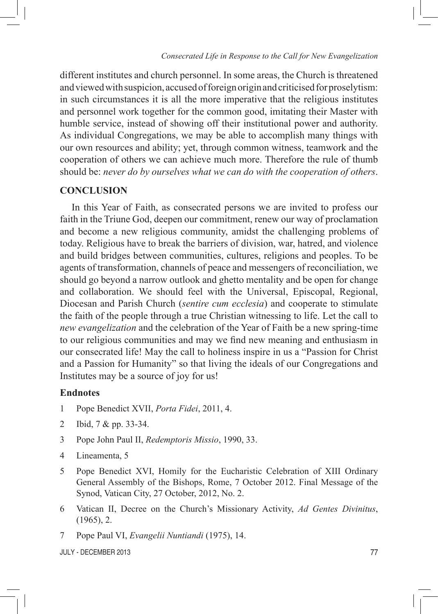# *Consecrated Life in Response to the Call for New Evangelization*

different institutes and church personnel. In some areas, the Church is threatened and viewed with suspicion, accused of foreign origin and criticised for proselytism: in such circumstances it is all the more imperative that the religious institutes and personnel work together for the common good, imitating their Master with humble service, instead of showing off their institutional power and authority. As individual Congregations, we may be able to accomplish many things with our own resources and ability; yet, through common witness, teamwork and the cooperation of others we can achieve much more. Therefore the rule of thumb should be: *never do by ourselves what we can do with the cooperation of others*.

# **CONCLUSION**

In this Year of Faith, as consecrated persons we are invited to profess our faith in the Triune God, deepen our commitment, renew our way of proclamation and become a new religious community, amidst the challenging problems of today. Religious have to break the barriers of division, war, hatred, and violence and build bridges between communities, cultures, religions and peoples. To be agents of transformation, channels of peace and messengers of reconciliation, we should go beyond a narrow outlook and ghetto mentality and be open for change and collaboration. We should feel with the Universal, Episcopal, Regional, Diocesan and Parish Church (*sentire cum ecclesia*) and cooperate to stimulate the faith of the people through a true Christian witnessing to life. Let the call to *new evangelization* and the celebration of the Year of Faith be a new spring-time to our religious communities and may we find new meaning and enthusiasm in our consecrated life! May the call to holiness inspire in us a "Passion for Christ and a Passion for Humanity" so that living the ideals of our Congregations and Institutes may be a source of joy for us!

# **Endnotes**

- 1 Pope Benedict XVII, *Porta Fidei*, 2011, 4.
- 2 Ibid, 7 & pp. 33-34.
- 3 Pope John Paul II, *Redemptoris Missio*, 1990, 33.
- 4 Lineamenta, 5
- 5 Pope Benedict XVI, Homily for the Eucharistic Celebration of XIII Ordinary General Assembly of the Bishops, Rome, 7 October 2012. Final Message of the Synod, Vatican City, 27 October, 2012, No. 2.
- 6 Vatican II, Decree on the Church's Missionary Activity, *Ad Gentes Divinitus*,  $(1965)$ , 2.
- 7 Pope Paul VI, *Evangelii Nuntiandi* (1975), 14.

JULY - DECEMBER 2013 77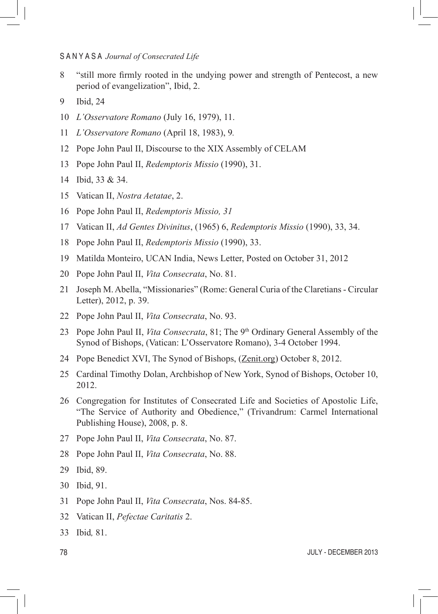- "still more firmly rooted in the undying power and strength of Pentecost, a new period of evangelization", Ibid, 2.
- Ibid, 24
- *L'Osservatore Romano* (July 16, 1979), 11.
- *L'Osservatore Romano* (April 18, 1983), 9*.*
- Pope John Paul II, Discourse to the XIX Assembly of CELAM
- Pope John Paul II, *Redemptoris Missio* (1990), 31.
- Ibid, 33 & 34.
- Vatican II, *Nostra Aetatae*, 2.
- Pope John Paul II, *Redemptoris Missio, 31*
- Vatican II, *Ad Gentes Divinitus*, (1965) 6, *Redemptoris Missio* (1990), 33, 34.
- Pope John Paul II, *Redemptoris Missio* (1990), 33.
- Matilda Monteiro, UCAN India, News Letter, Posted on October 31, 2012
- Pope John Paul II, *Vita Consecrata*, No. 81.
- Joseph M. Abella, "Missionaries" (Rome: General Curia of the Claretians Circular Letter), 2012, p. 39.
- Pope John Paul II, *Vita Consecrata*, No. 93.
- Pope John Paul II, *Vita Consecrata*, 81; The 9th Ordinary General Assembly of the Synod of Bishops, (Vatican: L'Osservatore Romano), 3-4 October 1994.
- Pope Benedict XVI, The Synod of Bishops, (Zenit.org) October 8, 2012.
- Cardinal Timothy Dolan, Archbishop of New York, Synod of Bishops, October 10, 2012.
- Congregation for Institutes of Consecrated Life and Societies of Apostolic Life, "The Service of Authority and Obedience," (Trivandrum: Carmel International Publishing House), 2008, p. 8.
- Pope John Paul II, *Vita Consecrata*, No. 87.
- Pope John Paul II, *Vita Consecrata*, No. 88.
- Ibid, 89.
- Ibid, 91.
- Pope John Paul II, *Vita Consecrata*, Nos. 84-85.
- Vatican II, *Pefectae Caritatis* 2.
- Ibid*,* 81.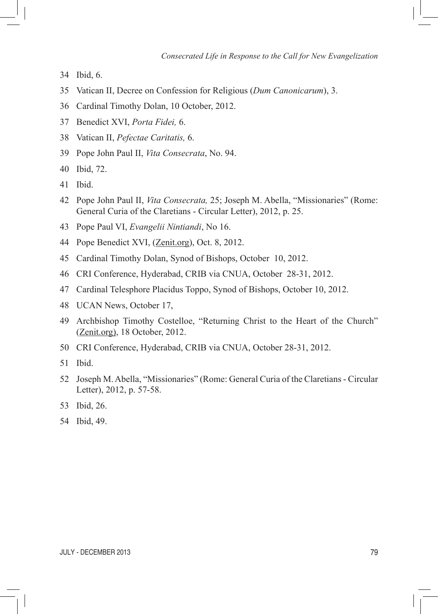- Ibid, 6.
- Vatican II, Decree on Confession for Religious (*Dum Canonicarum*), 3.
- Cardinal Timothy Dolan, 10 October, 2012.
- Benedict XVI, *Porta Fidei,* 6.
- Vatican II, *Pefectae Caritatis,* 6.
- Pope John Paul II, *Vita Consecrata*, No. 94.
- Ibid, 72.
- Ibid.
- Pope John Paul II, *Vita Consecrata,* 25; Joseph M. Abella, "Missionaries" (Rome: General Curia of the Claretians - Circular Letter), 2012, p. 25.
- Pope Paul VI, *Evangelii Nintiandi*, No 16.
- Pope Benedict XVI, (Zenit.org), Oct. 8, 2012.
- Cardinal Timothy Dolan, Synod of Bishops, October 10, 2012.
- CRI Conference, Hyderabad, CRIB via CNUA, October 28-31, 2012.
- Cardinal Telesphore Placidus Toppo, Synod of Bishops, October 10, 2012.
- UCAN News, October 17,
- Archbishop Timothy Costelloe, "Returning Christ to the Heart of the Church" (Zenit.org), 18 October, 2012.
- CRI Conference, Hyderabad, CRIB via CNUA, October 28-31, 2012.
- Ibid.
- Joseph M. Abella, "Missionaries" (Rome: General Curia of the Claretians Circular Letter), 2012, p. 57-58.
- Ibid, 26.
- Ibid, 49.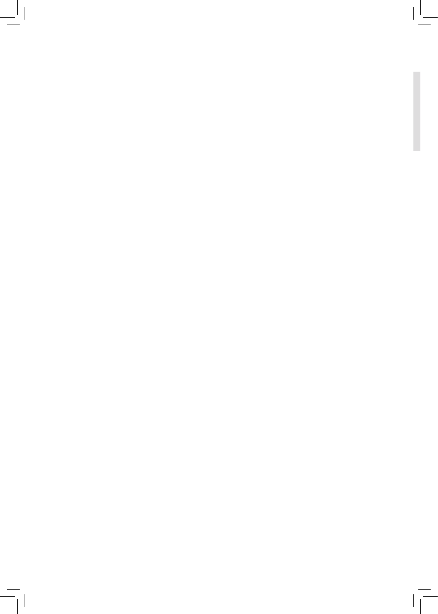$\frac{1}{\sqrt{2}}$  $\begin{array}{c} \begin{array}{c} \end{array} \end{array}$  $\frac{1}{\sqrt{1-\frac{1}{2}}}$  $\frac{1}{\sqrt{1}}$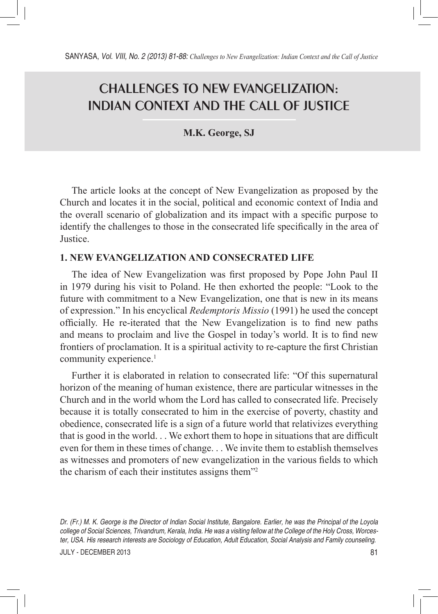# CHALLENGES TO NEW EVANGELIZATION: INDIAN CONTEXT AND THE CALL OF JUSTICE

# **M.K. George, SJ**

The article looks at the concept of New Evangelization as proposed by the Church and locates it in the social, political and economic context of India and the overall scenario of globalization and its impact with a specific purpose to identify the challenges to those in the consecrated life specifically in the area of Justice.

# **1. NEW EVANGELIZATION AND CONSECRATED LIFE**

The idea of New Evangelization was first proposed by Pope John Paul II in 1979 during his visit to Poland. He then exhorted the people: "Look to the future with commitment to a New Evangelization, one that is new in its means of expression." In his encyclical *Redemptoris Missio* (1991) he used the concept officially. He re-iterated that the New Evangelization is to find new paths and means to proclaim and live the Gospel in today's world. It is to find new frontiers of proclamation. It is a spiritual activity to re-capture the first Christian community experience.<sup>1</sup>

Further it is elaborated in relation to consecrated life: "Of this supernatural horizon of the meaning of human existence, there are particular witnesses in the Church and in the world whom the Lord has called to consecrated life. Precisely because it is totally consecrated to him in the exercise of poverty, chastity and obedience, consecrated life is a sign of a future world that relativizes everything that is good in the world. . . We exhort them to hope in situations that are difficult even for them in these times of change. . . We invite them to establish themselves as witnesses and promoters of new evangelization in the various fields to which the charism of each their institutes assigns them"2

*Dr. (Fr.) M. K. George is the Director of Indian Social Institute, Bangalore. Earlier, he was the Principal of the Loyola college of Social Sciences, Trivandrum, Kerala, India. He was a visiting fellow at the College of the Holy Cross, Worcester, USA. His research interests are Sociology of Education, Adult Education, Social Analysis and Family counseling.* 

JULY - DECEMBER 2013 **81**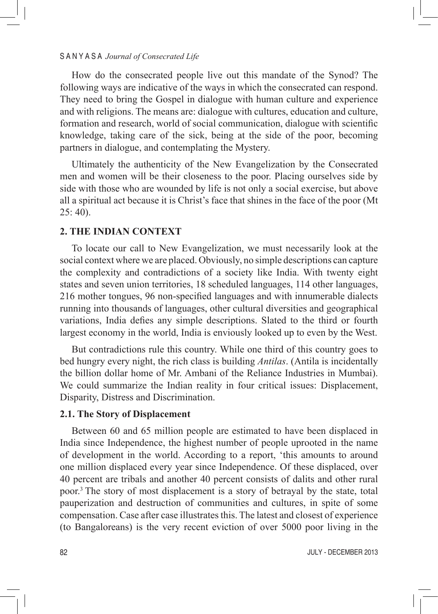How do the consecrated people live out this mandate of the Synod? The following ways are indicative of the ways in which the consecrated can respond. They need to bring the Gospel in dialogue with human culture and experience and with religions. The means are: dialogue with cultures, education and culture, formation and research, world of social communication, dialogue with scientific knowledge, taking care of the sick, being at the side of the poor, becoming partners in dialogue, and contemplating the Mystery.

Ultimately the authenticity of the New Evangelization by the Consecrated men and women will be their closeness to the poor. Placing ourselves side by side with those who are wounded by life is not only a social exercise, but above all a spiritual act because it is Christ's face that shines in the face of the poor (Mt 25: 40).

# **2. THE INDIAN CONTEXT**

To locate our call to New Evangelization, we must necessarily look at the social context where we are placed. Obviously, no simple descriptions can capture the complexity and contradictions of a society like India. With twenty eight states and seven union territories, 18 scheduled languages, 114 other languages, 216 mother tongues, 96 non-specified languages and with innumerable dialects running into thousands of languages, other cultural diversities and geographical variations, India defies any simple descriptions. Slated to the third or fourth largest economy in the world, India is enviously looked up to even by the West.

But contradictions rule this country. While one third of this country goes to bed hungry every night, the rich class is building *Antilas*. (Antila is incidentally the billion dollar home of Mr. Ambani of the Reliance Industries in Mumbai). We could summarize the Indian reality in four critical issues: Displacement, Disparity, Distress and Discrimination.

# **2.1. The Story of Displacement**

Between 60 and 65 million people are estimated to have been displaced in India since Independence, the highest number of people uprooted in the name of development in the world. According to a report, 'this amounts to around one million displaced every year since Independence. Of these displaced, over 40 percent are tribals and another 40 percent consists of dalits and other rural poor.3 The story of most displacement is a story of betrayal by the state, total pauperization and destruction of communities and cultures, in spite of some compensation. Case after case illustrates this. The latest and closest of experience (to Bangaloreans) is the very recent eviction of over 5000 poor living in the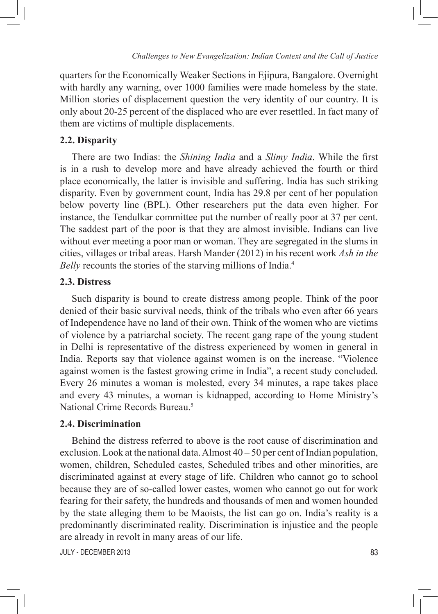quarters for the Economically Weaker Sections in Ejipura, Bangalore. Overnight with hardly any warning, over 1000 families were made homeless by the state. Million stories of displacement question the very identity of our country. It is only about 20-25 percent of the displaced who are ever resettled. In fact many of them are victims of multiple displacements.

# **2.2. Disparity**

There are two Indias: the *Shining India* and a *Slimy India*. While the first is in a rush to develop more and have already achieved the fourth or third place economically, the latter is invisible and suffering. India has such striking disparity. Even by government count, India has 29.8 per cent of her population below poverty line (BPL). Other researchers put the data even higher. For instance, the Tendulkar committee put the number of really poor at 37 per cent. The saddest part of the poor is that they are almost invisible. Indians can live without ever meeting a poor man or woman. They are segregated in the slums in cities, villages or tribal areas. Harsh Mander (2012) in his recent work *Ash in the Belly* recounts the stories of the starving millions of India.<sup>4</sup>

# **2.3. Distress**

Such disparity is bound to create distress among people. Think of the poor denied of their basic survival needs, think of the tribals who even after 66 years of Independence have no land of their own. Think of the women who are victims of violence by a patriarchal society. The recent gang rape of the young student in Delhi is representative of the distress experienced by women in general in India. Reports say that violence against women is on the increase. "Violence against women is the fastest growing crime in India", a recent study concluded. Every 26 minutes a woman is molested, every 34 minutes, a rape takes place and every 43 minutes, a woman is kidnapped, according to Home Ministry's National Crime Records Bureau<sup>5</sup>

# **2.4. Discrimination**

Behind the distress referred to above is the root cause of discrimination and exclusion. Look at the national data. Almost  $40 - 50$  per cent of Indian population, women, children, Scheduled castes, Scheduled tribes and other minorities, are discriminated against at every stage of life. Children who cannot go to school because they are of so-called lower castes, women who cannot go out for work fearing for their safety, the hundreds and thousands of men and women hounded by the state alleging them to be Maoists, the list can go on. India's reality is a predominantly discriminated reality. Discrimination is injustice and the people are already in revolt in many areas of our life.

JULY - DECEMBER 2013 83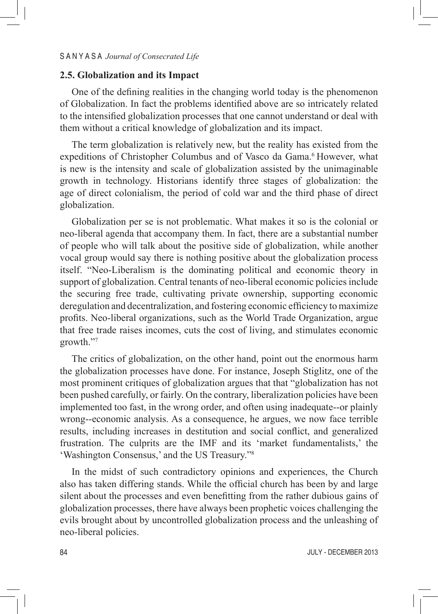### **2.5. Globalization and its Impact**

One of the defining realities in the changing world today is the phenomenon of Globalization. In fact the problems identified above are so intricately related to the intensified globalization processes that one cannot understand or deal with them without a critical knowledge of globalization and its impact.

The term globalization is relatively new, but the reality has existed from the expeditions of Christopher Columbus and of Vasco da Gama.<sup>6</sup> However, what is new is the intensity and scale of globalization assisted by the unimaginable growth in technology. Historians identify three stages of globalization: the age of direct colonialism, the period of cold war and the third phase of direct globalization.

Globalization per se is not problematic. What makes it so is the colonial or neo-liberal agenda that accompany them. In fact, there are a substantial number of people who will talk about the positive side of globalization, while another vocal group would say there is nothing positive about the globalization process itself. "Neo-Liberalism is the dominating political and economic theory in support of globalization. Central tenants of neo-liberal economic policies include the securing free trade, cultivating private ownership, supporting economic deregulation and decentralization, and fostering economic efficiency to maximize profits. Neo-liberal organizations, such as the World Trade Organization, argue that free trade raises incomes, cuts the cost of living, and stimulates economic growth."7

The critics of globalization, on the other hand, point out the enormous harm the globalization processes have done. For instance, Joseph Stiglitz, one of the most prominent critiques of globalization argues that that "globalization has not been pushed carefully, or fairly. On the contrary, liberalization policies have been implemented too fast, in the wrong order, and often using inadequate--or plainly wrong--economic analysis. As a consequence, he argues, we now face terrible results, including increases in destitution and social conflict, and generalized frustration. The culprits are the IMF and its 'market fundamentalists,' the 'Washington Consensus,' and the US Treasury."8

In the midst of such contradictory opinions and experiences, the Church also has taken differing stands. While the official church has been by and large silent about the processes and even benefitting from the rather dubious gains of globalization processes, there have always been prophetic voices challenging the evils brought about by uncontrolled globalization process and the unleashing of neo-liberal policies.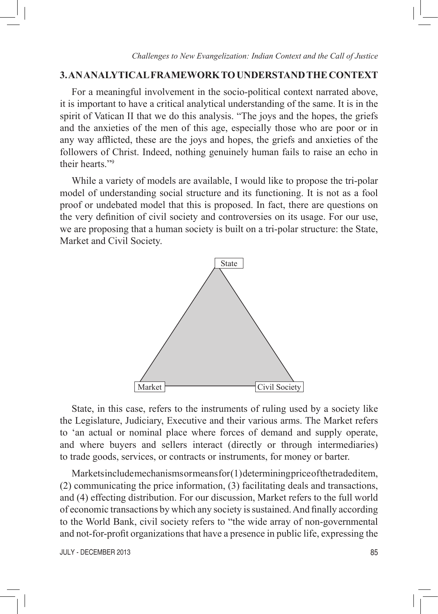### **3. AN ANALYTICAL FRAMEWORK TO UNDERSTAND THE CONTEXT**

For a meaningful involvement in the socio-political context narrated above, it is important to have a critical analytical understanding of the same. It is in the spirit of Vatican II that we do this analysis. "The joys and the hopes, the griefs and the anxieties of the men of this age, especially those who are poor or in any way afflicted, these are the joys and hopes, the griefs and anxieties of the followers of Christ. Indeed, nothing genuinely human fails to raise an echo in their hearts."9

While a variety of models are available, I would like to propose the tri-polar model of understanding social structure and its functioning. It is not as a fool proof or undebated model that this is proposed. In fact, there are questions on the very definition of civil society and controversies on its usage. For our use, we are proposing that a human society is built on a tri-polar structure: the State, Market and Civil Society.



State, in this case, refers to the instruments of ruling used by a society like the Legislature, Judiciary, Executive and their various arms. The Market refers to 'an actual or nominal place where forces of demand and supply operate, and where buyers and sellers interact (directly or through intermediaries) to trade goods, services, or contracts or instruments, for money or barter.

Marketsincludemechanismsormeansfor (1) determining price of the traded item, (2) communicating the price information, (3) facilitating deals and transactions, and (4) effecting distribution. For our discussion, Market refers to the full world of economic transactions by which any society is sustained. And finally according to the World Bank, civil society refers to "the wide array of non-governmental and not-for-profit organizations that have a presence in public life, expressing the

JULY - DECEMBER 2013 85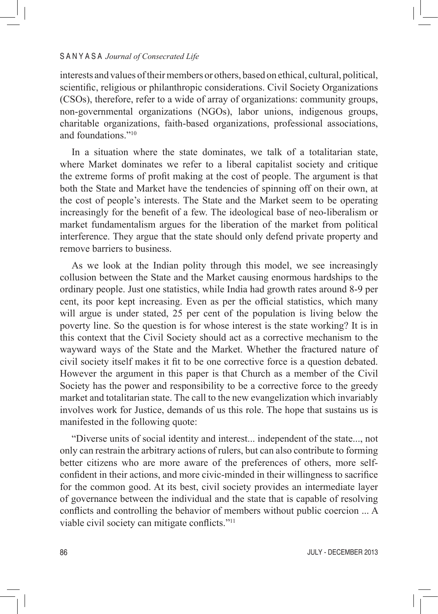interests and values of their members or others, based on ethical, cultural, political, scientific, religious or philanthropic considerations. Civil Society Organizations (CSOs), therefore, refer to a wide of array of organizations: community groups, non-governmental organizations (NGOs), labor unions, indigenous groups, charitable organizations, faith-based organizations, professional associations, and foundations<sup>"10</sup>

In a situation where the state dominates, we talk of a totalitarian state, where Market dominates we refer to a liberal capitalist society and critique the extreme forms of profit making at the cost of people. The argument is that both the State and Market have the tendencies of spinning off on their own, at the cost of people's interests. The State and the Market seem to be operating increasingly for the benefit of a few. The ideological base of neo-liberalism or market fundamentalism argues for the liberation of the market from political interference. They argue that the state should only defend private property and remove barriers to business.

As we look at the Indian polity through this model, we see increasingly collusion between the State and the Market causing enormous hardships to the ordinary people. Just one statistics, while India had growth rates around 8-9 per cent, its poor kept increasing. Even as per the official statistics, which many will argue is under stated, 25 per cent of the population is living below the poverty line. So the question is for whose interest is the state working? It is in this context that the Civil Society should act as a corrective mechanism to the wayward ways of the State and the Market. Whether the fractured nature of civil society itself makes it fit to be one corrective force is a question debated. However the argument in this paper is that Church as a member of the Civil Society has the power and responsibility to be a corrective force to the greedy market and totalitarian state. The call to the new evangelization which invariably involves work for Justice, demands of us this role. The hope that sustains us is manifested in the following quote:

"Diverse units of social identity and interest... independent of the state..., not only can restrain the arbitrary actions of rulers, but can also contribute to forming better citizens who are more aware of the preferences of others, more selfconfident in their actions, and more civic-minded in their willingness to sacrifice for the common good. At its best, civil society provides an intermediate layer of governance between the individual and the state that is capable of resolving conflicts and controlling the behavior of members without public coercion ... A viable civil society can mitigate conflicts."11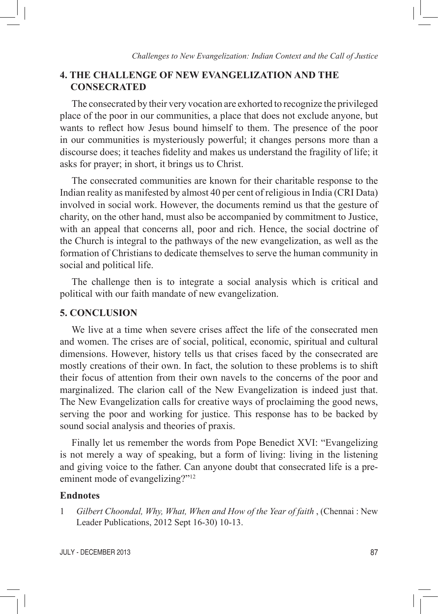# **4. THE CHALLENGE OF NEW EVANGELIZATION AND THE CONSECRATED**

The consecrated by their very vocation are exhorted to recognize the privileged place of the poor in our communities, a place that does not exclude anyone, but wants to reflect how Jesus bound himself to them. The presence of the poor in our communities is mysteriously powerful; it changes persons more than a discourse does; it teaches fidelity and makes us understand the fragility of life; it asks for prayer; in short, it brings us to Christ.

The consecrated communities are known for their charitable response to the Indian reality as manifested by almost 40 per cent of religious in India (CRI Data) involved in social work. However, the documents remind us that the gesture of charity, on the other hand, must also be accompanied by commitment to Justice, with an appeal that concerns all, poor and rich. Hence, the social doctrine of the Church is integral to the pathways of the new evangelization, as well as the formation of Christians to dedicate themselves to serve the human community in social and political life.

The challenge then is to integrate a social analysis which is critical and political with our faith mandate of new evangelization.

### **5. CONCLUSION**

We live at a time when severe crises affect the life of the consecrated men and women. The crises are of social, political, economic, spiritual and cultural dimensions. However, history tells us that crises faced by the consecrated are mostly creations of their own. In fact, the solution to these problems is to shift their focus of attention from their own navels to the concerns of the poor and marginalized. The clarion call of the New Evangelization is indeed just that. The New Evangelization calls for creative ways of proclaiming the good news, serving the poor and working for justice. This response has to be backed by sound social analysis and theories of praxis.

Finally let us remember the words from Pope Benedict XVI: "Evangelizing is not merely a way of speaking, but a form of living: living in the listening and giving voice to the father. Can anyone doubt that consecrated life is a preeminent mode of evangelizing?"12

### **Endnotes**

1 *Gilbert Choondal, Why, What, When and How of the Year of faith* , (Chennai : New Leader Publications, 2012 Sept 16-30) 10-13.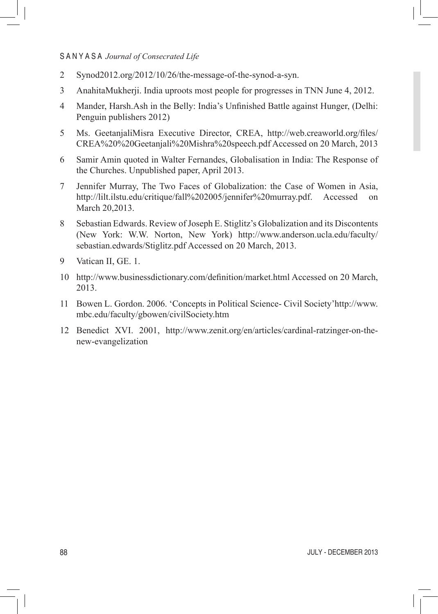- 2 Synod2012.org/2012/10/26/the-message-of-the-synod-a-syn.
- 3 AnahitaMukherji. India uproots most people for progresses in TNN June 4, 2012.
- 4 Mander, Harsh.Ash in the Belly: India's Unfinished Battle against Hunger, (Delhi: Penguin publishers 2012)
- 5 Ms. GeetanjaliMisra Executive Director, CREA, http://web.creaworld.org/files/ CREA%20%20Geetanjali%20Mishra%20speech.pdf Accessed on 20 March, 2013
- 6 Samir Amin quoted in Walter Fernandes, Globalisation in India: The Response of the Churches. Unpublished paper, April 2013.
- 7 Jennifer Murray, The Two Faces of Globalization: the Case of Women in Asia, http://lilt.ilstu.edu/critique/fall%202005/jennifer%20murray.pdf. Accessed on March 20,2013.
- 8 Sebastian Edwards. Review of Joseph E. Stiglitz's Globalization and its Discontents (New York: W.W. Norton, New York) http://www.anderson.ucla.edu/faculty/ sebastian.edwards/Stiglitz.pdf Accessed on 20 March, 2013.
- 9 Vatican II, GE. 1.
- 10 http://www.businessdictionary.com/definition/market.html Accessed on 20 March, 2013.
- 11 Bowen L. Gordon. 2006. 'Concepts in Political Science- Civil Society'http://www. mbc.edu/faculty/gbowen/civilSociety.htm
- 12 Benedict XVI. 2001, http://www.zenit.org/en/articles/cardinal-ratzinger-on-thenew-evangelization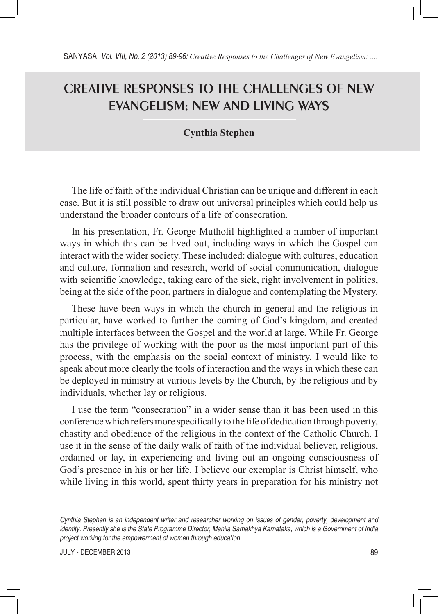# CREATIVE RESPONSES TO THE CHALLENGES OF NEW EVANGELISM: NEW AND LIVING WAYS

# **Cynthia Stephen**

The life of faith of the individual Christian can be unique and different in each case. But it is still possible to draw out universal principles which could help us understand the broader contours of a life of consecration.

In his presentation, Fr. George Mutholil highlighted a number of important ways in which this can be lived out, including ways in which the Gospel can interact with the wider society. These included: dialogue with cultures, education and culture, formation and research, world of social communication, dialogue with scientific knowledge, taking care of the sick, right involvement in politics, being at the side of the poor, partners in dialogue and contemplating the Mystery.

These have been ways in which the church in general and the religious in particular, have worked to further the coming of God's kingdom, and created multiple interfaces between the Gospel and the world at large. While Fr. George has the privilege of working with the poor as the most important part of this process, with the emphasis on the social context of ministry, I would like to speak about more clearly the tools of interaction and the ways in which these can be deployed in ministry at various levels by the Church, by the religious and by individuals, whether lay or religious.

I use the term "consecration" in a wider sense than it has been used in this conference which refers more specifically to the life of dedication through poverty, chastity and obedience of the religious in the context of the Catholic Church. I use it in the sense of the daily walk of faith of the individual believer, religious, ordained or lay, in experiencing and living out an ongoing consciousness of God's presence in his or her life. I believe our exemplar is Christ himself, who while living in this world, spent thirty years in preparation for his ministry not

*Cynthia Stephen is an independent writer and researcher working on issues of gender, poverty, development and identity. Presently she is the State Programme Director, Mahila Samakhya Karnataka, which is a Government of India project working for the empowerment of women through education.*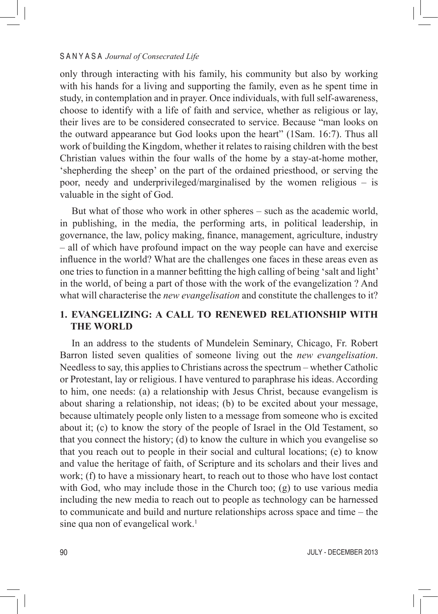only through interacting with his family, his community but also by working with his hands for a living and supporting the family, even as he spent time in study, in contemplation and in prayer. Once individuals, with full self-awareness, choose to identify with a life of faith and service, whether as religious or lay, their lives are to be considered consecrated to service. Because "man looks on the outward appearance but God looks upon the heart" (1Sam. 16:7). Thus all work of building the Kingdom, whether it relates to raising children with the best Christian values within the four walls of the home by a stay-at-home mother, 'shepherding the sheep' on the part of the ordained priesthood, or serving the poor, needy and underprivileged/marginalised by the women religious – is valuable in the sight of God.

But what of those who work in other spheres – such as the academic world, in publishing, in the media, the performing arts, in political leadership, in governance, the law, policy making, finance, management, agriculture, industry – all of which have profound impact on the way people can have and exercise influence in the world? What are the challenges one faces in these areas even as one tries to function in a manner befitting the high calling of being 'salt and light' in the world, of being a part of those with the work of the evangelization ? And what will characterise the *new evangelisation* and constitute the challenges to it?

# **1. EVANGELIZING: A CALL TO RENEWED RELATIONSHIP WITH THE WORLD**

In an address to the students of Mundelein Seminary, Chicago, Fr. Robert Barron listed seven qualities of someone living out the *new evangelisation*. Needless to say, this applies to Christians across the spectrum – whether Catholic or Protestant, lay or religious. I have ventured to paraphrase his ideas. According to him, one needs: (a) a relationship with Jesus Christ, because evangelism is about sharing a relationship, not ideas; (b) to be excited about your message, because ultimately people only listen to a message from someone who is excited about it; (c) to know the story of the people of Israel in the Old Testament, so that you connect the history; (d) to know the culture in which you evangelise so that you reach out to people in their social and cultural locations; (e) to know and value the heritage of faith, of Scripture and its scholars and their lives and work; (f) to have a missionary heart, to reach out to those who have lost contact with God, who may include those in the Church too;  $(g)$  to use various media including the new media to reach out to people as technology can be harnessed to communicate and build and nurture relationships across space and time – the sine qua non of evangelical work.<sup>1</sup>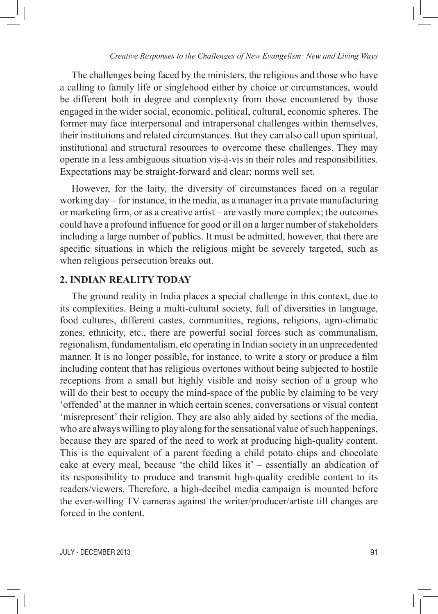### *Creative Responses to the Challenges of New Evangelism: New and Living Ways*

The challenges being faced by the ministers, the religious and those who have a calling to family life or singlehood either by choice or circumstances, would be different both in degree and complexity from those encountered by those engaged in the wider social, economic, political, cultural, economic spheres. The former may face interpersonal and intrapersonal challenges within themselves, their institutions and related circumstances. But they can also call upon spiritual, institutional and structural resources to overcome these challenges. They may operate in a less ambiguous situation vis-à-vis in their roles and responsibilities. Expectations may be straight-forward and clear; norms well set.

However, for the laity, the diversity of circumstances faced on a regular working day – for instance, in the media, as a manager in a private manufacturing or marketing firm, or as a creative artist – are vastly more complex; the outcomes could have a profound influence for good or ill on a larger number of stakeholders including a large number of publics. It must be admitted, however, that there are specific situations in which the religious might be severely targeted, such as when religious persecution breaks out.

# **2. INDIAN REALITY TODAY**

The ground reality in India places a special challenge in this context, due to its complexities. Being a multi-cultural society, full of diversities in language, food cultures, different castes, communities, regions, religions, agro-climatic zones, ethnicity, etc., there are powerful social forces such as communalism, regionalism, fundamentalism, etc operating in Indian society in an unprecedented manner. It is no longer possible, for instance, to write a story or produce a film including content that has religious overtones without being subjected to hostile receptions from a small but highly visible and noisy section of a group who will do their best to occupy the mind-space of the public by claiming to be very 'offended' at the manner in which certain scenes, conversations or visual content 'misrepresent' their religion. They are also ably aided by sections of the media, who are always willing to play along for the sensational value of such happenings, because they are spared of the need to work at producing high-quality content. This is the equivalent of a parent feeding a child potato chips and chocolate cake at every meal, because 'the child likes it' – essentially an abdication of its responsibility to produce and transmit high-quality credible content to its readers/viewers. Therefore, a high-decibel media campaign is mounted before the ever-willing TV cameras against the writer/producer/artiste till changes are forced in the content.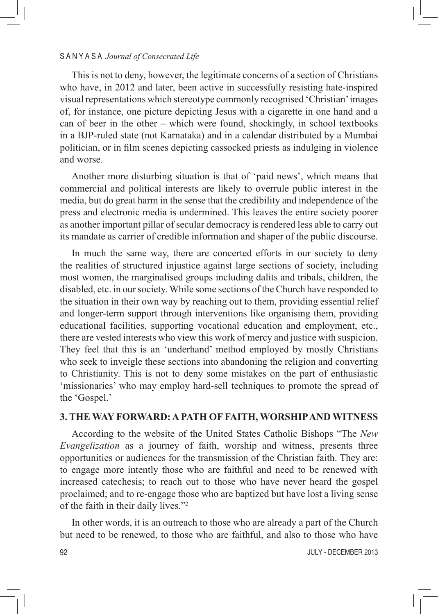This is not to deny, however, the legitimate concerns of a section of Christians who have, in 2012 and later, been active in successfully resisting hate-inspired visual representations which stereotype commonly recognised 'Christian' images of, for instance, one picture depicting Jesus with a cigarette in one hand and a can of beer in the other – which were found, shockingly, in school textbooks in a BJP-ruled state (not Karnataka) and in a calendar distributed by a Mumbai politician, or in film scenes depicting cassocked priests as indulging in violence and worse.

Another more disturbing situation is that of 'paid news', which means that commercial and political interests are likely to overrule public interest in the media, but do great harm in the sense that the credibility and independence of the press and electronic media is undermined. This leaves the entire society poorer as another important pillar of secular democracy is rendered less able to carry out its mandate as carrier of credible information and shaper of the public discourse.

In much the same way, there are concerted efforts in our society to deny the realities of structured injustice against large sections of society, including most women, the marginalised groups including dalits and tribals, children, the disabled, etc. in our society. While some sections of the Church have responded to the situation in their own way by reaching out to them, providing essential relief and longer-term support through interventions like organising them, providing educational facilities, supporting vocational education and employment, etc., there are vested interests who view this work of mercy and justice with suspicion. They feel that this is an 'underhand' method employed by mostly Christians who seek to inveigle these sections into abandoning the religion and converting to Christianity. This is not to deny some mistakes on the part of enthusiastic 'missionaries' who may employ hard-sell techniques to promote the spread of the 'Gospel.'

# **3. THE WAY FORWARD: A PATH OF FAITH, WORSHIP AND WITNESS**

According to the website of the United States Catholic Bishops "The *New Evangelization* as a journey of faith, worship and witness, presents three opportunities or audiences for the transmission of the Christian faith. They are: to engage more intently those who are faithful and need to be renewed with increased catechesis; to reach out to those who have never heard the gospel proclaimed; and to re-engage those who are baptized but have lost a living sense of the faith in their daily lives."2

In other words, it is an outreach to those who are already a part of the Church but need to be renewed, to those who are faithful, and also to those who have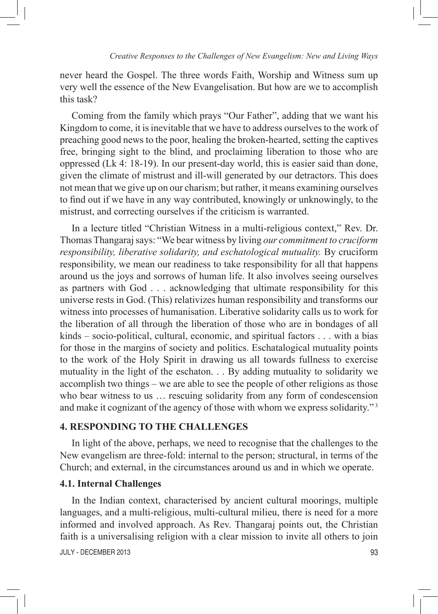never heard the Gospel. The three words Faith, Worship and Witness sum up very well the essence of the New Evangelisation. But how are we to accomplish this task?

Coming from the family which prays "Our Father", adding that we want his Kingdom to come, it is inevitable that we have to address ourselves to the work of preaching good news to the poor, healing the broken-hearted, setting the captives free, bringing sight to the blind, and proclaiming liberation to those who are oppressed (Lk 4: 18-19). In our present-day world, this is easier said than done, given the climate of mistrust and ill-will generated by our detractors. This does not mean that we give up on our charism; but rather, it means examining ourselves to find out if we have in any way contributed, knowingly or unknowingly, to the mistrust, and correcting ourselves if the criticism is warranted.

In a lecture titled "Christian Witness in a multi-religious context," Rev. Dr. Thomas Thangaraj says: "We bear witness by living *our commitment to cruciform responsibility, liberative solidarity, and eschatological mutuality.* By cruciform responsibility, we mean our readiness to take responsibility for all that happens around us the joys and sorrows of human life. It also involves seeing ourselves as partners with God . . . acknowledging that ultimate responsibility for this universe rests in God. (This) relativizes human responsibility and transforms our witness into processes of humanisation. Liberative solidarity calls us to work for the liberation of all through the liberation of those who are in bondages of all kinds – socio-political, cultural, economic, and spiritual factors . . . with a bias for those in the margins of society and politics. Eschatalogical mutuality points to the work of the Holy Spirit in drawing us all towards fullness to exercise mutuality in the light of the eschaton. . . By adding mutuality to solidarity we accomplish two things – we are able to see the people of other religions as those who bear witness to us … rescuing solidarity from any form of condescension and make it cognizant of the agency of those with whom we express solidarity."<sup>3</sup>

# **4. RESPONDING TO THE CHALLENGES**

In light of the above, perhaps, we need to recognise that the challenges to the New evangelism are three-fold: internal to the person; structural, in terms of the Church; and external, in the circumstances around us and in which we operate.

### **4.1. Internal Challenges**

JULY - DECEMBER 2013 93 In the Indian context, characterised by ancient cultural moorings, multiple languages, and a multi-religious, multi-cultural milieu, there is need for a more informed and involved approach. As Rev. Thangaraj points out, the Christian faith is a universalising religion with a clear mission to invite all others to join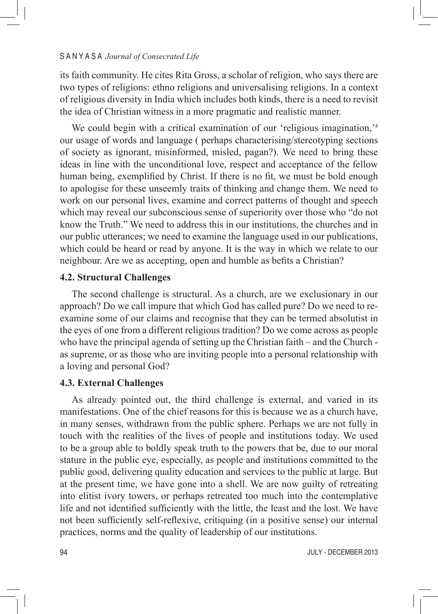its faith community. He cites Rita Gross, a scholar of religion, who says there are two types of religions: ethno religions and universalising religions. In a context of religious diversity in India which includes both kinds, there is a need to revisit the idea of Christian witness in a more pragmatic and realistic manner.

We could begin with a critical examination of our 'religious imagination,  $^{4}$ our usage of words and language ( perhaps characterising/stereotyping sections of society as ignorant, misinformed, misled, pagan?). We need to bring these ideas in line with the unconditional love, respect and acceptance of the fellow human being, exemplified by Christ. If there is no fit, we must be bold enough to apologise for these unseemly traits of thinking and change them. We need to work on our personal lives, examine and correct patterns of thought and speech which may reveal our subconscious sense of superiority over those who "do not know the Truth." We need to address this in our institutions, the churches and in our public utterances; we need to examine the language used in our publications, which could be heard or read by anyone. It is the way in which we relate to our neighbour. Are we as accepting, open and humble as befits a Christian?

# **4.2. Structural Challenges**

The second challenge is structural. As a church, are we exclusionary in our approach? Do we call impure that which God has called pure? Do we need to reexamine some of our claims and recognise that they can be termed absolutist in the eyes of one from a different religious tradition? Do we come across as people who have the principal agenda of setting up the Christian faith – and the Church as supreme, or as those who are inviting people into a personal relationship with a loving and personal God?

# **4.3. External Challenges**

As already pointed out, the third challenge is external, and varied in its manifestations. One of the chief reasons for this is because we as a church have, in many senses, withdrawn from the public sphere. Perhaps we are not fully in touch with the realities of the lives of people and institutions today. We used to be a group able to boldly speak truth to the powers that be, due to our moral stature in the public eye, especially, as people and institutions committed to the public good, delivering quality education and services to the public at large. But at the present time, we have gone into a shell. We are now guilty of retreating into elitist ivory towers, or perhaps retreated too much into the contemplative life and not identified sufficiently with the little, the least and the lost. We have not been sufficiently self-reflexive, critiquing (in a positive sense) our internal practices, norms and the quality of leadership of our institutions.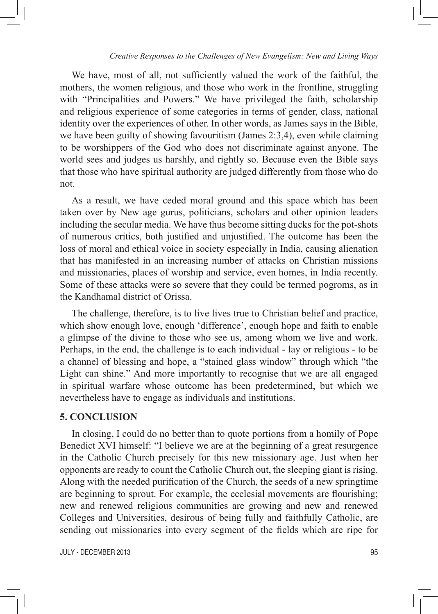### *Creative Responses to the Challenges of New Evangelism: New and Living Ways*

We have, most of all, not sufficiently valued the work of the faithful, the mothers, the women religious, and those who work in the frontline, struggling with "Principalities and Powers." We have privileged the faith, scholarship and religious experience of some categories in terms of gender, class, national identity over the experiences of other. In other words, as James says in the Bible, we have been guilty of showing favouritism (James 2:3,4), even while claiming to be worshippers of the God who does not discriminate against anyone. The world sees and judges us harshly, and rightly so. Because even the Bible says that those who have spiritual authority are judged differently from those who do not.

As a result, we have ceded moral ground and this space which has been taken over by New age gurus, politicians, scholars and other opinion leaders including the secular media. We have thus become sitting ducks for the pot-shots of numerous critics, both justified and unjustified. The outcome has been the loss of moral and ethical voice in society especially in India, causing alienation that has manifested in an increasing number of attacks on Christian missions and missionaries, places of worship and service, even homes, in India recently. Some of these attacks were so severe that they could be termed pogroms, as in the Kandhamal district of Orissa.

The challenge, therefore, is to live lives true to Christian belief and practice, which show enough love, enough 'difference', enough hope and faith to enable a glimpse of the divine to those who see us, among whom we live and work. Perhaps, in the end, the challenge is to each individual - lay or religious - to be a channel of blessing and hope, a "stained glass window" through which "the Light can shine." And more importantly to recognise that we are all engaged in spiritual warfare whose outcome has been predetermined, but which we nevertheless have to engage as individuals and institutions.

# **5. CONCLUSION**

In closing, I could do no better than to quote portions from a homily of Pope Benedict XVI himself: "I believe we are at the beginning of a great resurgence in the Catholic Church precisely for this new missionary age. Just when her opponents are ready to count the Catholic Church out, the sleeping giant is rising. Along with the needed purification of the Church, the seeds of a new springtime are beginning to sprout. For example, the ecclesial movements are flourishing; new and renewed religious communities are growing and new and renewed Colleges and Universities, desirous of being fully and faithfully Catholic, are sending out missionaries into every segment of the fields which are ripe for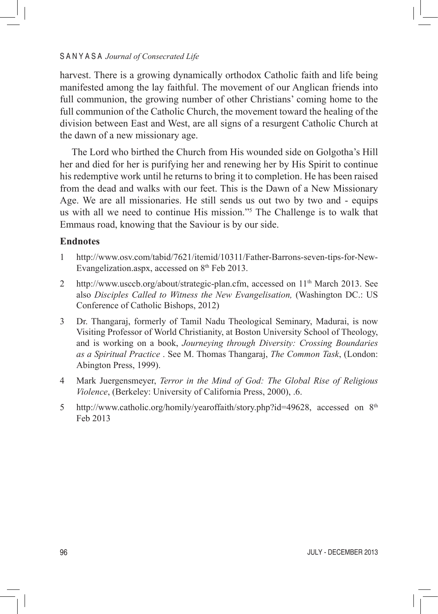harvest. There is a growing dynamically orthodox Catholic faith and life being manifested among the lay faithful. The movement of our Anglican friends into full communion, the growing number of other Christians' coming home to the full communion of the Catholic Church, the movement toward the healing of the division between East and West, are all signs of a resurgent Catholic Church at the dawn of a new missionary age.

The Lord who birthed the Church from His wounded side on Golgotha's Hill her and died for her is purifying her and renewing her by His Spirit to continue his redemptive work until he returns to bring it to completion. He has been raised from the dead and walks with our feet. This is the Dawn of a New Missionary Age. We are all missionaries. He still sends us out two by two and - equips us with all we need to continue His mission."5 The Challenge is to walk that Emmaus road, knowing that the Saviour is by our side.

### **Endnotes**

- 1 http://www.osv.com/tabid/7621/itemid/10311/Father-Barrons-seven-tips-for-New-Evangelization.aspx, accessed on 8<sup>th</sup> Feb 2013.
- 2 http://www.usccb.org/about/strategic-plan.cfm, accessed on 11<sup>th</sup> March 2013. See also *Disciples Called to Witness the New Evangelisation,* (Washington DC.: US Conference of Catholic Bishops, 2012)
- 3 Dr. Thangaraj, formerly of Tamil Nadu Theological Seminary, Madurai, is now Visiting Professor of World Christianity, at Boston University School of Theology, and is working on a book, *Journeying through Diversity: Crossing Boundaries as a Spiritual Practice* . See M. Thomas Thangaraj, *The Common Task*, (London: Abington Press, 1999).
- 4 Mark Juergensmeyer, *Terror in the Mind of God: The Global Rise of Religious Violence*, (Berkeley: University of California Press, 2000), .6.
- 5 http://www.catholic.org/homily/yearoffaith/story.php?id=49628, accessed on 8<sup>th</sup> Feb 2013